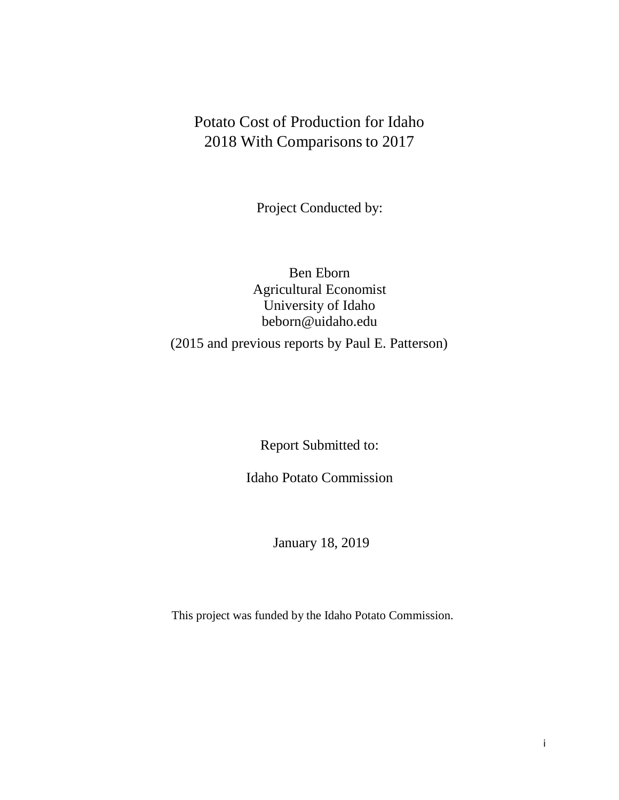# Potato Cost of Production for Idaho 2018 With Comparisons to 2017

Project Conducted by:

# Ben Eborn Agricultural Economist University of Idaho [beborn@uidaho.edu](mailto:beborn@uidaho.edu) (2015 and previous reports by Paul E. Patterson)

Report Submitted to:

Idaho Potato Commission

January 18, 2019

This project was funded by the Idaho Potato Commission.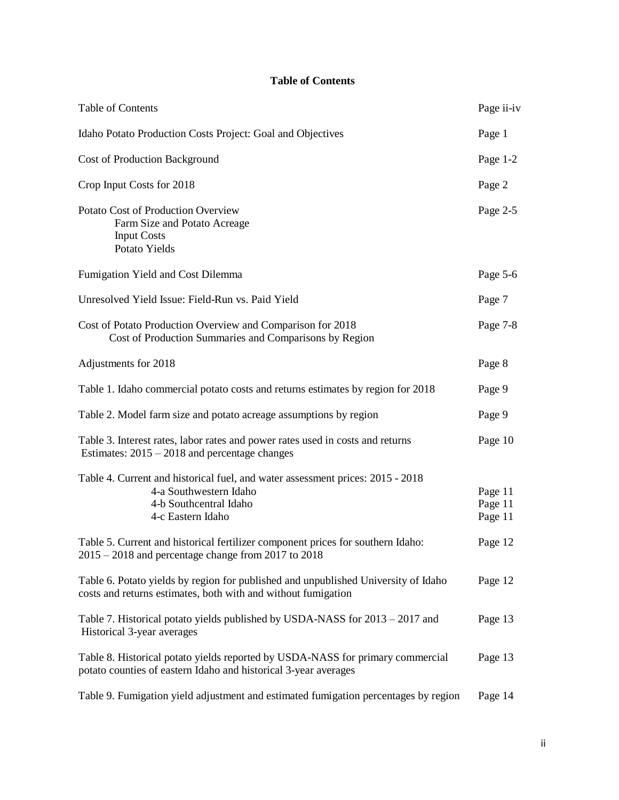# **Table of Contents**

| Table of Contents                                                                                                                                       | Page ii-iv                    |
|---------------------------------------------------------------------------------------------------------------------------------------------------------|-------------------------------|
| Idaho Potato Production Costs Project: Goal and Objectives                                                                                              | Page 1                        |
| <b>Cost of Production Background</b>                                                                                                                    | Page $1-2$                    |
| Crop Input Costs for 2018                                                                                                                               | Page 2                        |
| Potato Cost of Production Overview<br>Farm Size and Potato Acreage<br><b>Input Costs</b><br>Potato Yields                                               | Page 2-5                      |
| Fumigation Yield and Cost Dilemma                                                                                                                       | Page 5-6                      |
| Unresolved Yield Issue: Field-Run vs. Paid Yield                                                                                                        | Page 7                        |
| Cost of Potato Production Overview and Comparison for 2018<br>Cost of Production Summaries and Comparisons by Region                                    | Page 7-8                      |
| Adjustments for 2018                                                                                                                                    | Page 8                        |
| Table 1. Idaho commercial potato costs and returns estimates by region for 2018                                                                         | Page 9                        |
| Table 2. Model farm size and potato acreage assumptions by region                                                                                       | Page 9                        |
| Table 3. Interest rates, labor rates and power rates used in costs and returns<br>Estimates: $2015 - 2018$ and percentage changes                       | Page 10                       |
| Table 4. Current and historical fuel, and water assessment prices: 2015 - 2018<br>4-a Southwestern Idaho<br>4-b Southcentral Idaho<br>4-c Eastern Idaho | Page 11<br>Page 11<br>Page 11 |
| Table 5. Current and historical fertilizer component prices for southern Idaho:<br>$2015 - 2018$ and percentage change from 2017 to 2018                | Page 12                       |
| Table 6. Potato yields by region for published and unpublished University of Idaho<br>costs and returns estimates, both with and without fumigation     | Page 12                       |
| Table 7. Historical potato yields published by USDA-NASS for 2013 – 2017 and<br>Historical 3-year averages                                              | Page 13                       |
| Table 8. Historical potato yields reported by USDA-NASS for primary commercial<br>potato counties of eastern Idaho and historical 3-year averages       | Page 13                       |
| Table 9. Fumigation yield adjustment and estimated fumigation percentages by region                                                                     | Page 14                       |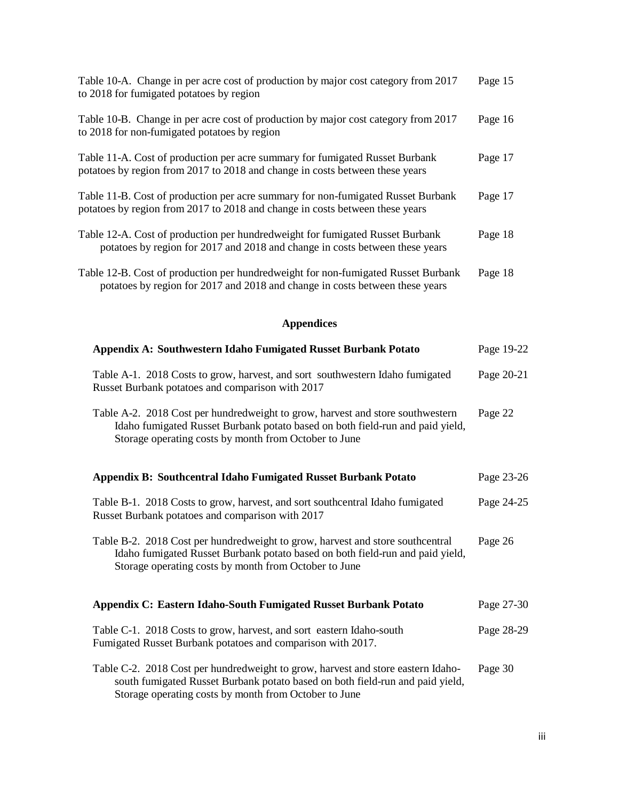| Table 10-A. Change in per acre cost of production by major cost category from 2017<br>to 2018 for fumigated potatoes by region                                     | Page 15 |
|--------------------------------------------------------------------------------------------------------------------------------------------------------------------|---------|
| Table 10-B. Change in per acre cost of production by major cost category from 2017<br>to 2018 for non-fumigated potatoes by region                                 | Page 16 |
| Table 11-A. Cost of production per acre summary for fumigated Russet Burbank<br>potatoes by region from 2017 to 2018 and change in costs between these years       | Page 17 |
| Table 11-B. Cost of production per acre summary for non-fumigated Russet Burbank<br>potatoes by region from 2017 to 2018 and change in costs between these years   | Page 17 |
| Table 12-A. Cost of production per hundred weight for fumigated Russet Burbank<br>potatoes by region for 2017 and 2018 and change in costs between these years     | Page 18 |
| Table 12-B. Cost of production per hundred weight for non-fumigated Russet Burbank<br>potatoes by region for 2017 and 2018 and change in costs between these years | Page 18 |

# **Appendices**

| Appendix A: Southwestern Idaho Fumigated Russet Burbank Potato                                                                                                                                                             | Page 19-22 |
|----------------------------------------------------------------------------------------------------------------------------------------------------------------------------------------------------------------------------|------------|
| Table A-1. 2018 Costs to grow, harvest, and sort southwestern Idaho fumigated<br>Russet Burbank potatoes and comparison with 2017                                                                                          | Page 20-21 |
| Table A-2. 2018 Cost per hundredweight to grow, harvest and store southwestern<br>Idaho fumigated Russet Burbank potato based on both field-run and paid yield,<br>Storage operating costs by month from October to June   | Page 22    |
| <b>Appendix B: Southcentral Idaho Fumigated Russet Burbank Potato</b>                                                                                                                                                      | Page 23-26 |
| Table B-1. 2018 Costs to grow, harvest, and sort southcentral Idaho fumigated<br>Russet Burbank potatoes and comparison with 2017                                                                                          | Page 24-25 |
| Table B-2. 2018 Cost per hundredweight to grow, harvest and store southcentral<br>Idaho fumigated Russet Burbank potato based on both field-run and paid yield,<br>Storage operating costs by month from October to June   | Page 26    |
| Appendix C: Eastern Idaho-South Fumigated Russet Burbank Potato                                                                                                                                                            | Page 27-30 |
| Table C-1. 2018 Costs to grow, harvest, and sort eastern Idaho-south<br>Fumigated Russet Burbank potatoes and comparison with 2017.                                                                                        | Page 28-29 |
| Table C-2. 2018 Cost per hundredweight to grow, harvest and store eastern Idaho-<br>south fumigated Russet Burbank potato based on both field-run and paid yield,<br>Storage operating costs by month from October to June | Page 30    |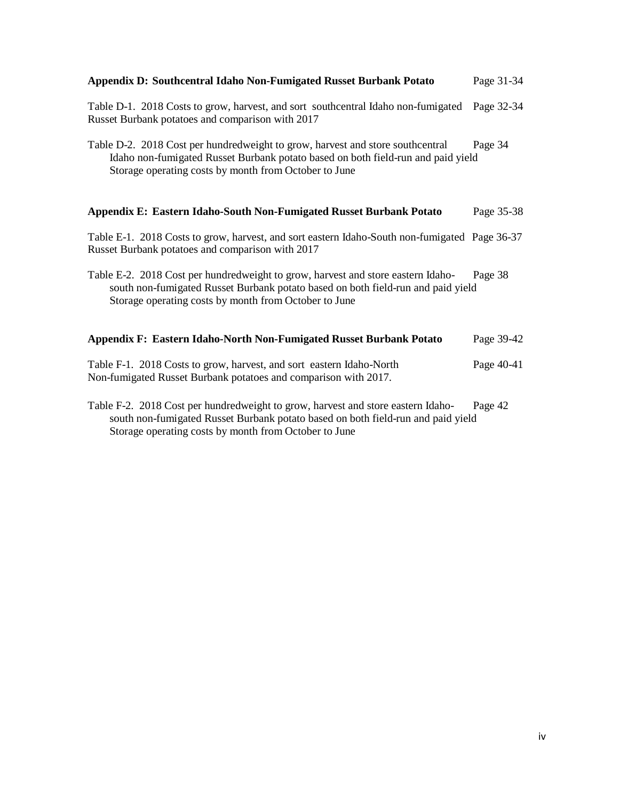| Appendix D: Southcentral Idaho Non-Fumigated Russet Burbank Potato                                                                                                                                                            | Page 31-34 |
|-------------------------------------------------------------------------------------------------------------------------------------------------------------------------------------------------------------------------------|------------|
| Table D-1. 2018 Costs to grow, harvest, and sort southcentral Idaho non-fumigated<br>Russet Burbank potatoes and comparison with 2017                                                                                         | Page 32-34 |
| Table D-2. 2018 Cost per hundredweight to grow, harvest and store southcentral<br>Idaho non-fumigated Russet Burbank potato based on both field-run and paid yield<br>Storage operating costs by month from October to June   | Page 34    |
| Appendix E: Eastern Idaho-South Non-Fumigated Russet Burbank Potato                                                                                                                                                           | Page 35-38 |
| Table E-1. 2018 Costs to grow, harvest, and sort eastern Idaho-South non-fumigated Page 36-37<br>Russet Burbank potatoes and comparison with 2017                                                                             |            |
| Table E-2. 2018 Cost per hundredweight to grow, harvest and store eastern Idaho-<br>south non-fumigated Russet Burbank potato based on both field-run and paid yield<br>Storage operating costs by month from October to June | Page 38    |
| Appendix F: Eastern Idaho-North Non-Fumigated Russet Burbank Potato                                                                                                                                                           | Page 39-42 |
| Table F-1. 2018 Costs to grow, harvest, and sort eastern Idaho-North<br>Non-fumigated Russet Burbank potatoes and comparison with 2017.                                                                                       | Page 40-41 |
| Table F-2. 2018 Cost per hundredweight to grow, harvest and store eastern Idaho-<br>south non-fumigated Russet Burbank potato based on both field-run and paid yield                                                          | Page 42    |

Storage operating costs by month from October to June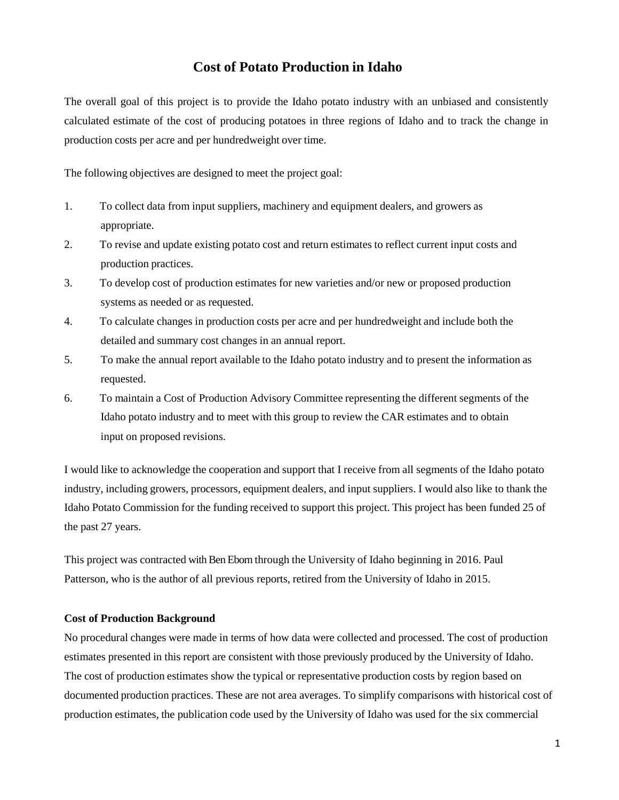# **Cost of Potato Production in Idaho**

The overall goal of this project is to provide the Idaho potato industry with an unbiased and consistently calculated estimate of the cost of producing potatoes in three regions of Idaho and to track the change in production costs per acre and per hundredweight over time.

The following objectives are designed to meet the project goal:

- 1. To collect data from input suppliers, machinery and equipment dealers, and growers as appropriate.
- 2. To revise and update existing potato cost and return estimates to reflect current input costs and production practices.
- 3. To develop cost of production estimates for new varieties and/or new or proposed production systems as needed or as requested.
- 4. To calculate changes in production costs per acre and per hundredweight and include both the detailed and summary cost changes in an annual report.
- 5. To make the annual report available to the Idaho potato industry and to present the information as requested.
- 6. To maintain a Cost of Production Advisory Committee representing the different segments of the Idaho potato industry and to meet with this group to review the CAR estimates and to obtain input on proposed revisions.

I would like to acknowledge the cooperation and support that I receive from all segments of the Idaho potato industry, including growers, processors, equipment dealers, and input suppliers. I would also like to thank the Idaho Potato Commission for the funding received to support this project. This project has been funded 25 of the past 27 years.

This project was contracted with Ben Eborn through the University of Idaho beginning in 2016. Paul Patterson, who is the author of all previous reports, retired from the University of Idaho in 2015.

## **Cost of Production Background**

No procedural changes were made in terms of how data were collected and processed. The cost of production estimates presented in this report are consistent with those previously produced by the University of Idaho. The cost of production estimates show the typical or representative production costs by region based on documented production practices. These are not area averages. To simplify comparisons with historical cost of production estimates, the publication code used by the University of Idaho was used for the six commercial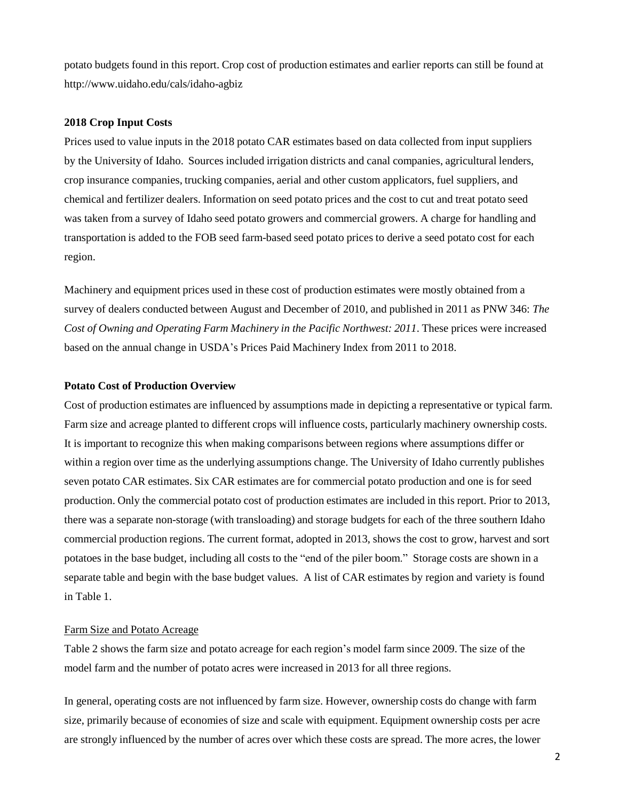potato budgets found in this report. Crop cost of production estimates and earlier reports can still be found at <http://www.uidaho.edu/cals/idaho-agbiz>

### **2018 Crop Input Costs**

Prices used to value inputs in the 2018 potato CAR estimates based on data collected from input suppliers by the University of Idaho. Sources included irrigation districts and canal companies, agricultural lenders, crop insurance companies, trucking companies, aerial and other custom applicators, fuel suppliers, and chemical and fertilizer dealers. Information on seed potato prices and the cost to cut and treat potato seed was taken from a survey of Idaho seed potato growers and commercial growers. A charge for handling and transportation is added to the FOB seed farm-based seed potato prices to derive a seed potato cost for each region.

Machinery and equipment prices used in these cost of production estimates were mostly obtained from a survey of dealers conducted between August and December of 2010, and published in 2011 as PNW 346: *The Cost of Owning and Operating Farm Machinery in the Pacific Northwest: 2011*. These prices were increased based on the annual change in USDA's Prices Paid Machinery Index from 2011 to 2018.

## **Potato Cost of Production Overview**

Cost of production estimates are influenced by assumptions made in depicting a representative or typical farm. Farm size and acreage planted to different crops will influence costs, particularly machinery ownership costs. It is important to recognize this when making comparisons between regions where assumptions differ or within a region over time as the underlying assumptions change. The University of Idaho currently publishes seven potato CAR estimates. Six CAR estimates are for commercial potato production and one is for seed production. Only the commercial potato cost of production estimates are included in this report. Prior to 2013, there was a separate non-storage (with transloading) and storage budgets for each of the three southern Idaho commercial production regions. The current format, adopted in 2013, shows the cost to grow, harvest and sort potatoes in the base budget, including all costs to the "end of the piler boom." Storage costs are shown in a separate table and begin with the base budget values. A list of CAR estimates by region and variety is found in Table 1.

# Farm Size and Potato Acreage

Table 2 shows the farm size and potato acreage for each region's model farm since 2009. The size of the model farm and the number of potato acres were increased in 2013 for all three regions.

In general, operating costs are not influenced by farm size. However, ownership costs do change with farm size, primarily because of economies of size and scale with equipment. Equipment ownership costs per acre are strongly influenced by the number of acres over which these costs are spread. The more acres, the lower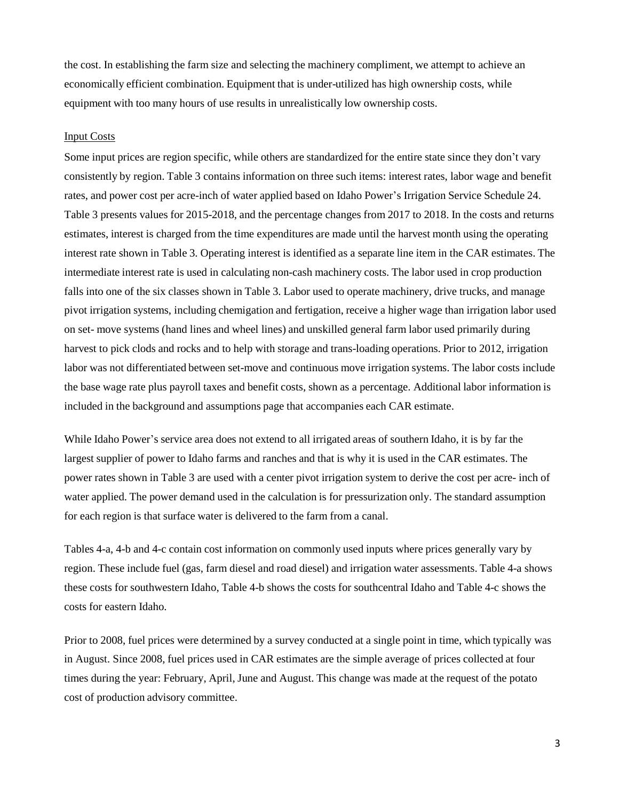the cost. In establishing the farm size and selecting the machinery compliment, we attempt to achieve an economically efficient combination. Equipment that is under-utilized has high ownership costs, while equipment with too many hours of use results in unrealistically low ownership costs.

## Input Costs

Some input prices are region specific, while others are standardized for the entire state since they don't vary consistently by region. Table 3 contains information on three such items: interest rates, labor wage and benefit rates, and power cost per acre-inch of water applied based on Idaho Power's Irrigation Service Schedule 24. Table 3 presents values for 2015-2018, and the percentage changes from 2017 to 2018. In the costs and returns estimates, interest is charged from the time expenditures are made until the harvest month using the operating interest rate shown in Table 3. Operating interest is identified as a separate line item in the CAR estimates. The intermediate interest rate is used in calculating non-cash machinery costs. The labor used in crop production falls into one of the six classes shown in Table 3. Labor used to operate machinery, drive trucks, and manage pivot irrigation systems, including chemigation and fertigation, receive a higher wage than irrigation labor used on set- move systems (hand lines and wheel lines) and unskilled general farm labor used primarily during harvest to pick clods and rocks and to help with storage and trans-loading operations. Prior to 2012, irrigation labor was not differentiated between set-move and continuous move irrigation systems. The labor costs include the base wage rate plus payroll taxes and benefit costs, shown as a percentage. Additional labor information is included in the background and assumptions page that accompanies each CAR estimate.

While Idaho Power's service area does not extend to all irrigated areas of southern Idaho, it is by far the largest supplier of power to Idaho farms and ranches and that is why it is used in the CAR estimates. The power rates shown in Table 3 are used with a center pivot irrigation system to derive the cost per acre- inch of water applied. The power demand used in the calculation is for pressurization only. The standard assumption for each region is that surface water is delivered to the farm from a canal.

Tables 4-a, 4-b and 4-c contain cost information on commonly used inputs where prices generally vary by region. These include fuel (gas, farm diesel and road diesel) and irrigation water assessments. Table 4-a shows these costs for southwestern Idaho, Table 4-b shows the costs for southcentral Idaho and Table 4-c shows the costs for eastern Idaho.

Prior to 2008, fuel prices were determined by a survey conducted at a single point in time, which typically was in August. Since 2008, fuel prices used in CAR estimates are the simple average of prices collected at four times during the year: February, April, June and August. This change was made at the request of the potato cost of production advisory committee.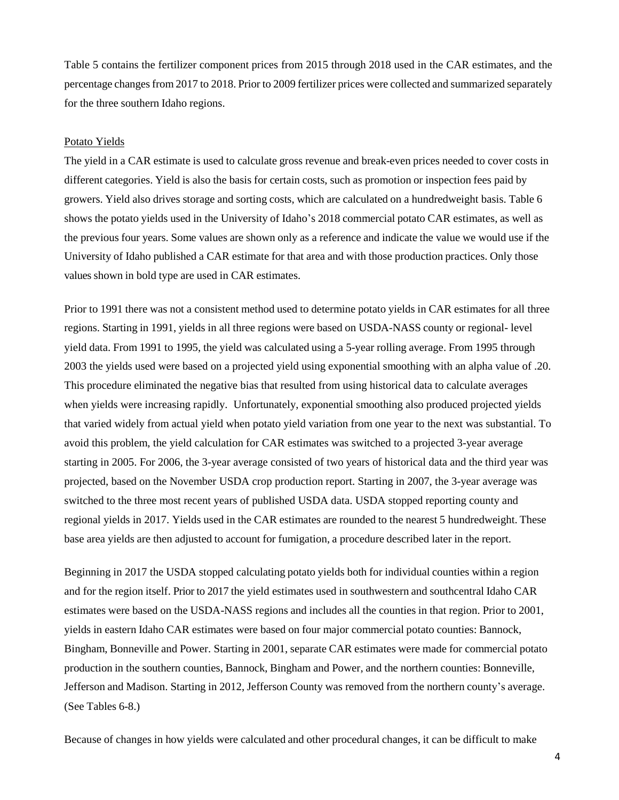Table 5 contains the fertilizer component prices from 2015 through 2018 used in the CAR estimates, and the percentage changesfrom 2017 to 2018. Prior to 2009 fertilizer prices were collected and summarized separately for the three southern Idaho regions.

#### Potato Yields

The yield in a CAR estimate is used to calculate gross revenue and break-even prices needed to cover costs in different categories. Yield is also the basis for certain costs, such as promotion or inspection fees paid by growers. Yield also drives storage and sorting costs, which are calculated on a hundredweight basis. Table 6 shows the potato yields used in the University of Idaho's 2018 commercial potato CAR estimates, as well as the previous four years. Some values are shown only as a reference and indicate the value we would use if the University of Idaho published a CAR estimate for that area and with those production practices. Only those values shown in bold type are used in CAR estimates.

Prior to 1991 there was not a consistent method used to determine potato yields in CAR estimates for all three regions. Starting in 1991, yields in all three regions were based on USDA-NASS county or regional- level yield data. From 1991 to 1995, the yield was calculated using a 5-year rolling average. From 1995 through 2003 the yields used were based on a projected yield using exponential smoothing with an alpha value of .20. This procedure eliminated the negative bias that resulted from using historical data to calculate averages when yields were increasing rapidly. Unfortunately, exponential smoothing also produced projected yields that varied widely from actual yield when potato yield variation from one year to the next was substantial. To avoid this problem, the yield calculation for CAR estimates was switched to a projected 3-year average starting in 2005. For 2006, the 3-year average consisted of two years of historical data and the third year was projected, based on the November USDA crop production report. Starting in 2007, the 3-year average was switched to the three most recent years of published USDA data. USDA stopped reporting county and regional yields in 2017. Yields used in the CAR estimates are rounded to the nearest 5 hundredweight. These base area yields are then adjusted to account for fumigation, a procedure described later in the report.

Beginning in 2017 the USDA stopped calculating potato yields both for individual counties within a region and for the region itself. Prior to 2017 the yield estimates used in southwestern and southcentral Idaho CAR estimates were based on the USDA-NASS regions and includes all the counties in that region. Prior to 2001, yields in eastern Idaho CAR estimates were based on four major commercial potato counties: Bannock, Bingham, Bonneville and Power. Starting in 2001, separate CAR estimates were made for commercial potato production in the southern counties, Bannock, Bingham and Power, and the northern counties: Bonneville, Jefferson and Madison. Starting in 2012, Jefferson County was removed from the northern county's average. (See Tables 6-8.)

Because of changes in how yields were calculated and other procedural changes, it can be difficult to make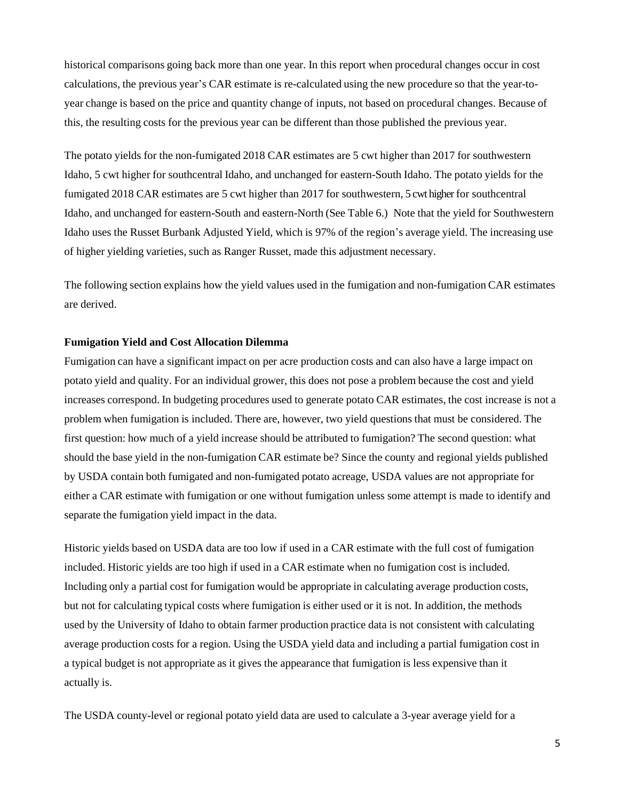historical comparisons going back more than one year. In this report when procedural changes occur in cost calculations, the previous year's CAR estimate is re-calculated using the new procedure so that the year-toyear change is based on the price and quantity change of inputs, not based on procedural changes. Because of this, the resulting costs for the previous year can be different than those published the previous year.

The potato yields for the non-fumigated 2018 CAR estimates are 5 cwt higher than 2017 for southwestern Idaho, 5 cwt higher for southcentral Idaho, and unchanged for eastern-South Idaho. The potato yields for the fumigated 2018 CAR estimates are 5 cwt higher than 2017 for southwestern, 5 cwt higher for southcentral Idaho, and unchanged for eastern-South and eastern-North (See Table 6.) Note that the yield for Southwestern Idaho uses the Russet Burbank Adjusted Yield, which is 97% of the region's average yield. The increasing use of higher yielding varieties, such as Ranger Russet, made this adjustment necessary.

The following section explains how the yield values used in the fumigation and non-fumigation CAR estimates are derived.

#### **Fumigation Yield and Cost Allocation Dilemma**

Fumigation can have a significant impact on per acre production costs and can also have a large impact on potato yield and quality. For an individual grower, this does not pose a problem because the cost and yield increases correspond. In budgeting procedures used to generate potato CAR estimates, the cost increase is not a problem when fumigation is included. There are, however, two yield questions that must be considered. The first question: how much of a yield increase should be attributed to fumigation? The second question: what should the base yield in the non-fumigation CAR estimate be? Since the county and regional yields published by USDA contain both fumigated and non-fumigated potato acreage, USDA values are not appropriate for either a CAR estimate with fumigation or one without fumigation unless some attempt is made to identify and separate the fumigation yield impact in the data.

Historic yields based on USDA data are too low if used in a CAR estimate with the full cost of fumigation included. Historic yields are too high if used in a CAR estimate when no fumigation cost is included. Including only a partial cost for fumigation would be appropriate in calculating average production costs, but not for calculating typical costs where fumigation is either used or it is not. In addition, the methods used by the University of Idaho to obtain farmer production practice data is not consistent with calculating average production costs for a region. Using the USDA yield data and including a partial fumigation cost in a typical budget is not appropriate as it gives the appearance that fumigation is less expensive than it actually is.

The USDA county-level or regional potato yield data are used to calculate a 3-year average yield for a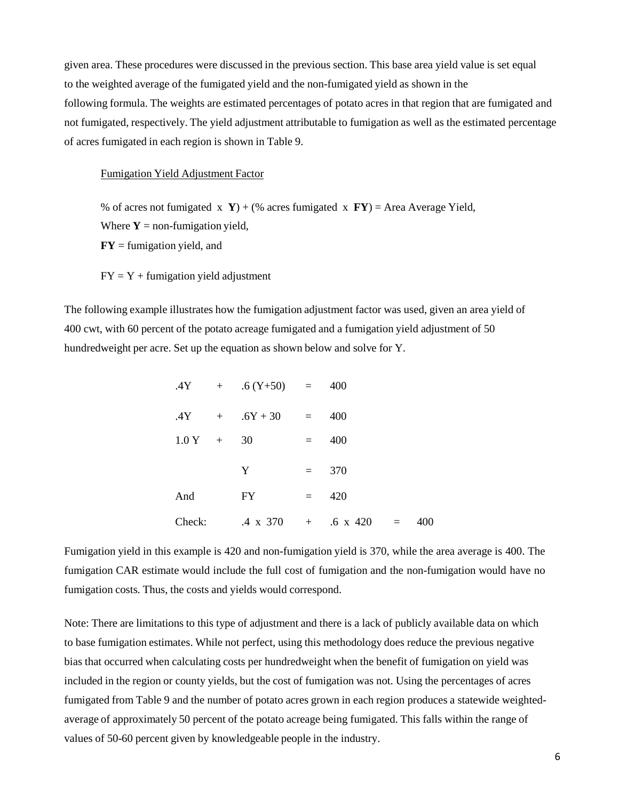given area. These procedures were discussed in the previous section. This base area yield value is set equal to the weighted average of the fumigated yield and the non-fumigated yield as shown in the following formula. The weights are estimated percentages of potato acres in that region that are fumigated and not fumigated, respectively. The yield adjustment attributable to fumigation as well as the estimated percentage of acres fumigated in each region is shown in Table 9.

#### Fumigation Yield Adjustment Factor

% of acres not fumigated x **Y**) + (% acres fumigated x **FY**) = Area Average Yield, Where  $Y = \text{non-fumigation yield}$ ,

**FY** = fumigation yield, and

 $FY = Y +$  fumigation yield adjustment

The following example illustrates how the fumigation adjustment factor was used, given an area yield of 400 cwt, with 60 percent of the potato acreage fumigated and a fumigation yield adjustment of 50 hundredweight per acre. Set up the equation as shown below and solve for Y.

|           | $.4Y + .6(Y+50) = 400$            |         |     |     |
|-----------|-----------------------------------|---------|-----|-----|
|           | $.4Y + .6Y + 30 =$                |         | 400 |     |
| $1.0 Y +$ | 30                                | $=$     | 400 |     |
|           | Y                                 | $=$ $-$ | 370 |     |
| And       | FY                                | $=$     | 420 |     |
| Check:    | $.4 \times 370 + .6 \times 420 =$ |         |     | 400 |

Fumigation yield in this example is 420 and non-fumigation yield is 370, while the area average is 400. The fumigation CAR estimate would include the full cost of fumigation and the non-fumigation would have no fumigation costs. Thus, the costs and yields would correspond.

Note: There are limitations to this type of adjustment and there is a lack of publicly available data on which to base fumigation estimates. While not perfect, using this methodology does reduce the previous negative bias that occurred when calculating costs per hundredweight when the benefit of fumigation on yield was included in the region or county yields, but the cost of fumigation was not. Using the percentages of acres fumigated from Table 9 and the number of potato acres grown in each region produces a statewide weightedaverage of approximately 50 percent of the potato acreage being fumigated. This falls within the range of values of 50-60 percent given by knowledgeable people in the industry.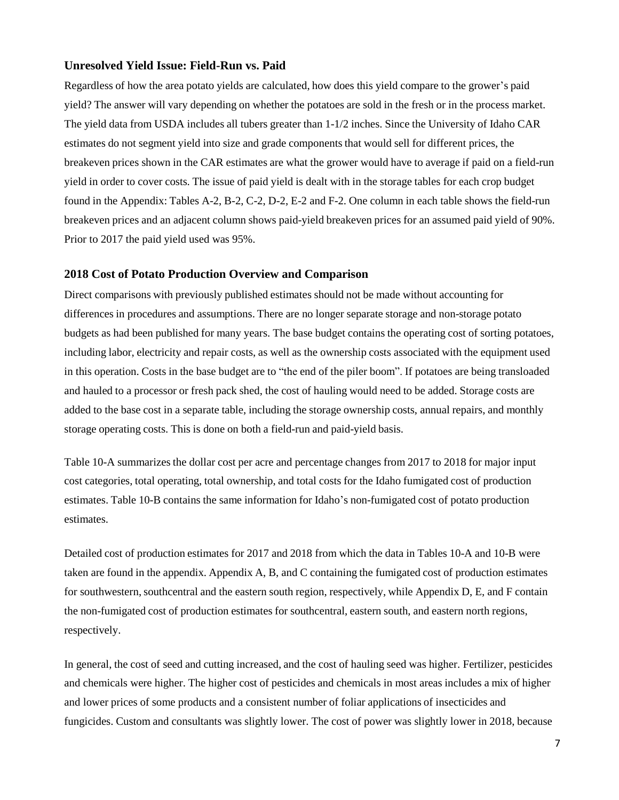# **Unresolved Yield Issue: Field-Run vs. Paid**

Regardless of how the area potato yields are calculated, how does this yield compare to the grower's paid yield? The answer will vary depending on whether the potatoes are sold in the fresh or in the process market. The yield data from USDA includes all tubers greater than 1-1/2 inches. Since the University of Idaho CAR estimates do not segment yield into size and grade components that would sell for different prices, the breakeven prices shown in the CAR estimates are what the grower would have to average if paid on a field-run yield in order to cover costs. The issue of paid yield is dealt with in the storage tables for each crop budget found in the Appendix: Tables A-2, B-2, C-2, D-2, E-2 and F-2. One column in each table shows the field-run breakeven prices and an adjacent column shows paid-yield breakeven prices for an assumed paid yield of 90%. Prior to 2017 the paid yield used was 95%.

# **2018 Cost of Potato Production Overview and Comparison**

Direct comparisons with previously published estimates should not be made without accounting for differences in procedures and assumptions. There are no longer separate storage and non-storage potato budgets as had been published for many years. The base budget contains the operating cost of sorting potatoes, including labor, electricity and repair costs, as well as the ownership costs associated with the equipment used in this operation. Costs in the base budget are to "the end of the piler boom". If potatoes are being transloaded and hauled to a processor or fresh pack shed, the cost of hauling would need to be added. Storage costs are added to the base cost in a separate table, including the storage ownership costs, annual repairs, and monthly storage operating costs. This is done on both a field-run and paid-yield basis.

Table 10-A summarizes the dollar cost per acre and percentage changes from 2017 to 2018 for major input cost categories, total operating, total ownership, and total costs for the Idaho fumigated cost of production estimates. Table 10-B contains the same information for Idaho's non-fumigated cost of potato production estimates.

Detailed cost of production estimates for 2017 and 2018 from which the data in Tables 10-A and 10-B were taken are found in the appendix. Appendix A, B, and C containing the fumigated cost of production estimates for southwestern, southcentral and the eastern south region, respectively, while Appendix D, E, and F contain the non-fumigated cost of production estimates for southcentral, eastern south, and eastern north regions, respectively.

In general, the cost of seed and cutting increased, and the cost of hauling seed was higher. Fertilizer, pesticides and chemicals were higher. The higher cost of pesticides and chemicals in most areas includes a mix of higher and lower prices of some products and a consistent number of foliar applications of insecticides and fungicides. Custom and consultants was slightly lower. The cost of power was slightly lower in 2018, because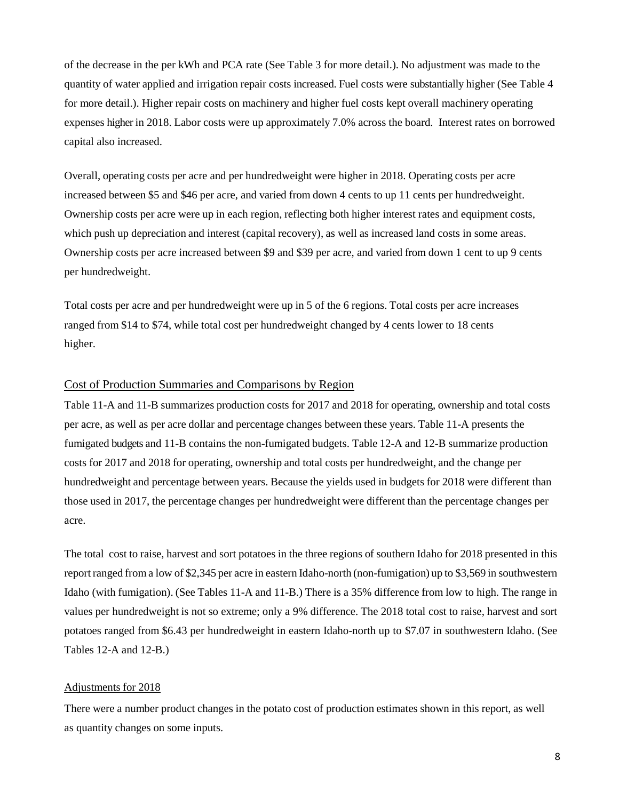of the decrease in the per kWh and PCA rate (See Table 3 for more detail.). No adjustment was made to the quantity of water applied and irrigation repair costs increased. Fuel costs were substantially higher (See Table 4 for more detail.). Higher repair costs on machinery and higher fuel costs kept overall machinery operating expenses higher in 2018. Labor costs were up approximately 7.0% across the board. Interest rates on borrowed capital also increased.

Overall, operating costs per acre and per hundredweight were higher in 2018. Operating costs per acre increased between \$5 and \$46 per acre, and varied from down 4 cents to up 11 cents per hundredweight. Ownership costs per acre were up in each region, reflecting both higher interest rates and equipment costs, which push up depreciation and interest (capital recovery), as well as increased land costs in some areas. Ownership costs per acre increased between \$9 and \$39 per acre, and varied from down 1 cent to up 9 cents per hundredweight.

Total costs per acre and per hundredweight were up in 5 of the 6 regions. Total costs per acre increases ranged from \$14 to \$74, while total cost per hundredweight changed by 4 cents lower to 18 cents higher.

# Cost of Production Summaries and Comparisons by Region

Table 11-A and 11-B summarizes production costs for 2017 and 2018 for operating, ownership and total costs per acre, as well as per acre dollar and percentage changes between these years. Table 11-A presents the fumigated budgets and 11-B contains the non-fumigated budgets. Table 12-A and 12-B summarize production costs for 2017 and 2018 for operating, ownership and total costs per hundredweight, and the change per hundredweight and percentage between years. Because the yields used in budgets for 2018 were different than those used in 2017, the percentage changes per hundredweight were different than the percentage changes per acre.

The total cost to raise, harvest and sort potatoes in the three regions of southern Idaho for 2018 presented in this report ranged from a low of \$2,345 per acre in eastern Idaho-north (non-fumigation) up to \$3,569 in southwestern Idaho (with fumigation). (See Tables 11-A and 11-B.) There is a 35% difference from low to high. The range in values per hundredweight is not so extreme; only a 9% difference. The 2018 total cost to raise, harvest and sort potatoes ranged from \$6.43 per hundredweight in eastern Idaho-north up to \$7.07 in southwestern Idaho. (See Tables 12-A and 12-B.)

### Adjustments for 2018

There were a number product changes in the potato cost of production estimates shown in this report, as well as quantity changes on some inputs.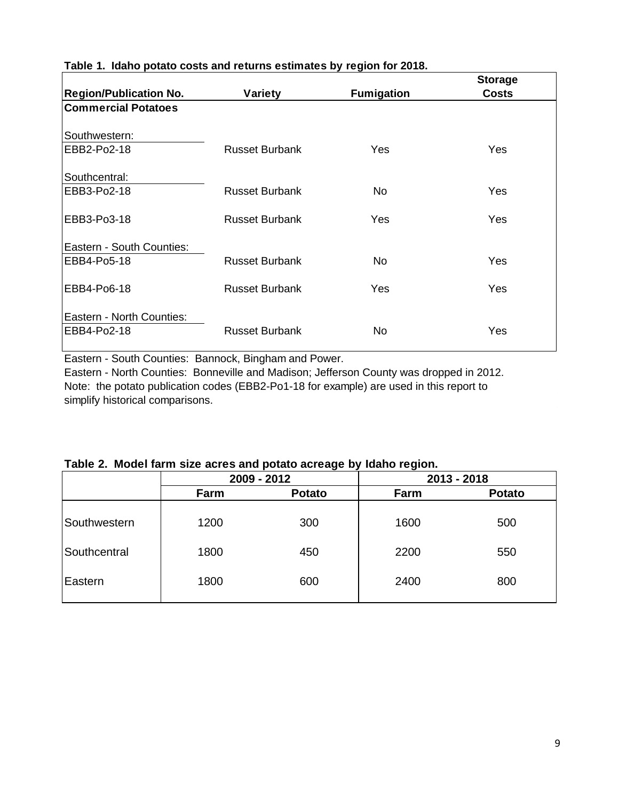|                                          |                       |                   | <b>Storage</b> |
|------------------------------------------|-----------------------|-------------------|----------------|
| <b>Region/Publication No.</b>            | Variety               | <b>Fumigation</b> | <b>Costs</b>   |
| <b>Commercial Potatoes</b>               |                       |                   |                |
| Southwestern:                            |                       |                   |                |
| EBB2-Po2-18                              | <b>Russet Burbank</b> | <b>Yes</b>        | Yes            |
| Southcentral:                            |                       |                   |                |
| EBB3-Po2-18                              | <b>Russet Burbank</b> | No.               | <b>Yes</b>     |
| EBB3-Po3-18                              | <b>Russet Burbank</b> | <b>Yes</b>        | <b>Yes</b>     |
| Eastern - South Counties:                |                       |                   |                |
| EBB4-Po5-18                              | <b>Russet Burbank</b> | No.               | Yes            |
| EBB4-Po6-18                              | <b>Russet Burbank</b> | Yes               | <b>Yes</b>     |
| Eastern - North Counties:<br>EBB4-Po2-18 | <b>Russet Burbank</b> | No.               | Yes            |

# **Table 1. Idaho potato costs and returns estimates by region for 2018.**

Eastern - South Counties: Bannock, Bingham and Power.

Eastern - North Counties: Bonneville and Madison; Jefferson County was dropped in 2012. Note: the potato publication codes (EBB2-Po1-18 for example) are used in this report to simplify historical comparisons.

# **Table 2. Model farm size acres and potato acreage by Idaho region.**

|              | 2009 - 2012 |               |      | 2013 - 2018   |
|--------------|-------------|---------------|------|---------------|
|              | Farm        | <b>Potato</b> | Farm | <b>Potato</b> |
| Southwestern | 1200        | 300           | 1600 | 500           |
| Southcentral | 1800        | 450           | 2200 | 550           |
| Eastern      | 1800        | 600           | 2400 | 800           |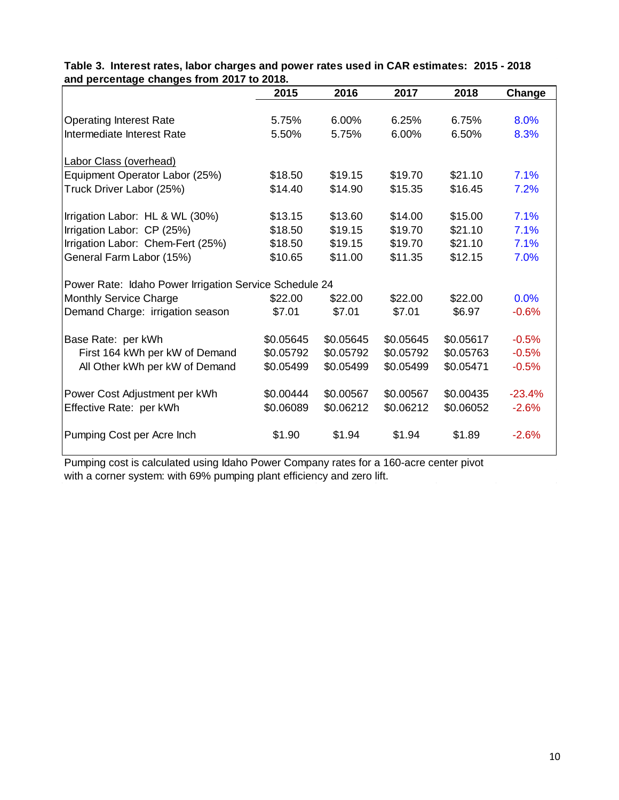|                                                        | 2015      | 2016      | 2017      | 2018      | Change   |
|--------------------------------------------------------|-----------|-----------|-----------|-----------|----------|
|                                                        |           |           |           |           |          |
| <b>Operating Interest Rate</b>                         | 5.75%     | 6.00%     | 6.25%     | 6.75%     | 8.0%     |
| Intermediate Interest Rate                             | 5.50%     | 5.75%     | 6.00%     | 6.50%     | 8.3%     |
| <b>Labor Class (overhead)</b>                          |           |           |           |           |          |
| Equipment Operator Labor (25%)                         | \$18.50   | \$19.15   | \$19.70   | \$21.10   | 7.1%     |
| Truck Driver Labor (25%)                               | \$14.40   | \$14.90   | \$15.35   | \$16.45   | 7.2%     |
| Irrigation Labor: HL & WL (30%)                        | \$13.15   | \$13.60   | \$14.00   | \$15.00   | 7.1%     |
| Irrigation Labor: CP (25%)                             | \$18.50   | \$19.15   | \$19.70   | \$21.10   | 7.1%     |
| Irrigation Labor: Chem-Fert (25%)                      | \$18.50   | \$19.15   | \$19.70   | \$21.10   | 7.1%     |
| General Farm Labor (15%)                               | \$10.65   | \$11.00   | \$11.35   | \$12.15   | 7.0%     |
| Power Rate: Idaho Power Irrigation Service Schedule 24 |           |           |           |           |          |
| Monthly Service Charge                                 | \$22.00   | \$22.00   | \$22.00   | \$22.00   | 0.0%     |
| Demand Charge: irrigation season                       | \$7.01    | \$7.01    | \$7.01    | \$6.97    | $-0.6%$  |
| Base Rate: per kWh                                     | \$0.05645 | \$0.05645 | \$0.05645 | \$0.05617 | $-0.5%$  |
| First 164 kWh per kW of Demand                         | \$0.05792 | \$0.05792 | \$0.05792 | \$0.05763 | $-0.5%$  |
| All Other kWh per kW of Demand                         | \$0.05499 | \$0.05499 | \$0.05499 | \$0.05471 | $-0.5%$  |
|                                                        | \$0.00444 | \$0.00567 | \$0.00567 | \$0.00435 | $-23.4%$ |
| Power Cost Adjustment per kWh                          |           |           |           |           |          |
| Effective Rate: per kWh                                | \$0.06089 | \$0.06212 | \$0.06212 | \$0.06052 | $-2.6%$  |
| Pumping Cost per Acre Inch                             | \$1.90    | \$1.94    | \$1.94    | \$1.89    | $-2.6%$  |

**and percentage changes from 2017 to 2018. Table 3. Interest rates, labor charges and power rates used in CAR estimates: 2015 - 2018**

Pumping cost is calculated using Idaho Power Company rates for a 160-acre center pivot with a corner system: with 69% pumping plant efficiency and zero lift.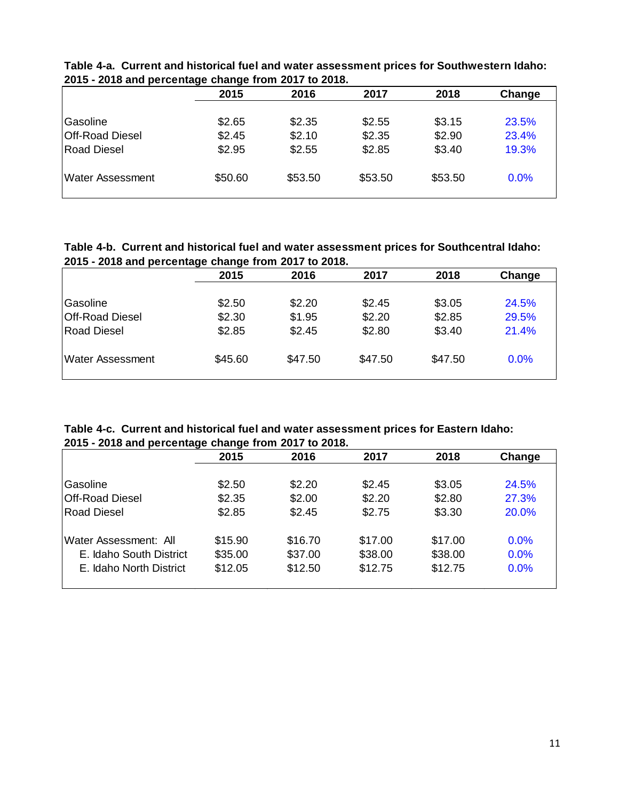|                         | 2015    | 2016    | 2017    | 2018    | Change |
|-------------------------|---------|---------|---------|---------|--------|
| Gasoline                |         | \$2.35  |         |         | 23.5%  |
|                         | \$2.65  |         | \$2.55  | \$3.15  |        |
| Off-Road Diesel         | \$2.45  | \$2.10  | \$2.35  | \$2.90  | 23.4%  |
| Road Diesel             | \$2.95  | \$2.55  | \$2.85  | \$3.40  | 19.3%  |
| <b>Water Assessment</b> | \$50.60 | \$53.50 | \$53.50 | \$53.50 | 0.0%   |

**Table 4-a. Current and historical fuel and water assessment prices for Southwestern Idaho: 2015 - 2018 and percentage change from 2017 to 2018.**

**Table 4-b. Current and historical fuel and water assessment prices for Southcentral Idaho: 2015 - 2018 and percentage change from 2017 to 2018.**

|                         | 2015    | 2016    | 2017    | 2018    | Change |
|-------------------------|---------|---------|---------|---------|--------|
| Gasoline                | \$2.50  | \$2.20  | \$2.45  | \$3.05  | 24.5%  |
| Off-Road Diesel         | \$2.30  | \$1.95  | \$2.20  | \$2.85  | 29.5%  |
| Road Diesel             | \$2.85  | \$2.45  | \$2.80  | \$3.40  | 21.4%  |
| <b>Water Assessment</b> | \$45.60 | \$47.50 | \$47.50 | \$47.50 | 0.0%   |

**Table 4-c. Current and historical fuel and water assessment prices for Eastern Idaho: 2015 - 2018 and percentage change from 2017 to 2018.**

| 2015    | 2016    | 2017    | 2018               | Change  |
|---------|---------|---------|--------------------|---------|
|         |         |         |                    |         |
| \$2.50  | \$2.20  | \$2.45  | \$3.05             | 24.5%   |
| \$2.35  | \$2.00  | \$2.20  | \$2.80             | 27.3%   |
| \$2.85  | \$2.45  | \$2.75  | \$3.30             | 20.0%   |
| \$15.90 | \$16.70 | \$17.00 | \$17.00            | 0.0%    |
| \$35.00 | \$37.00 | \$38.00 | \$38.00            | $0.0\%$ |
| \$12.05 |         |         | \$12.75            | 0.0%    |
|         |         |         | \$12.50<br>\$12.75 |         |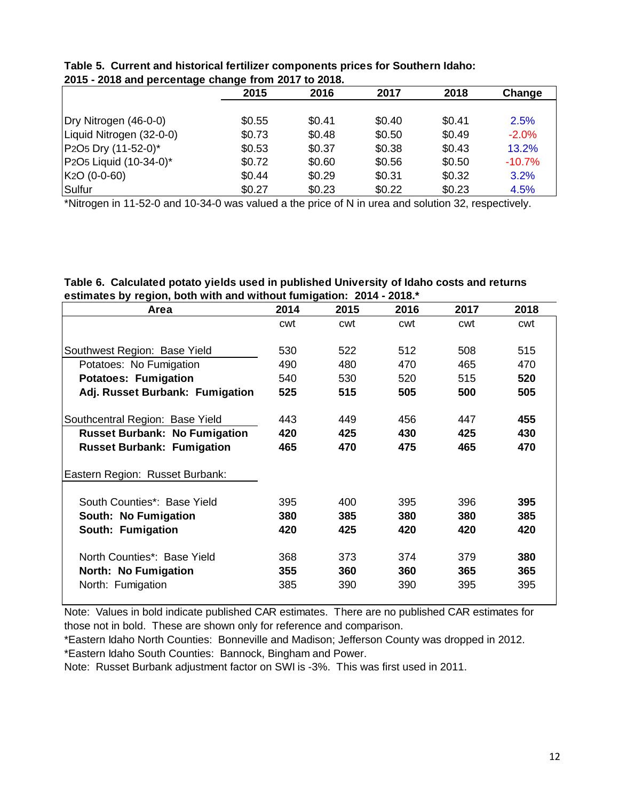|                                                             | 2015   | 2016   | 2017   | 2018   | Change   |
|-------------------------------------------------------------|--------|--------|--------|--------|----------|
|                                                             |        |        |        |        |          |
| Dry Nitrogen (46-0-0)                                       | \$0.55 | \$0.41 | \$0.40 | \$0.41 | 2.5%     |
| Liquid Nitrogen (32-0-0)                                    | \$0.73 | \$0.48 | \$0.50 | \$0.49 | $-2.0\%$ |
| P <sub>2</sub> O <sub>5</sub> Dry (11-52-0) <sup>*</sup>    | \$0.53 | \$0.37 | \$0.38 | \$0.43 | 13.2%    |
| P <sub>2</sub> O <sub>5</sub> Liquid (10-34-0) <sup>*</sup> | \$0.72 | \$0.60 | \$0.56 | \$0.50 | $-10.7%$ |
| K <sub>2</sub> O (0-0-60)                                   | \$0.44 | \$0.29 | \$0.31 | \$0.32 | 3.2%     |
| Sulfur                                                      | \$0.27 | \$0.23 | \$0.22 | \$0.23 | 4.5%     |

|  | Table 5. Current and historical fertilizer components prices for Southern Idaho: |  |  |
|--|----------------------------------------------------------------------------------|--|--|
|  | 2015 - 2018 and percentage change from 2017 to 2018.                             |  |  |

\*Nitrogen in 11-52-0 and 10-34-0 was valued a the price of N in urea and solution 32, respectively.

| Table 6. Calculated potato yields used in published University of Idaho costs and returns |
|-------------------------------------------------------------------------------------------|
| estimates by region, both with and without fumigation: 2014 - 2018.*                      |

| Area                                 | 2014 | 2015 | 2016 | 2017 | 2018 |
|--------------------------------------|------|------|------|------|------|
|                                      | cwt  | cwt  | cwt  | cwt  | cwt  |
| Southwest Region: Base Yield         | 530  | 522  | 512  | 508  | 515  |
| Potatoes: No Fumigation              | 490  | 480  | 470  | 465  | 470  |
| <b>Potatoes: Fumigation</b>          | 540  | 530  | 520  | 515  | 520  |
| Adj. Russet Burbank: Fumigation      | 525  | 515  | 505  | 500  | 505  |
| Southcentral Region: Base Yield      | 443  | 449  | 456  | 447  | 455  |
| <b>Russet Burbank: No Fumigation</b> | 420  | 425  | 430  | 425  | 430  |
| <b>Russet Burbank: Fumigation</b>    | 465  | 470  | 475  | 465  | 470  |
| Eastern Region: Russet Burbank:      |      |      |      |      |      |
| South Counties*: Base Yield          | 395  | 400  | 395  | 396  | 395  |
| South: No Fumigation                 | 380  | 385  | 380  | 380  | 385  |
| South: Fumigation                    | 420  | 425  | 420  | 420  | 420  |
| North Counties*: Base Yield          | 368  | 373  | 374  | 379  | 380  |
| North: No Fumigation                 | 355  | 360  | 360  | 365  | 365  |
| North: Fumigation                    | 385  | 390  | 390  | 395  | 395  |

Note: Values in bold indicate published CAR estimates. There are no published CAR estimates for those not in bold. These are shown only for reference and comparison.

\*Eastern Idaho North Counties: Bonneville and Madison; Jefferson County was dropped in 2012. \*Eastern Idaho South Counties: Bannock, Bingham and Power.

Note: Russet Burbank adjustment factor on SWI is -3%. This was first used in 2011.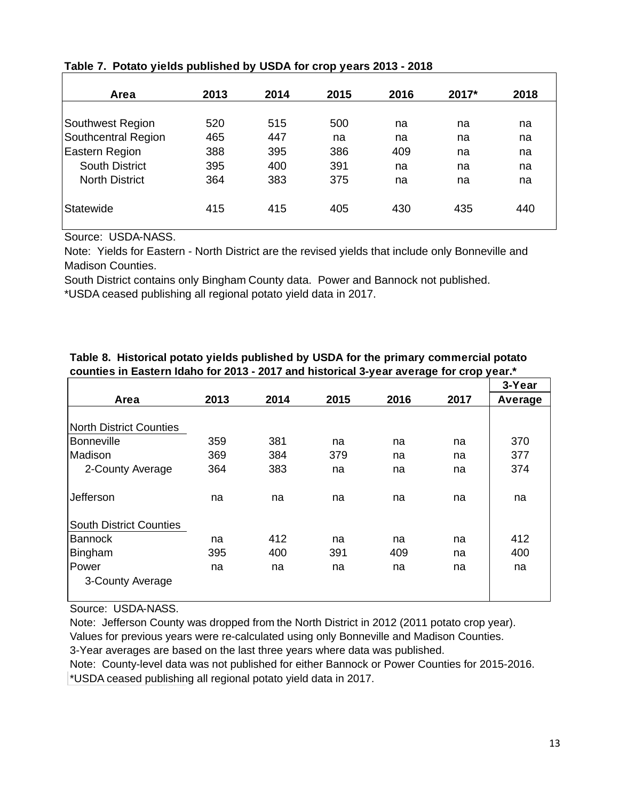| Area                  | 2013 | 2014 | 2015 | 2016 | 2017* | 2018 |
|-----------------------|------|------|------|------|-------|------|
|                       |      |      |      |      |       |      |
| Southwest Region      | 520  | 515  | 500  | na   | na    | na   |
| Southcentral Region   | 465  | 447  | na   | na   | na    | na   |
| Eastern Region        | 388  | 395  | 386  | 409  | na    | na   |
| <b>South District</b> | 395  | 400  | 391  | na   | na    | na   |
| <b>North District</b> | 364  | 383  | 375  | na   | na    | na   |
|                       |      |      |      |      |       |      |
| Statewide             | 415  | 415  | 405  | 430  | 435   | 440  |
|                       |      |      |      |      |       |      |

# **Table 7. Potato yields published by USDA for crop years 2013 - 2018**

Source: USDA-NASS.

Note: Yields for Eastern - North District are the revised yields that include only Bonneville and Madison Counties.

South District contains only Bingham County data. Power and Bannock not published.

\*USDA ceased publishing all regional potato yield data in 2017.

|                                |      |      |      |      |      | 3-Year  |
|--------------------------------|------|------|------|------|------|---------|
| Area                           | 2013 | 2014 | 2015 | 2016 | 2017 | Average |
|                                |      |      |      |      |      |         |
| <b>North District Counties</b> |      |      |      |      |      |         |
| Bonneville                     | 359  | 381  | na   | na   | na   | 370     |
| Madison                        | 369  | 384  | 379  | na   | na   | 377     |
| 2-County Average               | 364  | 383  | na   | na   | na   | 374     |
|                                |      |      |      |      |      |         |
| Jefferson                      | na   | na   | na   | na   | na   | na      |
|                                |      |      |      |      |      |         |
| <b>South District Counties</b> |      |      |      |      |      |         |
| <b>Bannock</b>                 | na   | 412  | na   | na   | na   | 412     |
| Bingham                        | 395  | 400  | 391  | 409  | na   | 400     |
| Power                          | na   | na   | na   | na   | na   | na      |
| 3-County Average               |      |      |      |      |      |         |
|                                |      |      |      |      |      |         |

# **Table 8. Historical potato yields published by USDA for the primary commercial potato counties in Eastern Idaho for 2013 - 2017 and historical 3-year average for crop year.\***

Source: USDA-NASS.

Note: Jefferson County was dropped from the North District in 2012 (2011 potato crop year). Values for previous years were re-calculated using only Bonneville and Madison Counties.

3-Year averages are based on the last three years where data was published.

\*USDA ceased publishing all regional potato yield data in 2017. Note: County-level data was not published for either Bannock or Power Counties for 2015-2016.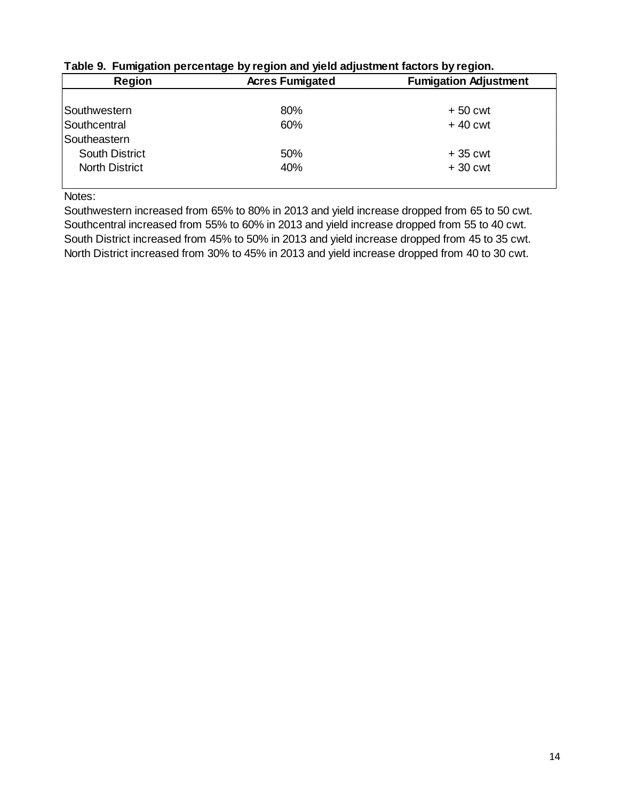| <b>Region</b>         | <b>Acres Fumigated</b> | <b>Fumigation Adjustment</b> |
|-----------------------|------------------------|------------------------------|
|                       |                        |                              |
| <b>Southwestern</b>   | 80%                    | $+50$ cwt                    |
| Southcentral          | 60%                    | $+40$ cwt                    |
| Southeastern          |                        |                              |
| <b>South District</b> | 50%                    | $+35$ cwt                    |
| <b>North District</b> | 40%                    | $+30$ cwt                    |
|                       |                        |                              |

# **Table 9. Fumigation percentage by region and yield adjustment factors by region.**

Notes:

Southwestern increased from 65% to 80% in 2013 and yield increase dropped from 65 to 50 cwt. Southcentral increased from 55% to 60% in 2013 and yield increase dropped from 55 to 40 cwt. South District increased from 45% to 50% in 2013 and yield increase dropped from 45 to 35 cwt. North District increased from 30% to 45% in 2013 and yield increase dropped from 40 to 30 cwt.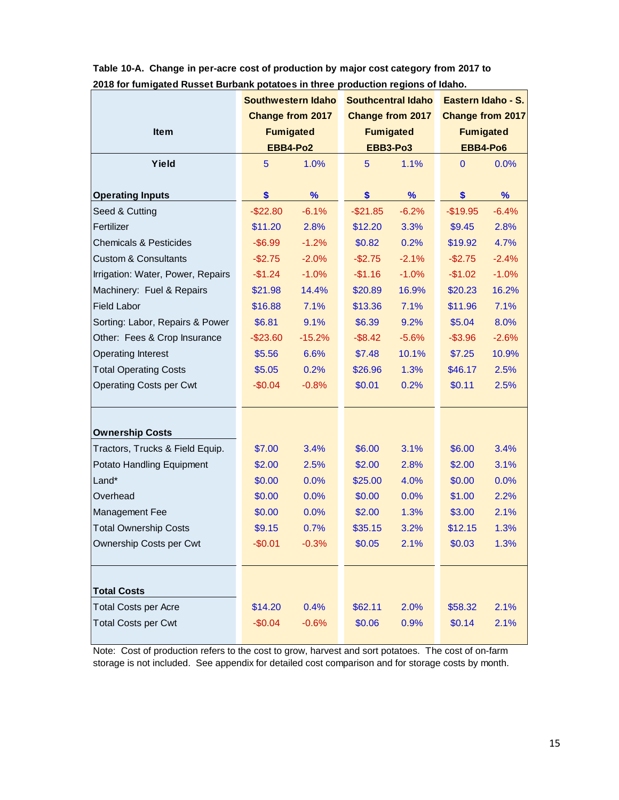|                                   | <b>Southwestern Idaho</b> |                         | <b>Southcentral Idaho</b> |         | Eastern Idaho - S.      |         |
|-----------------------------------|---------------------------|-------------------------|---------------------------|---------|-------------------------|---------|
|                                   |                           | <b>Change from 2017</b> | Change from 2017          |         | <b>Change from 2017</b> |         |
| <b>Item</b>                       |                           | <b>Fumigated</b>        | <b>Fumigated</b>          |         | <b>Fumigated</b>        |         |
|                                   |                           | EBB4-Po2                | <b>EBB3-Po3</b>           |         | EBB4-Po6                |         |
| Yield                             | 5                         | 1.0%                    | 5                         | 1.1%    | $\mathbf{0}$            | 0.0%    |
|                                   |                           |                         |                           |         |                         |         |
| <b>Operating Inputs</b>           | \$                        | $\%$                    | \$                        | %       | \$                      | %       |
| Seed & Cutting                    | $-$22.80$                 | $-6.1%$                 | $-$21.85$                 | $-6.2%$ | $-$19.95$               | $-6.4%$ |
| Fertilizer                        | \$11.20                   | 2.8%                    | \$12.20                   | 3.3%    | \$9.45                  | 2.8%    |
| <b>Chemicals &amp; Pesticides</b> | $-$ \$6.99                | $-1.2%$                 | \$0.82                    | 0.2%    | \$19.92                 | 4.7%    |
| <b>Custom &amp; Consultants</b>   | $-$2.75$                  | $-2.0%$                 | $-$2.75$                  | $-2.1%$ | $-$2.75$                | $-2.4%$ |
| Irrigation: Water, Power, Repairs | $-$1.24$                  | $-1.0%$                 | $-$1.16$                  | $-1.0%$ | $-$1.02$                | $-1.0%$ |
| Machinery: Fuel & Repairs         | \$21.98                   | 14.4%                   | \$20.89                   | 16.9%   | \$20.23                 | 16.2%   |
| <b>Field Labor</b>                | \$16.88                   | 7.1%                    | \$13.36                   | 7.1%    | \$11.96                 | 7.1%    |
| Sorting: Labor, Repairs & Power   | \$6.81                    | 9.1%                    | \$6.39                    | 9.2%    | \$5.04                  | 8.0%    |
| Other: Fees & Crop Insurance      | $-$ \$23.60               | $-15.2%$                | $-$ \$8.42                | $-5.6%$ | $-$ \$3.96              | $-2.6%$ |
| <b>Operating Interest</b>         | \$5.56                    | 6.6%                    | \$7.48                    | 10.1%   | \$7.25                  | 10.9%   |
| <b>Total Operating Costs</b>      | \$5.05                    | 0.2%                    | \$26.96                   | 1.3%    | \$46.17                 | 2.5%    |
| <b>Operating Costs per Cwt</b>    | $-$0.04$                  | $-0.8%$                 | \$0.01                    | 0.2%    | \$0.11                  | 2.5%    |
|                                   |                           |                         |                           |         |                         |         |
|                                   |                           |                         |                           |         |                         |         |
| <b>Ownership Costs</b>            |                           |                         |                           |         |                         |         |
| Tractors, Trucks & Field Equip.   | \$7.00                    | 3.4%                    | \$6.00                    | 3.1%    | \$6.00                  | 3.4%    |
| Potato Handling Equipment         | \$2.00                    | 2.5%                    | \$2.00                    | 2.8%    | \$2.00                  | 3.1%    |
| Land*                             | \$0.00                    | 0.0%                    | \$25.00                   | 4.0%    | \$0.00                  | 0.0%    |
| Overhead                          | \$0.00                    | 0.0%                    | \$0.00                    | 0.0%    | \$1.00                  | 2.2%    |
| Management Fee                    | \$0.00                    | 0.0%                    | \$2.00                    | 1.3%    | \$3.00                  | 2.1%    |
| <b>Total Ownership Costs</b>      | \$9.15                    | 0.7%                    | \$35.15                   | 3.2%    | \$12.15                 | 1.3%    |
| Ownership Costs per Cwt           | $-$0.01$                  | $-0.3%$                 | \$0.05                    | 2.1%    | \$0.03                  | 1.3%    |
|                                   |                           |                         |                           |         |                         |         |
|                                   |                           |                         |                           |         |                         |         |
| <b>Total Costs</b>                |                           |                         |                           |         |                         |         |
| <b>Total Costs per Acre</b>       | \$14.20                   | 0.4%                    | \$62.11                   | 2.0%    | \$58.32                 | 2.1%    |
| <b>Total Costs per Cwt</b>        | $-$0.04$                  | $-0.6%$                 | \$0.06                    | 0.9%    | \$0.14                  | 2.1%    |
|                                   |                           |                         |                           |         |                         |         |

**Table 10-A. Change in per-acre cost of production by major cost category from 2017 to 2018 for fumigated Russet Burbank potatoes in three production regions of Idaho.**

storage is not included. See appendix for detailed cost comparison and for storage costs by month. Note: Cost of production refers to the cost to grow, harvest and sort potatoes. The cost of on-farm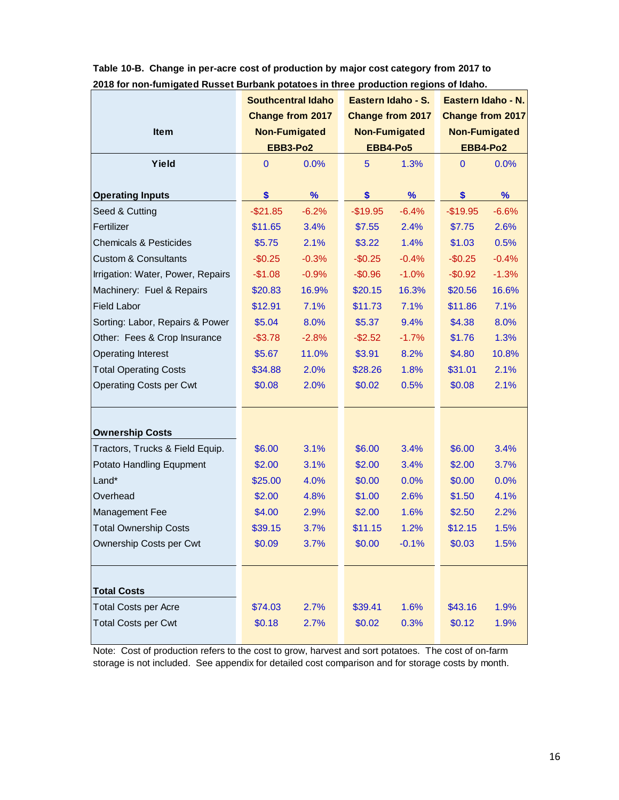|                                   | <b>Southcentral Idaho</b> |                         | Eastern Idaho - S.      |         | Eastern Idaho - N.   |                         |  |
|-----------------------------------|---------------------------|-------------------------|-------------------------|---------|----------------------|-------------------------|--|
|                                   |                           | <b>Change from 2017</b> | <b>Change from 2017</b> |         |                      | <b>Change from 2017</b> |  |
| <b>Item</b>                       |                           | <b>Non-Fumigated</b>    | <b>Non-Fumigated</b>    |         | <b>Non-Fumigated</b> |                         |  |
|                                   |                           | EBB3-Po2                | EBB4-Po5                |         |                      | EBB4-Po2                |  |
| Yield                             | 0                         | 0.0%                    | 5                       | 1.3%    | $\mathbf{0}$         | 0.0%                    |  |
|                                   |                           |                         |                         |         |                      |                         |  |
| <b>Operating Inputs</b>           | \$                        | $\%$                    | \$                      | $\%$    | \$                   | %                       |  |
| Seed & Cutting                    | $-$21.85$                 | $-6.2%$                 | $-$19.95$               | $-6.4%$ | $-$19.95$            | $-6.6%$                 |  |
| Fertilizer                        | \$11.65                   | 3.4%                    | \$7.55                  | 2.4%    | \$7.75               | 2.6%                    |  |
| <b>Chemicals &amp; Pesticides</b> | \$5.75                    | 2.1%                    | \$3.22                  | 1.4%    | \$1.03               | 0.5%                    |  |
| <b>Custom &amp; Consultants</b>   | $-$0.25$                  | $-0.3%$                 | $-$0.25$                | $-0.4%$ | $-$0.25$             | $-0.4%$                 |  |
| Irrigation: Water, Power, Repairs | $-$1.08$                  | $-0.9%$                 | $-$0.96$                | $-1.0%$ | $-$0.92$             | $-1.3%$                 |  |
| Machinery: Fuel & Repairs         | \$20.83                   | 16.9%                   | \$20.15                 | 16.3%   | \$20.56              | 16.6%                   |  |
| <b>Field Labor</b>                | \$12.91                   | 7.1%                    | \$11.73                 | 7.1%    | \$11.86              | 7.1%                    |  |
| Sorting: Labor, Repairs & Power   | \$5.04                    | 8.0%                    | \$5.37                  | 9.4%    | \$4.38               | 8.0%                    |  |
| Other: Fees & Crop Insurance      | $-$ \$3.78                | $-2.8%$                 | $-$2.52$                | $-1.7%$ | \$1.76               | 1.3%                    |  |
| <b>Operating Interest</b>         | \$5.67                    | 11.0%                   | \$3.91                  | 8.2%    | \$4.80               | 10.8%                   |  |
| <b>Total Operating Costs</b>      | \$34.88                   | 2.0%                    | \$28.26                 | 1.8%    | \$31.01              | 2.1%                    |  |
| <b>Operating Costs per Cwt</b>    | \$0.08                    | 2.0%                    | \$0.02                  | 0.5%    | \$0.08               | 2.1%                    |  |
|                                   |                           |                         |                         |         |                      |                         |  |
|                                   |                           |                         |                         |         |                      |                         |  |
| <b>Ownership Costs</b>            |                           |                         |                         |         |                      |                         |  |
| Tractors, Trucks & Field Equip.   | \$6.00                    | 3.1%                    | \$6.00                  | 3.4%    | \$6.00               | 3.4%                    |  |
| Potato Handling Equpment          | \$2.00                    | 3.1%                    | \$2.00                  | 3.4%    | \$2.00               | 3.7%                    |  |
| Land*                             | \$25.00                   | 4.0%                    | \$0.00                  | 0.0%    | \$0.00               | 0.0%                    |  |
| Overhead                          | \$2.00                    | 4.8%                    | \$1.00                  | 2.6%    | \$1.50               | 4.1%                    |  |
| Management Fee                    | \$4.00                    | 2.9%                    | \$2.00                  | 1.6%    | \$2.50               | 2.2%                    |  |
| <b>Total Ownership Costs</b>      | \$39.15                   | 3.7%                    | \$11.15                 | 1.2%    | \$12.15              | 1.5%                    |  |
| Ownership Costs per Cwt           | \$0.09                    | 3.7%                    | \$0.00                  | $-0.1%$ | \$0.03               | 1.5%                    |  |
|                                   |                           |                         |                         |         |                      |                         |  |
|                                   |                           |                         |                         |         |                      |                         |  |
| <b>Total Costs</b>                |                           |                         |                         |         |                      |                         |  |
| <b>Total Costs per Acre</b>       | \$74.03                   | 2.7%                    | \$39.41                 | 1.6%    | \$43.16              | 1.9%                    |  |
| <b>Total Costs per Cwt</b>        | \$0.18                    | 2.7%                    | \$0.02                  | 0.3%    | \$0.12               | 1.9%                    |  |
|                                   |                           |                         |                         |         |                      |                         |  |

**Table 10-B. Change in per-acre cost of production by major cost category from 2017 to 2018 for non-fumigated Russet Burbank potatoes in three production regions of Idaho.**

Note: Cost of production refers to the cost to grow, harvest and sort potatoes. The cost of on-farm storage is not included. See appendix for detailed cost comparison and for storage costs by month.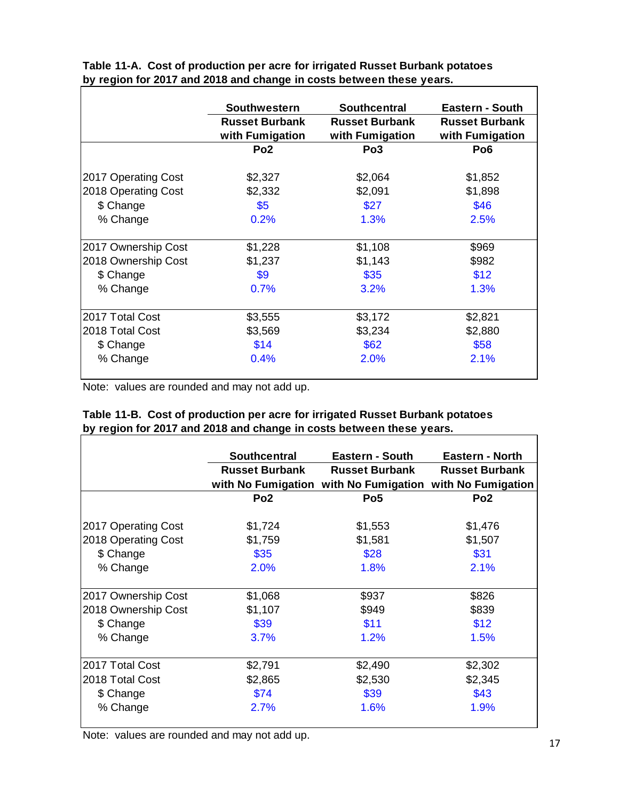|                     | <b>Southwestern</b>   | <b>Southcentral</b>   | Eastern - South       |
|---------------------|-----------------------|-----------------------|-----------------------|
|                     | <b>Russet Burbank</b> | <b>Russet Burbank</b> | <b>Russet Burbank</b> |
|                     | with Fumigation       | with Fumigation       | with Fumigation       |
|                     | Po <sub>2</sub>       | Po <sub>3</sub>       | Po <sub>6</sub>       |
| 2017 Operating Cost | \$2,327               | \$2,064               | \$1,852               |
| 2018 Operating Cost | \$2,332               | \$2,091               | \$1,898               |
| \$ Change           | \$5                   | \$27                  | \$46                  |
| % Change            | 0.2%                  | 1.3%                  | 2.5%                  |
| 2017 Ownership Cost | \$1,228               | \$1,108               | \$969                 |
| 2018 Ownership Cost | \$1,237               | \$1,143               | \$982                 |
| \$ Change           | \$9                   | \$35                  | \$12                  |
| % Change            | 0.7%                  | 3.2%                  | 1.3%                  |
| 2017 Total Cost     | \$3,555               | \$3,172               | \$2,821               |
| 2018 Total Cost     | \$3,569               | \$3,234               | \$2,880               |
| \$ Change           | \$14                  | \$62                  | \$58                  |
| % Change            | 0.4%                  | 2.0%                  | 2.1%                  |

**Table 11-A. Cost of production per acre for irrigated Russet Burbank potatoes by region for 2017 and 2018 and change in costs between these years.**

Note: values are rounded and may not add up.

|                     | <b>Southcentral</b>   | <b>Eastern - South</b>                | <b>Eastern - North</b> |
|---------------------|-----------------------|---------------------------------------|------------------------|
|                     | <b>Russet Burbank</b> | <b>Russet Burbank</b>                 | <b>Russet Burbank</b>  |
|                     |                       | with No Fumigation with No Fumigation | with No Fumigation     |
|                     | Po <sub>2</sub>       | Po <sub>5</sub>                       | Po <sub>2</sub>        |
| 2017 Operating Cost | \$1,724               | \$1,553                               | \$1,476                |
| 2018 Operating Cost | \$1,759               | \$1,581                               | \$1,507                |
| \$ Change           | \$35                  | \$28                                  | \$31                   |
| % Change            | 2.0%                  | 1.8%                                  | 2.1%                   |
| 2017 Ownership Cost | \$1,068               | \$937                                 | \$826                  |
| 2018 Ownership Cost | \$1,107               | \$949                                 | \$839                  |
| \$ Change           | \$39                  | \$11                                  | \$12                   |
| % Change            | 3.7%                  | 1.2%                                  | 1.5%                   |
| 2017 Total Cost     | \$2,791               | \$2,490                               | \$2,302                |
| 2018 Total Cost     | \$2,865               | \$2,530                               | \$2,345                |
| \$ Change           | \$74                  | \$39                                  | \$43                   |
| % Change            | 2.7%                  | 1.6%                                  | 1.9%                   |

|  |                                                                      |  |  | Table 11-B. Cost of production per acre for irrigated Russet Burbank potatoes |  |
|--|----------------------------------------------------------------------|--|--|-------------------------------------------------------------------------------|--|
|  | by region for 2017 and 2018 and change in costs between these years. |  |  |                                                                               |  |

Note: values are rounded and may not add up.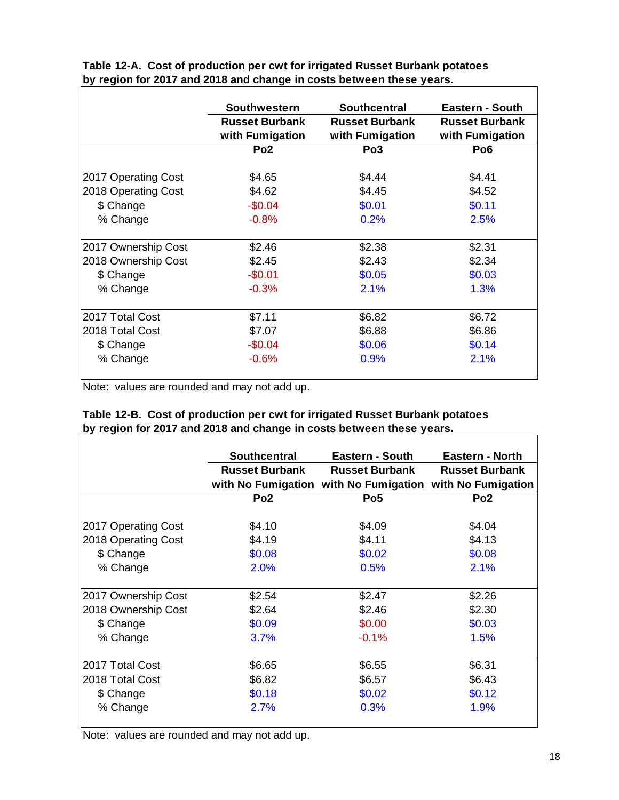|                     | <b>Southwestern</b>   | Southcentral          | Eastern - South       |
|---------------------|-----------------------|-----------------------|-----------------------|
|                     | <b>Russet Burbank</b> | <b>Russet Burbank</b> | <b>Russet Burbank</b> |
|                     | with Fumigation       | with Fumigation       | with Fumigation       |
|                     | Po <sub>2</sub>       | Po <sub>3</sub>       | Po <sub>6</sub>       |
| 2017 Operating Cost | \$4.65                | \$4.44                | \$4.41                |
| 2018 Operating Cost | \$4.62                | \$4.45                | \$4.52                |
| \$ Change           | $-$0.04$              | \$0.01                | \$0.11                |
| % Change            | $-0.8%$               | 0.2%                  | 2.5%                  |
| 2017 Ownership Cost | \$2.46                | \$2.38                | \$2.31                |
| 2018 Ownership Cost | \$2.45                | \$2.43                | \$2.34                |
| \$ Change           | $-$0.01$              | \$0.05                | \$0.03                |
| % Change            | $-0.3%$               | 2.1%                  | 1.3%                  |
| 2017 Total Cost     | \$7.11                | \$6.82                | \$6.72                |
| 2018 Total Cost     | \$7.07                | \$6.88                | \$6.86                |
| \$ Change           | $-$0.04$              | \$0.06                | \$0.14                |
| % Change            | $-0.6%$               | 0.9%                  | 2.1%                  |

**Table 12-A. Cost of production per cwt for irrigated Russet Burbank potatoes by region for 2017 and 2018 and change in costs between these years.**

Note: values are rounded and may not add up.

|                     | <b>Southcentral</b>   | <b>Eastern - South</b> | <b>Eastern - North</b> |
|---------------------|-----------------------|------------------------|------------------------|
|                     | <b>Russet Burbank</b> | <b>Russet Burbank</b>  | <b>Russet Burbank</b>  |
|                     | with No Fumigation    | with No Fumigation     | with No Fumigation     |
|                     | Po <sub>2</sub>       | Po <sub>5</sub>        | Po <sub>2</sub>        |
| 2017 Operating Cost | \$4.10                | \$4.09                 | \$4.04                 |
| 2018 Operating Cost | \$4.19                | \$4.11                 | \$4.13                 |
| \$ Change           | \$0.08                | \$0.02                 | \$0.08                 |
| % Change            | 2.0%                  | 0.5%                   | 2.1%                   |
| 2017 Ownership Cost | \$2.54                | \$2.47                 | \$2.26                 |
| 2018 Ownership Cost | \$2.64                | \$2.46                 | \$2.30                 |
| \$ Change           | \$0.09                | \$0.00                 | \$0.03                 |
| % Change            | 3.7%                  | $-0.1%$                | 1.5%                   |
| 2017 Total Cost     | \$6.65                | \$6.55                 | \$6.31                 |
| 2018 Total Cost     | \$6.82                | \$6.57                 | \$6.43                 |
| \$ Change           | \$0.18                | \$0.02                 | \$0.12                 |
| % Change            | 2.7%                  | 0.3%                   | 1.9%                   |

|  |  | Table 12-B. Cost of production per cwt for irrigated Russet Burbank potatoes |  |
|--|--|------------------------------------------------------------------------------|--|
|  |  | by region for 2017 and 2018 and change in costs between these years.         |  |

Note: values are rounded and may not add up.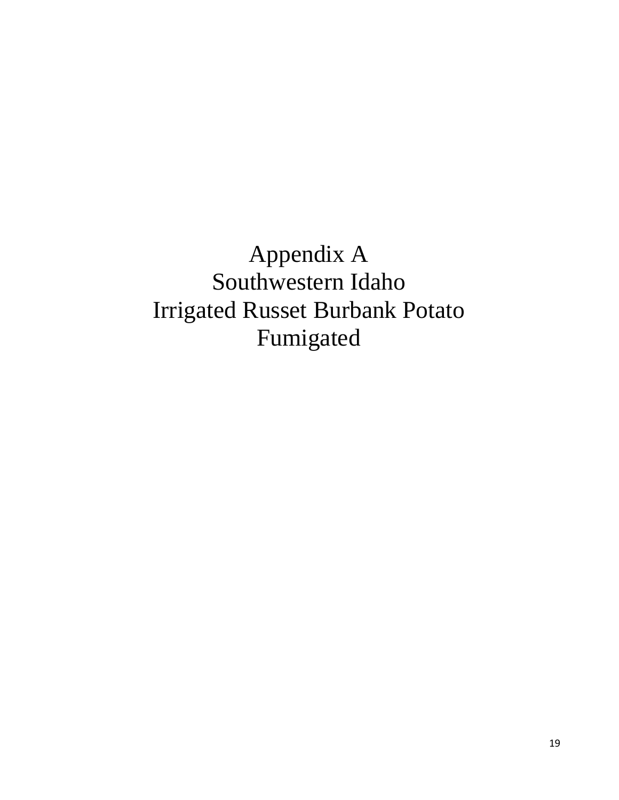Appendix A Southwestern Idaho Irrigated Russet Burbank Potato Fumigated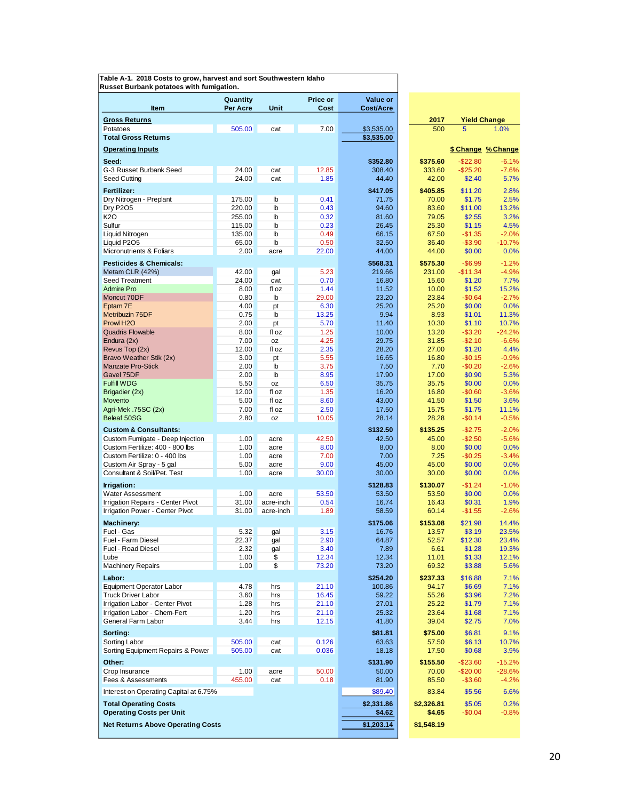| Table A-1. 2018 Costs to grow, harvest and sort Southwestern Idaho |  |
|--------------------------------------------------------------------|--|
| Russet Burbank potatoes with fumigation.                           |  |

| <b>Item</b>                                                      | Quantity<br><b>Per Acre</b> | Unit                         | Price or<br>Cost | Value or<br>Cost/Acre |                |                       |                             |
|------------------------------------------------------------------|-----------------------------|------------------------------|------------------|-----------------------|----------------|-----------------------|-----------------------------|
|                                                                  |                             |                              |                  |                       |                |                       |                             |
| <b>Gross Returns</b><br>Potatoes                                 | 505.00                      | cwt                          | 7.00             | \$3,535.00            | 2017<br>500    | 5                     | <b>Yield Change</b><br>1.0% |
| <b>Total Gross Returns</b>                                       |                             |                              |                  | \$3,535.00            |                |                       |                             |
| <b>Operating Inputs</b>                                          |                             |                              |                  |                       |                |                       | \$ Change % Change          |
| Seed:                                                            |                             |                              |                  | \$352.80              | \$375.60       | $-$22.80$             | $-6.1%$                     |
| G-3 Russet Burbank Seed                                          | 24.00                       | cwt                          | 12.85            | 308.40                | 333.60         | $-$25.20$             | $-7.6%$                     |
| Seed Cutting                                                     | 24.00                       | cwt                          | 1.85             | 44.40                 | 42.00          | \$2.40                | 5.7%                        |
| Fertilizer:                                                      |                             |                              |                  | \$417.05              | \$405.85       | \$11.20               | 2.8%                        |
| Dry Nitrogen - Preplant                                          | 175.00                      | $\mathbb{b}$                 | 0.41             | 71.75                 | 70.00          | \$1.75                | 2.5%                        |
| <b>Dry P205</b>                                                  | 220.00                      | $\mathbf{b}$                 | 0.43             | 94.60                 | 83.60          | \$11.00               | 13.2%                       |
| K2O                                                              | 255.00                      | $\mathbb{I}$                 | 0.32             | 81.60                 | 79.05          | \$2.55                | 3.2%                        |
| Sulfur<br>Liquid Nitrogen                                        | 115.00<br>135.00            | $\mathbb{I}$<br>$\mathbb{I}$ | 0.23<br>0.49     | 26.45<br>66.15        | 25.30<br>67.50 | \$1.15<br>$-$1.35$    | 4.5%<br>$-2.0%$             |
| Liquid P2O5                                                      | 65.00                       | lb                           | 0.50             | 32.50                 | 36.40          | $-$3.90$              | $-10.7%$                    |
| Micronutrients & Foliars                                         | 2.00                        | acre                         | 22.00            | 44.00                 | 44.00          | \$0.00                | 0.0%                        |
| <b>Pesticides &amp; Chemicals:</b>                               |                             |                              |                  | \$568.31              | \$575.30       | $-$6.99$              | $-1.2%$                     |
| Metam CLR (42%)                                                  | 42.00                       | gal                          | 5.23             | 219.66                | 231.00         | $-$11.34$             | $-4.9%$                     |
| Seed Treatment                                                   | 24.00                       | cwt                          | 0.70             | 16.80                 | 15.60          | \$1.20                | 7.7%                        |
| <b>Admire Pro</b>                                                | 8.00                        | fl oz                        | 1.44             | 11.52                 | 10.00          | \$1.52                | 15.2%                       |
| Moncut 70DF                                                      | 0.80                        | lb                           | 29.00            | 23.20                 | 23.84          | $-$0.64$              | $-2.7%$                     |
| Eptam 7E<br>Metribuzin 75DF                                      | 4.00<br>0.75                | pt<br>$\mathbb{b}$           | 6.30<br>13.25    | 25.20<br>9.94         | 25.20<br>8.93  | \$0.00<br>\$1.01      | 0.0%                        |
| Prowl H <sub>2</sub> O                                           | 2.00                        | pt                           | 5.70             | 11.40                 | 10.30          | \$1.10                | 11.3%<br>10.7%              |
| <b>Quadris Flowable</b>                                          | 8.00                        | fl oz                        | 1.25             | 10.00                 | 13.20          | $-$3.20$              | $-24.2%$                    |
| Endura (2x)                                                      | 7.00                        | 0Z                           | 4.25             | 29.75                 | 31.85          | $-$2.10$              | $-6.6%$                     |
| Revus Top (2x)                                                   | 12.00                       | fl oz                        | 2.35             | 28.20                 | 27.00          | \$1.20                | 4.4%                        |
| Bravo Weather Stik (2x)                                          | 3.00                        | pt                           | 5.55             | 16.65                 | 16.80          | $-$0.15$              | $-0.9%$                     |
| <b>Manzate Pro-Stick</b><br>Gavel 75DF                           | 2.00<br>2.00                | $\mathbb{b}$<br>$\mathbb{b}$ | 3.75<br>8.95     | 7.50<br>17.90         | 7.70<br>17.00  | $-$0.20$<br>\$0.90    | $-2.6%$<br>5.3%             |
| <b>Fulfill WDG</b>                                               | 5.50                        | oz                           | 6.50             | 35.75                 | 35.75          | \$0.00                | 0.0%                        |
| Brigadier (2x)                                                   | 12.00                       | fl oz                        | 1.35             | 16.20                 | 16.80          | $-$0.60$              | $-3.6%$                     |
| Movento                                                          | 5.00                        | fl oz                        | 8.60             | 43.00                 | 41.50          | \$1.50                | 3.6%                        |
| Agri-Mek .75SC (2x)                                              | 7.00                        | fl oz                        | 2.50             | 17.50                 | 15.75          | \$1.75                | 11.1%                       |
| Beleaf 50SG                                                      | 2.80                        | 0Z                           | 10.05            | 28.14                 | 28.28          | $-$0.14$              | $-0.5%$                     |
| <b>Custom &amp; Consultants:</b>                                 |                             |                              |                  | \$132.50              | \$135.25       | $-$2.75$              | $-2.0%$                     |
| Custom Fumigate - Deep Injection                                 | 1.00                        | acre                         | 42.50            | 42.50                 | 45.00          | $-$2.50$              | $-5.6%$                     |
| Custom Fertilize: 400 - 800 lbs<br>Custom Fertilize: 0 - 400 lbs | 1.00<br>1.00                | acre<br>acre                 | 8.00<br>7.00     | 8.00<br>7.00          | 8.00<br>7.25   | \$0.00<br>$-$0.25$    | 0.0%<br>$-3.4%$             |
| Custom Air Spray - 5 gal                                         | 5.00                        | acre                         | 9.00             | 45.00                 | 45.00          | \$0.00                | 0.0%                        |
| Consultant & Soil/Pet. Test                                      | 1.00                        | acre                         | 30.00            | 30.00                 | 30.00          | \$0.00                | 0.0%                        |
| Irrigation:                                                      |                             |                              |                  | \$128.83              | \$130.07       | $-$1.24$              | $-1.0%$                     |
| <b>Water Assessment</b>                                          | 1.00                        | acre                         | 53.50            | 53.50                 | 53.50          | \$0.00                | 0.0%                        |
| Irrigation Repairs - Center Pivot                                | 31.00                       | acre-inch                    | 0.54             | 16.74                 | 16.43          | \$0.31                | 1.9%                        |
| Irrigation Power - Center Pivot                                  | 31.00                       | acre-inch                    | 1.89             | 58.59                 | 60.14          | $-$1.55$              | $-2.6%$                     |
| <b>Machinery:</b>                                                |                             |                              |                  | \$175.06              | \$153.08       | \$21.98               | 14.4%                       |
| Fuel - Gas                                                       | 5.32                        | gal                          | 3.15             | 16.76                 | 13.57          | \$3.19                | 23.5%                       |
| Fuel - Farm Diesel<br>Fuel - Road Diesel                         | 22.37<br>2.32               | gal                          | 2.90<br>3.40     | 64.87                 | 52.57          | \$12.30<br>\$1.28     | 23.4%<br>19.3%              |
| Lube                                                             | 1.00                        | gal<br>\$                    | 12.34            | 7.89<br>12.34         | 6.61<br>11.01  | \$1.33                | 12.1%                       |
| <b>Machinery Repairs</b>                                         | 1.00                        | \$                           | 73.20            | 73.20                 | 69.32          | \$3.88                | 5.6%                        |
| Labor:                                                           |                             |                              |                  | \$254.20              | \$237.33       | \$16.88               | 7.1%                        |
| <b>Equipment Operator Labor</b>                                  | 4.78                        | hrs                          | 21.10            | 100.86                | 94.17          | \$6.69                | 7.1%                        |
| <b>Truck Driver Labor</b>                                        | 3.60                        | hrs                          | 16.45            | 59.22                 | 55.26          | \$3.96                | 7.2%                        |
| Irrigation Labor - Center Pivot                                  | 1.28                        | hrs                          | 21.10            | 27.01                 | 25.22          | \$1.79                | 7.1%                        |
| Irrigation Labor - Chem-Fert                                     | 1.20                        | hrs                          | 21.10            | 25.32                 | 23.64          | \$1.68                | 7.1%                        |
| General Farm Labor                                               | 3.44                        | hrs                          | 12.15            | 41.80                 | 39.04          | \$2.75                | 7.0%                        |
| Sorting:                                                         |                             |                              |                  | \$81.81               | \$75.00        | \$6.81                | 9.1%                        |
| Sorting Labor                                                    | 505.00                      | cwt                          | 0.126            | 63.63                 | 57.50          | \$6.13                | 10.7%                       |
| Sorting Equipment Repairs & Power                                | 505.00                      | cwt                          | 0.036            | 18.18                 | 17.50          | \$0.68                | 3.9%                        |
| Other:                                                           |                             |                              |                  | \$131.90              | \$155.50       | $-$23.60$             | $-15.2%$                    |
| Crop Insurance<br>Fees & Assessments                             | 1.00<br>455.00              | acre<br>cwt                  | 50.00<br>0.18    | 50.00<br>81.90        | 70.00<br>85.50 | $-$20.00$<br>$-$3.60$ | $-28.6%$<br>$-4.2%$         |
|                                                                  |                             |                              |                  |                       |                |                       |                             |
| Interest on Operating Capital at 6.75%                           |                             |                              |                  | \$89.40               | 83.84          | \$5.56                | 6.6%                        |
| <b>Total Operating Costs</b>                                     |                             |                              |                  | \$2,331.86            | \$2,326.81     | \$5.05                | 0.2%                        |
| <b>Operating Costs per Unit</b>                                  |                             |                              |                  | \$4.62                | \$4.65         | $-$0.04$              | $-0.8%$                     |
| <b>Net Returns Above Operating Costs</b>                         |                             |                              |                  | \$1,203.14            | \$1,548.19     |                       |                             |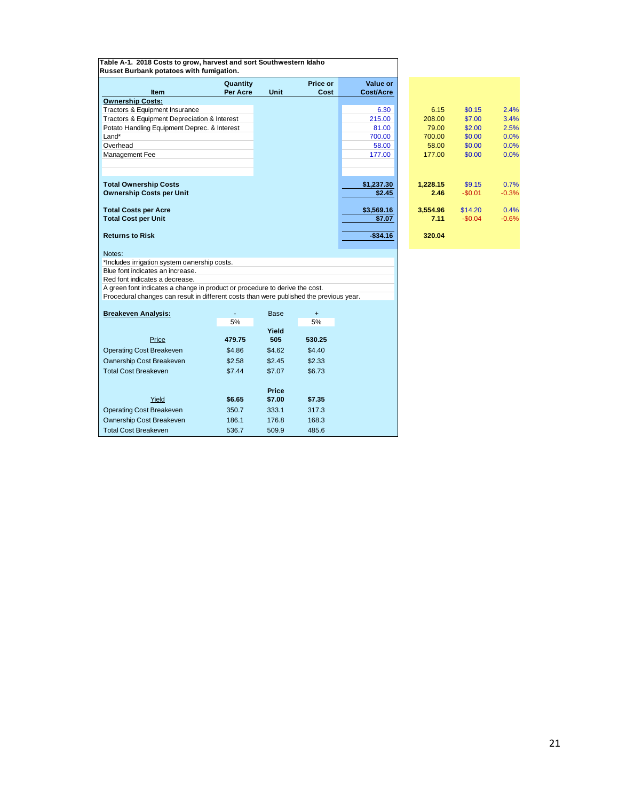| Table A-1. 2018 Costs to grow, harvest and sort Southwestern Idaho<br>Russet Burbank potatoes with fumigation. |          |              |           |            |          |          |         |
|----------------------------------------------------------------------------------------------------------------|----------|--------------|-----------|------------|----------|----------|---------|
|                                                                                                                | Quantity |              | Price or  | Value or   |          |          |         |
| Item                                                                                                           | Per Acre | Unit         | Cost      | Cost/Acre  |          |          |         |
| <b>Ownership Costs:</b>                                                                                        |          |              |           |            |          |          |         |
| Tractors & Equipment Insurance                                                                                 |          |              |           | 6.30       | 6.15     | \$0.15   | 2.4%    |
| Tractors & Equipment Depreciation & Interest                                                                   |          |              |           | 215.00     | 208.00   | \$7.00   | 3.4%    |
| Potato Handling Equipment Deprec. & Interest                                                                   |          |              |           | 81.00      | 79.00    | \$2.00   | 2.5%    |
| Land*                                                                                                          |          |              |           | 700.00     | 700.00   | \$0.00   | 0.0%    |
| Overhead                                                                                                       |          |              |           | 58.00      | 58.00    | \$0.00   | 0.0%    |
| Management Fee                                                                                                 |          |              |           | 177.00     | 177.00   | \$0.00   | 0.0%    |
|                                                                                                                |          |              |           |            |          |          |         |
| <b>Total Ownership Costs</b>                                                                                   |          |              |           | \$1,237.30 | 1,228.15 | \$9.15   | 0.7%    |
| <b>Ownership Costs per Unit</b>                                                                                |          |              |           | \$2.45     | 2.46     | $-$0.01$ | $-0.3%$ |
| <b>Total Costs per Acre</b>                                                                                    |          |              |           | \$3,569.16 | 3,554.96 | \$14.20  | 0.4%    |
| <b>Total Cost per Unit</b>                                                                                     |          |              |           | \$7.07     | 7.11     | $-$0.04$ | $-0.6%$ |
|                                                                                                                |          |              |           |            |          |          |         |
| <b>Returns to Risk</b>                                                                                         |          |              |           | $-$34.16$  | 320.04   |          |         |
| Notes:                                                                                                         |          |              |           |            |          |          |         |
| *Includes irrigation system ownership costs.                                                                   |          |              |           |            |          |          |         |
| Blue font indicates an increase.                                                                               |          |              |           |            |          |          |         |
| Red font indicates a decrease.                                                                                 |          |              |           |            |          |          |         |
| A green font indicates a change in product or procedure to derive the cost.                                    |          |              |           |            |          |          |         |
| Procedural changes can result in different costs than were published the previous year.                        |          |              |           |            |          |          |         |
| <b>Breakeven Analysis:</b>                                                                                     |          | Base         | $\ddot{}$ |            |          |          |         |
|                                                                                                                | 5%       |              | 5%        |            |          |          |         |
| Price                                                                                                          | 479.75   | Yield<br>505 | 530.25    |            |          |          |         |
| <b>Operating Cost Breakeven</b>                                                                                | \$4.86   | \$4.62       | \$4.40    |            |          |          |         |
|                                                                                                                |          |              |           |            |          |          |         |
| Ownership Cost Breakeven                                                                                       | \$2.58   | \$2.45       | \$2.33    |            |          |          |         |
| <b>Total Cost Breakeven</b>                                                                                    | \$7.44   | \$7.07       | \$6.73    |            |          |          |         |
|                                                                                                                |          | <b>Price</b> |           |            |          |          |         |
| Yield                                                                                                          | \$6.65   | \$7.00       | \$7.35    |            |          |          |         |
| <b>Operating Cost Breakeven</b>                                                                                | 350.7    | 333.1        | 317.3     |            |          |          |         |
| Ownership Cost Breakeven                                                                                       | 186.1    | 176.8        | 168.3     |            |          |          |         |

Total Cost Breakeven 536.7 509.9 485.6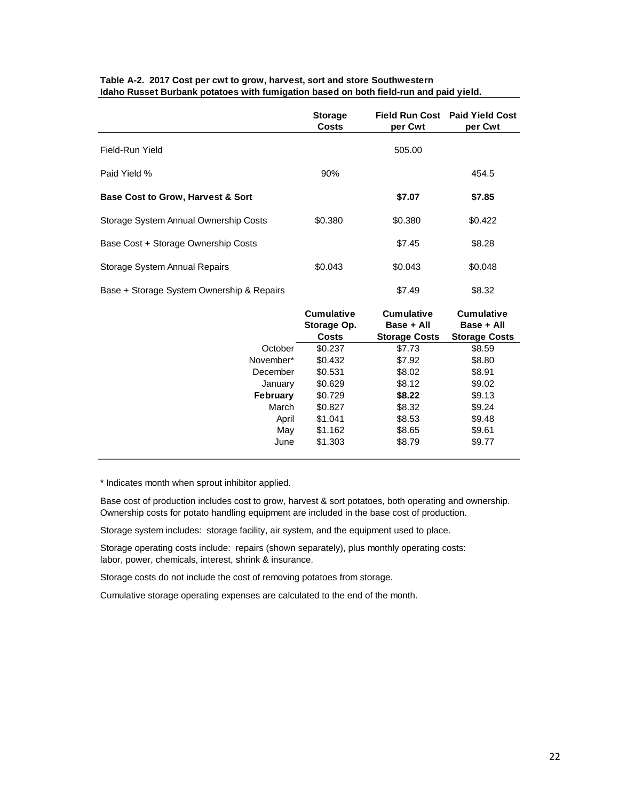|                                              | <b>Storage</b><br><b>Costs</b>                   | per Cwt                                                 | Field Run Cost Paid Yield Cost<br>per Cwt               |
|----------------------------------------------|--------------------------------------------------|---------------------------------------------------------|---------------------------------------------------------|
| Field-Run Yield                              |                                                  | 505.00                                                  |                                                         |
| Paid Yield %                                 | 90%                                              |                                                         | 454.5                                                   |
| <b>Base Cost to Grow, Harvest &amp; Sort</b> |                                                  | \$7.07                                                  | \$7.85                                                  |
| Storage System Annual Ownership Costs        | \$0.380                                          | \$0.380                                                 | \$0.422                                                 |
| Base Cost + Storage Ownership Costs          |                                                  | \$7.45                                                  | \$8.28                                                  |
| Storage System Annual Repairs                | \$0.043                                          | \$0.043                                                 | \$0.048                                                 |
| Base + Storage System Ownership & Repairs    |                                                  | \$7.49                                                  | \$8.32                                                  |
|                                              | <b>Cumulative</b><br>Storage Op.<br><b>Costs</b> | <b>Cumulative</b><br>Base + All<br><b>Storage Costs</b> | <b>Cumulative</b><br>Base + All<br><b>Storage Costs</b> |
| October                                      | \$0.237                                          | \$7.73                                                  | \$8.59                                                  |
| November*                                    | \$0.432                                          | \$7.92                                                  | \$8.80                                                  |
| December                                     | \$0.531                                          | \$8.02                                                  | \$8.91                                                  |
| January                                      | \$0.629                                          | \$8.12                                                  | \$9.02                                                  |
| <b>February</b>                              | \$0.729                                          | \$8.22                                                  | \$9.13                                                  |
| March                                        | \$0.827                                          | \$8.32                                                  | \$9.24                                                  |
| April                                        | \$1.041                                          | \$8.53                                                  | \$9.48                                                  |
| May                                          | \$1.162                                          | \$8.65                                                  | \$9.61                                                  |
| June                                         | \$1.303                                          | \$8.79                                                  | \$9.77                                                  |

#### **Table A-2. 2017 Cost per cwt to grow, harvest, sort and store Southwestern Idaho Russet Burbank potatoes with fumigation based on both field-run and paid yield.**

\* Indicates month when sprout inhibitor applied.

Base cost of production includes cost to grow, harvest & sort potatoes, both operating and ownership. Ownership costs for potato handling equipment are included in the base cost of production.

Storage system includes: storage facility, air system, and the equipment used to place.

Storage operating costs include: repairs (shown separately), plus monthly operating costs: labor, power, chemicals, interest, shrink & insurance.

Storage costs do not include the cost of removing potatoes from storage.

Cumulative storage operating expenses are calculated to the end of the month.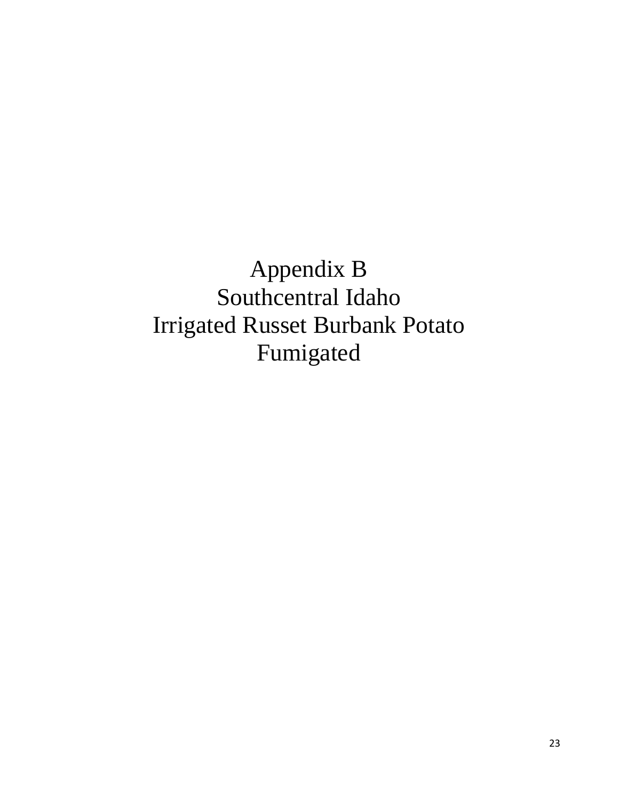Appendix B Southcentral Idaho Irrigated Russet Burbank Potato Fumigated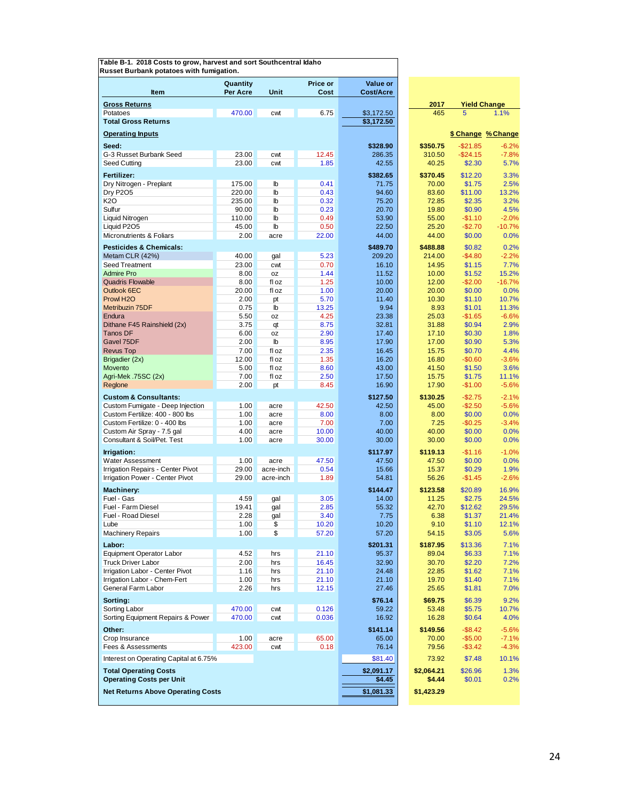|                                                                 | Quantity      |                    | Price or       | Value or             |                      |                        |                    |
|-----------------------------------------------------------------|---------------|--------------------|----------------|----------------------|----------------------|------------------------|--------------------|
| <b>Item</b>                                                     | Per Acre      | Unit               | Cost           | <b>Cost/Acre</b>     |                      |                        |                    |
| <b>Gross Returns</b>                                            |               |                    |                |                      | 2017                 | <b>Yield Change</b>    |                    |
| Potatoes                                                        | 470.00        | cwt                | 6.75           | \$3,172.50           | 465                  | 5                      | 1.1%               |
| <b>Total Gross Returns</b>                                      |               |                    |                | \$3,172.50           |                      |                        |                    |
| <b>Operating Inputs</b>                                         |               |                    |                |                      |                      |                        | \$ Change % Change |
|                                                                 |               |                    |                |                      |                      |                        |                    |
| Seed:<br>G-3 Russet Burbank Seed                                | 23.00         | cwt                | 12.45          | \$328.90<br>286.35   | \$350.75<br>310.50   | $-$21.85$<br>$-$24.15$ | $-6.2%$<br>$-7.8%$ |
| Seed Cutting                                                    | 23.00         | cwt                | 1.85           | 42.55                | 40.25                | \$2.30                 | 5.7%               |
| Fertilizer:                                                     |               |                    |                | \$382.65             | \$370.45             | \$12.20                | 3.3%               |
| Dry Nitrogen - Preplant                                         | 175.00        | lb                 | 0.41           | 71.75                | 70.00                | \$1.75                 | 2.5%               |
| <b>Dry P2O5</b>                                                 | 220.00        | $\mathbb{b}$       | 0.43           | 94.60                | 83.60                | \$11.00                | 13.2%              |
| K2O                                                             | 235.00        | lb                 | 0.32           | 75.20                | 72.85                | \$2.35                 | 3.2%               |
| Sulfur                                                          | 90.00         | $\mathbb{b}$       | 0.23           | 20.70                | 19.80                | \$0.90                 | 4.5%               |
| Liquid Nitrogen                                                 | 110.00        | $\mathbb{I}$       | 0.49           | 53.90                | 55.00                | $-$1.10$               | $-2.0%$            |
| Liquid P2O5                                                     | 45.00         | lb                 | 0.50           | 22.50                | 25.20                | $-$2.70$               | $-10.7%$           |
| Micronutrients & Foliars                                        | 2.00          | acre               | 22.00          | 44.00                | 44.00                | \$0.00                 | 0.0%               |
| <b>Pesticides &amp; Chemicals:</b>                              |               |                    |                | \$489.70             | \$488.88             | \$0.82                 | 0.2%               |
| Metam CLR (42%)                                                 | 40.00         | gal                | 5.23           | 209.20               | 214.00               | $-$4.80$               | $-2.2%$            |
| Seed Treatment<br>Admire Pro                                    | 23.00<br>8.00 | cwt<br>0Z          | 0.70<br>1.44   | 16.10<br>11.52       | 14.95<br>10.00       | \$1.15<br>\$1.52       | 7.7%<br>15.2%      |
| <b>Quadris Flowable</b>                                         | 8.00          | fl oz              | 1.25           | 10.00                | 12.00                | $-$2.00$               | $-16.7%$           |
| Outlook 6EC                                                     | 20.00         | fl oz              | 1.00           | 20.00                | 20.00                | \$0.00                 | 0.0%               |
| Prowl H <sub>2</sub> O                                          | 2.00          | pt                 | 5.70           | 11.40                | 10.30                | \$1.10                 | 10.7%              |
| Metribuzin 75DF                                                 | 0.75          | lb                 | 13.25          | 9.94                 | 8.93                 | \$1.01                 | 11.3%              |
| Endura                                                          | 5.50          | 0Z                 | 4.25           | 23.38                | 25.03                | $-$1.65$               | $-6.6%$            |
| Dithane F45 Rainshield (2x)                                     | 3.75          | qt                 | 8.75           | 32.81                | 31.88                | \$0.94                 | 2.9%               |
| <b>Tanos DF</b><br>Gavel 75DF                                   | 6.00<br>2.00  | 0Z<br>$\mathbb{I}$ | 2.90<br>8.95   | 17.40<br>17.90       | 17.10<br>17.00       | \$0.30<br>\$0.90       | 1.8%<br>5.3%       |
| <b>Revus Top</b>                                                | 7.00          | fl oz              | 2.35           | 16.45                | 15.75                | \$0.70                 | 4.4%               |
| Brigadier (2x)                                                  | 12.00         | fl oz              | 1.35           | 16.20                | 16.80                | $-$0.60$               | $-3.6%$            |
| Movento                                                         | 5.00          | fl oz              | 8.60           | 43.00                | 41.50                | \$1.50                 | 3.6%               |
| Agri-Mek .75SC (2x)                                             | 7.00          | fl oz              | 2.50           | 17.50                | 15.75                | \$1.75                 | 11.1%              |
| Reglone                                                         | 2.00          | pt                 | 8.45           | 16.90                | 17.90                | $-$1.00$               | $-5.6%$            |
| <b>Custom &amp; Consultants:</b>                                |               |                    |                | \$127.50             | \$130.25             | $-$2.75$               | $-2.1%$            |
| Custom Fumigate - Deep Injection                                | 1.00          | acre               | 42.50          | 42.50                | 45.00                | $-$2.50$               | $-5.6%$            |
| Custom Fertilize: 400 - 800 lbs                                 | 1.00          | acre               | 8.00           | 8.00                 | 8.00                 | \$0.00                 | 0.0%               |
| Custom Fertilize: 0 - 400 lbs                                   | 1.00<br>4.00  | acre<br>acre       | 7.00<br>10.00  | 7.00<br>40.00        | 7.25<br>40.00        | $-$0.25$<br>\$0.00     | $-3.4%$<br>0.0%    |
| Custom Air Spray - 7.5 gal<br>Consultant & Soil/Pet. Test       | 1.00          | acre               | 30.00          | 30.00                | 30.00                | \$0.00                 | 0.0%               |
|                                                                 |               |                    |                |                      |                      |                        |                    |
| Irrigation:<br>Water Assessment                                 | 1.00          | acre               | 47.50          | \$117.97<br>47.50    | \$119.13<br>47.50    | $-$1.16$<br>\$0.00     | $-1.0%$<br>0.0%    |
| <b>Irrigation Repairs - Center Pivot</b>                        | 29.00         | acre-inch          | 0.54           | 15.66                | 15.37                | \$0.29                 | 1.9%               |
| Irrigation Power - Center Pivot                                 | 29.00         | acre-inch          | 1.89           | 54.81                | 56.26                | $-$1.45$               | $-2.6%$            |
| Machinery:                                                      |               |                    |                | \$144.47             | \$123.58             | \$20.89                | 16.9%              |
| Fuel - Gas                                                      | 4.59          | gal                | 3.05           | 14.00                | 11.25                | \$2.75                 | 24.5%              |
| Fuel - Farm Diesel                                              | 19.41         | gal                | 2.85           | 55.32                | 42.70                | \$12.62                | 29.5%              |
| Fuel - Road Diesel                                              | 2.28          | gal                | 3.40           | 7.75                 | 6.38                 | \$1.37                 | 21.4%              |
| Lube                                                            | 1.00          | \$                 | 10.20          | 10.20                | 9.10                 | \$1.10                 | 12.1%              |
| <b>Machinery Repairs</b>                                        | 1.00          | \$                 | 57.20          | 57.20                | 54.15                | \$3.05                 | 5.6%               |
| Labor:                                                          |               |                    |                | \$201.31             | \$187.95             | \$13.36                | 7.1%               |
| <b>Equipment Operator Labor</b>                                 | 4.52          | hrs                | 21.10          | 95.37                | 89.04                | \$6.33                 | 7.1%               |
| <b>Truck Driver Labor</b>                                       | 2.00          | hrs                | 16.45<br>21.10 | 32.90<br>24.48       | 30.70<br>22.85       | \$2.20<br>\$1.62       | 7.2%               |
| Irrigation Labor - Center Pivot<br>Irrigation Labor - Chem-Fert | 1.16<br>1.00  | hrs<br>hrs         | 21.10          | 21.10                | 19.70                | \$1.40                 | 7.1%<br>7.1%       |
| General Farm Labor                                              | 2.26          | hrs                | 12.15          | 27.46                | 25.65                | \$1.81                 | 7.0%               |
| Sorting:                                                        |               |                    |                | \$76.14              | \$69.75              | \$6.39                 | 9.2%               |
| Sorting Labor                                                   | 470.00        | cwt                | 0.126          | 59.22                | 53.48                | \$5.75                 | 10.7%              |
| Sorting Equipment Repairs & Power                               | 470.00        | cwt                | 0.036          | 16.92                | 16.28                | \$0.64                 | 4.0%               |
| Other:                                                          |               |                    |                | \$141.14             | \$149.56             | $-$8.42$               | $-5.6%$            |
| Crop Insurance                                                  | 1.00          | acre               | 65.00          | 65.00                | 70.00                | $-$5.00$               | $-7.1%$            |
| Fees & Assessments                                              | 423.00        | cwt                | 0.18           | 76.14                | 79.56                | $-$ \$3.42             | $-4.3%$            |
| Interest on Operating Capital at 6.75%                          |               |                    |                | \$81.40              | 73.92                | \$7.48                 | 10.1%              |
|                                                                 |               |                    |                |                      |                      |                        |                    |
| <b>Total Operating Costs</b><br><b>Operating Costs per Unit</b> |               |                    |                | \$2,091.17<br>\$4.45 | \$2,064.21<br>\$4.44 | \$26.96<br>\$0.01      | 1.3%<br>0.2%       |
|                                                                 |               |                    |                |                      |                      |                        |                    |
| <b>Net Returns Above Operating Costs</b>                        |               |                    |                | \$1,081.33           | \$1,423.29           |                        |                    |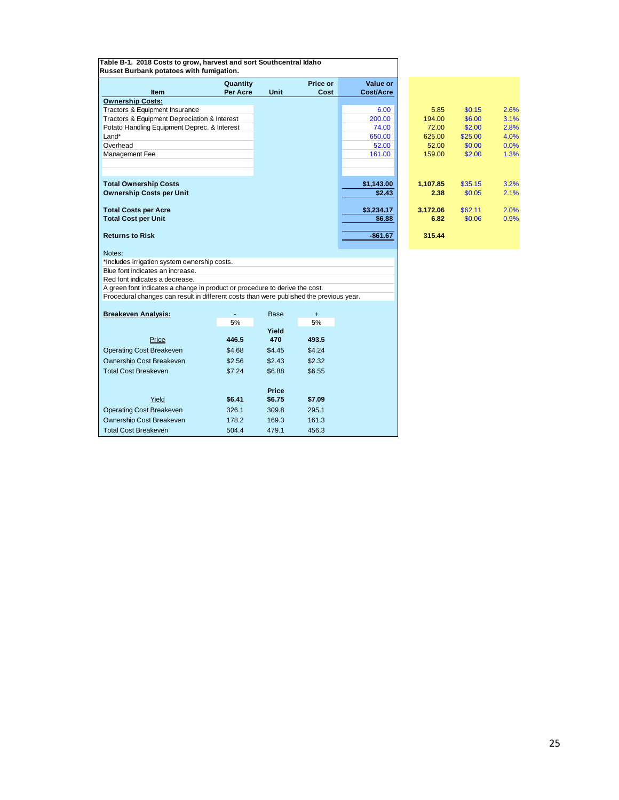| Table B-1. 2018 Costs to grow, harvest and sort Southcentral Idaho<br>Russet Burbank potatoes with fumigation. |                      |              |                  |                              |          |         |      |
|----------------------------------------------------------------------------------------------------------------|----------------------|--------------|------------------|------------------------------|----------|---------|------|
| <b>Item</b>                                                                                                    | Quantity<br>Per Acre | Unit         | Price or<br>Cost | Value or<br><b>Cost/Acre</b> |          |         |      |
| <b>Ownership Costs:</b>                                                                                        |                      |              |                  |                              |          |         |      |
| Tractors & Equipment Insurance                                                                                 |                      |              |                  | 6.00                         | 5.85     | \$0.15  | 2.6% |
| Tractors & Equipment Depreciation & Interest                                                                   |                      |              |                  | 200.00                       | 194.00   | \$6.00  | 3.1% |
| Potato Handling Equipment Deprec. & Interest                                                                   |                      |              |                  | 74.00                        | 72.00    | \$2.00  | 2.8% |
| Land*                                                                                                          |                      |              |                  | 650.00                       | 625.00   | \$25.00 | 4.0% |
| Overhead                                                                                                       |                      |              |                  | 52.00                        | 52.00    | \$0.00  | 0.0% |
| Management Fee                                                                                                 |                      |              |                  | 161.00                       | 159.00   | \$2.00  | 1.3% |
|                                                                                                                |                      |              |                  |                              |          |         |      |
| <b>Total Ownership Costs</b>                                                                                   |                      |              |                  | \$1,143.00                   | 1,107.85 | \$35.15 | 3.2% |
| <b>Ownership Costs per Unit</b>                                                                                |                      |              |                  | \$2.43                       | 2.38     | \$0.05  | 2.1% |
| <b>Total Costs per Acre</b>                                                                                    |                      |              |                  | \$3,234.17                   | 3,172.06 | \$62.11 | 2.0% |
| <b>Total Cost per Unit</b>                                                                                     |                      |              |                  | \$6.88                       | 6.82     | \$0.06  | 0.9% |
| <b>Returns to Risk</b>                                                                                         |                      |              |                  | $-$61.67$                    | 315.44   |         |      |
| Notes:                                                                                                         |                      |              |                  |                              |          |         |      |
| *Includes irrigation system ownership costs.                                                                   |                      |              |                  |                              |          |         |      |
| Blue font indicates an increase.                                                                               |                      |              |                  |                              |          |         |      |
| Red font indicates a decrease.                                                                                 |                      |              |                  |                              |          |         |      |
| A green font indicates a change in product or procedure to derive the cost.                                    |                      |              |                  |                              |          |         |      |
| Procedural changes can result in different costs than were published the previous year.                        |                      |              |                  |                              |          |         |      |
| <b>Breakeven Analysis:</b>                                                                                     |                      | Base         | $+$              |                              |          |         |      |
|                                                                                                                | 5%                   |              | 5%               |                              |          |         |      |
|                                                                                                                |                      | Yield        |                  |                              |          |         |      |
| Price                                                                                                          | 446.5                | 470          | 493.5            |                              |          |         |      |
| <b>Operating Cost Breakeven</b>                                                                                | \$4.68               | \$4.45       | \$4.24           |                              |          |         |      |
| Ownership Cost Breakeven                                                                                       | \$2.56               | \$2.43       | \$2.32           |                              |          |         |      |
| <b>Total Cost Breakeven</b>                                                                                    | \$7.24               | \$6.88       | \$6.55           |                              |          |         |      |
|                                                                                                                | \$6.41               | <b>Price</b> |                  |                              |          |         |      |
| Yield                                                                                                          |                      | \$6.75       | \$7.09           |                              |          |         |      |

Operating Cost Breakeven 326.1 309.8 295.1<br>
Ownership Cost Breakeven 178.2 169.3 161.3

Total Cost Breakeven 504.4 479.1 456.3

Ownership Cost Breakeven

| I<br>٠<br>e e | ۰.      |
|---------------|---------|
|               | w<br>۰, |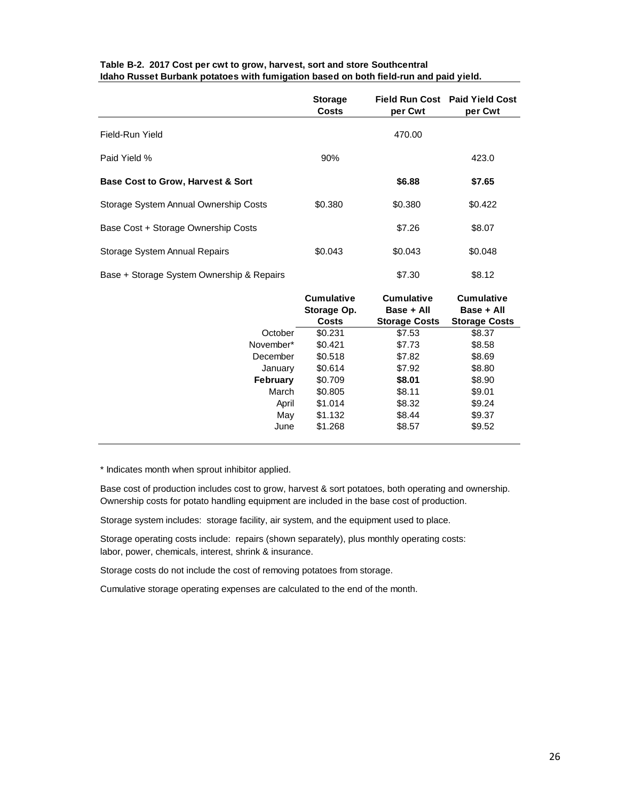|                                              | <b>Storage</b><br>Costs | per Cwt | Field Run Cost Paid Yield Cost<br>per Cwt |
|----------------------------------------------|-------------------------|---------|-------------------------------------------|
| Field-Run Yield                              |                         | 470.00  |                                           |
| Paid Yield %                                 | 90%                     |         | 423.0                                     |
| <b>Base Cost to Grow, Harvest &amp; Sort</b> |                         | \$6.88  | \$7.65                                    |
| Storage System Annual Ownership Costs        | \$0.380                 | \$0.380 | \$0.422                                   |
| Base Cost + Storage Ownership Costs          |                         | \$7.26  | \$8.07                                    |
| Storage System Annual Repairs                | \$0.043                 | \$0.043 | \$0.048                                   |
| Base + Storage System Ownership & Repairs    |                         | \$7.30  | \$8.12                                    |

#### **Table B-2. 2017 Cost per cwt to grow, harvest, sort and store Southcentral Idaho Russet Burbank potatoes with fumigation based on both field-run and paid yield.**

|                 | <b>Cumulative</b><br>Storage Op.<br><b>Costs</b> | <b>Cumulative</b><br>Base + All<br><b>Storage Costs</b> | <b>Cumulative</b><br>Base + All<br><b>Storage Costs</b> |
|-----------------|--------------------------------------------------|---------------------------------------------------------|---------------------------------------------------------|
| October         | \$0.231                                          | \$7.53                                                  | \$8.37                                                  |
| November*       | \$0.421                                          | \$7.73                                                  | \$8.58                                                  |
| December        | \$0.518                                          | \$7.82                                                  | \$8.69                                                  |
| January         | \$0.614                                          | \$7.92                                                  | \$8.80                                                  |
| <b>February</b> | \$0.709                                          | \$8.01                                                  | \$8.90                                                  |
| March           | \$0.805                                          | \$8.11                                                  | \$9.01                                                  |
| April           | \$1.014                                          | \$8.32                                                  | \$9.24                                                  |
| May             | \$1.132                                          | \$8.44                                                  | \$9.37                                                  |
| June            | \$1.268                                          | \$8.57                                                  | \$9.52                                                  |

\* Indicates month when sprout inhibitor applied.

Base cost of production includes cost to grow, harvest & sort potatoes, both operating and ownership. Ownership costs for potato handling equipment are included in the base cost of production.

Storage system includes: storage facility, air system, and the equipment used to place.

Storage operating costs include: repairs (shown separately), plus monthly operating costs: labor, power, chemicals, interest, shrink & insurance.

Storage costs do not include the cost of removing potatoes from storage.

Cumulative storage operating expenses are calculated to the end of the month.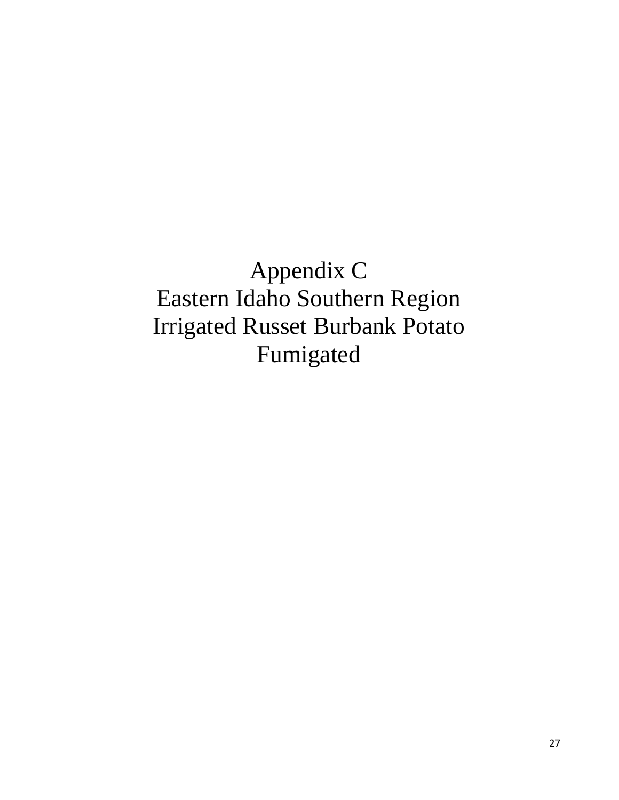Appendix C Eastern Idaho Southern Region Irrigated Russet Burbank Potato Fumigated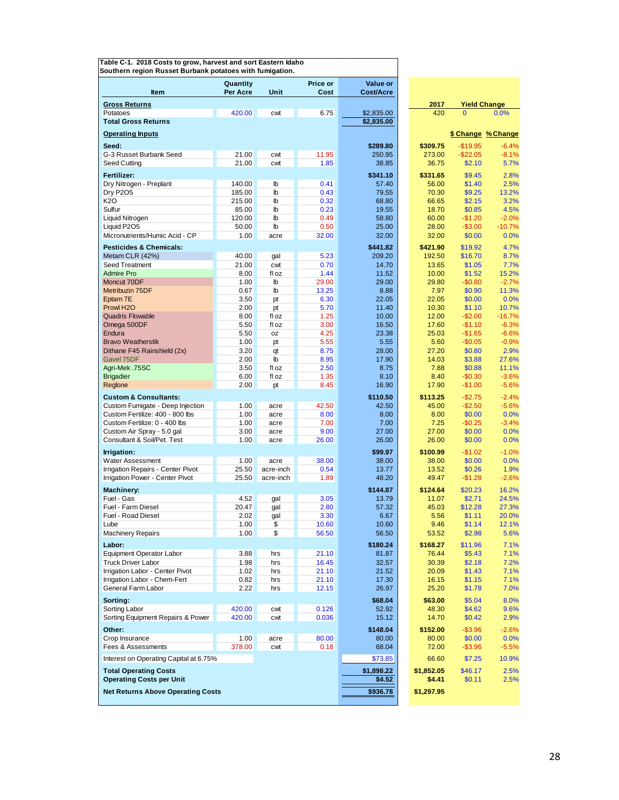|                                                           | Quantity        |                              | <b>Price or</b> | Value or          |                   |                      |                     |
|-----------------------------------------------------------|-----------------|------------------------------|-----------------|-------------------|-------------------|----------------------|---------------------|
| <b>Item</b>                                               | Per Acre        | Unit                         | Cost            | Cost/Acre         |                   |                      |                     |
| <b>Gross Returns</b>                                      |                 |                              |                 |                   | 2017              | <b>Yield Change</b>  |                     |
| Potatoes<br><b>Total Gross Returns</b>                    | 420.00          | cwt                          | 6.75            | \$2.835.00        | 420               | $\Omega$             | 0.0%                |
|                                                           |                 |                              |                 | \$2,835.00        |                   |                      |                     |
| <b>Operating Inputs</b>                                   |                 |                              |                 |                   |                   | \$ Change % Change   |                     |
| Seed:                                                     |                 |                              |                 | \$289.80          | \$309.75          | $-$19.95$            | $-6.4%$             |
| G-3 Russet Burbank Seed                                   | 21.00           | cwt                          | 11.95           | 250.95            | 273.00            | $-$ \$22.05          | $-8.1%$             |
| Seed Cutting                                              | 21.00           | cwt                          | 1.85            | 38.85             | 36.75             | \$2.10               | 5.7%                |
| Fertilizer:                                               |                 |                              |                 | \$341.10          | \$331.65          | \$9.45               | 2.8%                |
| Dry Nitrogen - Preplant                                   | 140.00          | $\mathbb{b}$                 | 0.41            | 57.40             | 56.00             | \$1.40               | 2.5%                |
| <b>Dry P2O5</b>                                           | 185.00          | $\mathbf{b}$                 | 0.43            | 79.55             | 70.30             | \$9.25               | 13.2%               |
| K2O<br>Sulfur                                             | 215.00<br>85.00 | $\mathbb{b}$<br>$\mathbb{I}$ | 0.32<br>0.23    | 68.80<br>19.55    | 66.65<br>18.70    | \$2.15<br>\$0.85     | 3.2%<br>4.5%        |
| Liquid Nitrogen                                           | 120.00          | $\mathbb{b}$                 | 0.49            | 58.80             | 60.00             | $-$1.20$             | $-2.0%$             |
| Liquid P2O5                                               | 50.00           | $\mathbb{b}$                 | 0.50            | 25.00             | 28.00             | $-$3.00$             | $-10.7%$            |
| Micronutrients/Humic Acid - CP                            | 1.00            | acre                         | 32.00           | 32.00             | 32.00             | \$0.00               | 0.0%                |
| <b>Pesticides &amp; Chemicals:</b>                        |                 |                              |                 | \$441.82          | \$421.90          | \$19.92              | 4.7%                |
| Metam CLR (42%)                                           | 40.00           | gal                          | 5.23            | 209.20            | 192.50            | \$16.70              | 8.7%                |
| <b>Seed Treatment</b>                                     | 21.00           | cwt                          | 0.70            | 14.70             | 13.65             | \$1.05               | 7.7%                |
| <b>Admire Pro</b>                                         | 8.00            | fl oz                        | 1.44            | 11.52             | 10.00             | \$1.52               | 15.2%               |
| Moncut 70DF                                               | 1.00            | $\mathbb{b}$                 | 29.00           | 29.00             | 29.80             | $-$0.80$             | $-2.7%$             |
| Metribuzin 75DF                                           | 0.67            | $\mathbb{b}$                 | 13.25           | 8.88              | 7.97              | \$0.90               | 11.3%               |
| Eptam 7E                                                  | 3.50            | pt                           | 6.30            | 22.05             | 22.05             | \$0.00               | 0.0%                |
| Prowl H <sub>2</sub> O                                    | 2.00            | pt                           | 5.70            | 11.40             | 10.30             | \$1.10               | 10.7%               |
| <b>Quadris Flowable</b><br>Omega 500DF                    | 8.00<br>5.50    | fl oz<br>fl oz               | 1.25<br>3.00    | 10.00<br>16.50    | 12.00<br>17.60    | $-$2.00$<br>$-$1.10$ | $-16.7%$<br>$-6.3%$ |
| Endura                                                    | 5.50            | 0Z                           | 4.25            | 23.38             | 25.03             | $-$1.65$             | $-6.6%$             |
| <b>Bravo Weatherstik</b>                                  | 1.00            | pt                           | 5.55            | 5.55              | 5.60              | $-$0.05$             | $-0.9%$             |
| Dithane F45 Rainshield (2x)                               | 3.20            | qt                           | 8.75            | 28.00             | 27.20             | \$0.80               | 2.9%                |
| Gavel 75DF                                                | 2.00            | $\mathbf{b}$                 | 8.95            | 17.90             | 14.03             | \$3.88               | 27.6%               |
| Agri-Mek.75SC                                             | 3.50            | fl oz                        | 2.50            | 8.75              | 7.88              | \$0.88               | 11.1%               |
| <b>Brigadier</b>                                          | 6.00            | fl oz                        | 1.35            | 8.10              | 8.40              | $-$0.30$             | $-3.6%$             |
| Reglone                                                   | 2.00            | pt                           | 8.45            | 16.90             | 17.90             | $-$1.00$             | $-5.6%$             |
| <b>Custom &amp; Consultants:</b>                          |                 |                              |                 | \$110.50          | \$113.25          | $-$2.75$             | $-2.4%$             |
| Custom Fumigate - Deep Injection                          | 1.00            | acre                         | 42.50           | 42.50             | 45.00             | $-$2.50$             | $-5.6%$             |
| Custom Fertilize: 400 - 800 lbs                           | 1.00            | acre                         | 8.00            | 8.00              | 8.00              | \$0.00               | 0.0%                |
| Custom Fertilize: 0 - 400 lbs                             | 1.00            | acre                         | 7.00            | 7.00              | 7.25              | $-$0.25$             | $-3.4%$             |
| Custom Air Spray - 5.0 gal<br>Consultant & Soil/Pet. Test | 3.00<br>1.00    | acre<br>acre                 | 9.00<br>26.00   | 27.00<br>26.00    | 27.00<br>26.00    | \$0.00<br>\$0.00     | 0.0%<br>0.0%        |
|                                                           |                 |                              |                 |                   |                   |                      |                     |
| Irrigation:<br><b>Water Assessment</b>                    | 1.00            |                              |                 | \$99.97           | \$100.99          | $-$1.02$             | $-1.0%$             |
| Irrigation Repairs - Center Pivot                         | 25.50           | acre<br>acre-inch            | 38.00<br>0.54   | 38.00<br>13.77    | 38.00<br>13.52    | \$0.00<br>\$0.26     | 0.0%<br>1.9%        |
| Irrigation Power - Center Pivot                           | 25.50           | acre-inch                    | 1.89            | 48.20             | 49.47             | $-$1.28$             | $-2.6%$             |
|                                                           |                 |                              |                 |                   |                   |                      |                     |
| <b>Machinery:</b><br>Fuel - Gas                           | 4.52            |                              | 3.05            | \$144.87<br>13.79 | \$124.64<br>11.07 | \$20.23<br>\$2.71    | 16.2%<br>24.5%      |
| Fuel - Farm Diesel                                        | 20.47           | gal<br>gal                   | 2.80            | 57.32             | 45.03             | \$12.28              | 27.3%               |
| Fuel - Road Diesel                                        | 2.02            | gal                          | 3.30            | 6.67              | 5.56              | \$1.11               | 20.0%               |
| Lube                                                      | 1.00            | \$                           | 10.60           | 10.60             | 9.46              | \$1.14               | 12.1%               |
| <b>Machinery Repairs</b>                                  | 1.00            | \$                           | 56.50           | 56.50             | 53.52             | \$2.98               | 5.6%                |
| Labor:                                                    |                 |                              |                 | \$180.24          | \$168.27          | \$11.96              | 7.1%                |
| <b>Equipment Operator Labor</b>                           | 3.88            | hrs                          | 21.10           | 81.87             | 76.44             | \$5.43               | 7.1%                |
| <b>Truck Driver Labor</b>                                 | 1.98            | hrs                          | 16.45           | 32.57             | 30.39             | \$2.18               | 7.2%                |
| Irrigation Labor - Center Pivot                           | 1.02            | hrs                          | 21.10           | 21.52             | 20.09             | \$1.43               | 7.1%                |
| Irrigation Labor - Chem-Fert                              | 0.82            | hrs                          | 21.10           | 17.30             | 16.15             | \$1.15               | 7.1%                |
| <b>General Farm Labor</b>                                 | 2.22            | hrs                          | 12.15           | 26.97             | 25.20             | \$1.78               | 7.0%                |
| Sorting:                                                  |                 |                              |                 | \$68.04           | \$63.00           | \$5.04               | 8.0%                |
| Sorting Labor                                             | 420.00          | cwt                          | 0.126           | 52.92             | 48.30             | \$4.62               | 9.6%                |
| Sorting Equipment Repairs & Power                         | 420.00          | cwt                          | 0.036           | 15.12             | 14.70             | \$0.42               | 2.9%                |
| Other:                                                    |                 |                              |                 | \$148.04          | \$152.00          | $-$3.96$             | $-2.6%$             |
| Crop Insurance                                            | 1.00            | acre                         | 80.00           | 80.00             | 80.00             | \$0.00               | 0.0%                |
| Fees & Assessments                                        | 378.00          | cwt                          | 0.18            | 68.04             | 72.00             | $-$ \$3.96           | $-5.5%$             |
| Interest on Operating Capital at 6.75%                    |                 |                              |                 | \$73.85           | 66.60             | \$7.25               | 10.9%               |
| <b>Total Operating Costs</b>                              |                 |                              |                 | \$1,898.22        | \$1,852.05        | \$46.17              | 2.5%                |
| <b>Operating Costs per Unit</b>                           |                 |                              |                 | \$4.52            | \$4.41            | \$0.11               | 2.5%                |
| <b>Net Returns Above Operating Costs</b>                  |                 |                              |                 | \$936.78          | \$1,297.95        |                      |                     |
|                                                           |                 |                              |                 |                   |                   |                      |                     |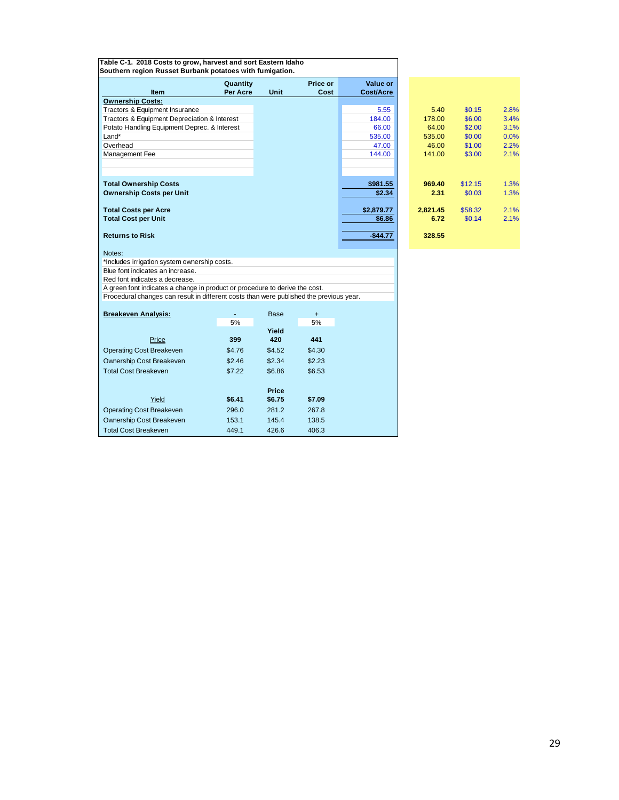| Table C-1. 2018 Costs to grow, harvest and sort Eastern Idaho<br>Southern region Russet Burbank potatoes with fumigation. |                      |              |                  |                       |                  |                   |              |
|---------------------------------------------------------------------------------------------------------------------------|----------------------|--------------|------------------|-----------------------|------------------|-------------------|--------------|
| <b>Item</b>                                                                                                               | Quantity<br>Per Acre | Unit         | Price or<br>Cost | Value or<br>Cost/Acre |                  |                   |              |
| <b>Ownership Costs:</b>                                                                                                   |                      |              |                  |                       |                  |                   |              |
| Tractors & Equipment Insurance                                                                                            |                      |              |                  | 5.55                  | 5.40             | \$0.15            | 2.8%         |
| Tractors & Equipment Depreciation & Interest                                                                              |                      |              |                  | 184.00                | 178.00           | \$6.00            | 3.4%         |
| Potato Handling Equipment Deprec. & Interest                                                                              |                      |              |                  | 66.00                 | 64.00            | \$2.00            | 3.1%         |
| Land*                                                                                                                     |                      |              |                  | 535.00                | 535.00           | \$0.00            | 0.0%         |
| Overhead                                                                                                                  |                      |              |                  | 47.00                 | 46.00            | \$1.00            | 2.2%         |
| Management Fee                                                                                                            |                      |              |                  | 144.00                | 141.00           | \$3.00            | 2.1%         |
|                                                                                                                           |                      |              |                  |                       |                  |                   |              |
| <b>Total Ownership Costs</b>                                                                                              |                      |              |                  | \$981.55              | 969.40           | \$12.15           | 1.3%         |
| <b>Ownership Costs per Unit</b>                                                                                           |                      |              |                  | \$2.34                | 2.31             | \$0.03            | 1.3%         |
| <b>Total Costs per Acre</b><br><b>Total Cost per Unit</b>                                                                 |                      |              |                  | \$2,879.77<br>\$6.86  | 2,821.45<br>6.72 | \$58.32<br>\$0.14 | 2.1%<br>2.1% |
|                                                                                                                           |                      |              |                  |                       |                  |                   |              |
| <b>Returns to Risk</b>                                                                                                    |                      |              |                  | $-$44.77$             | 328.55           |                   |              |
| Notes:<br>*Includes irrigation system ownership costs.                                                                    |                      |              |                  |                       |                  |                   |              |
| Blue font indicates an increase.                                                                                          |                      |              |                  |                       |                  |                   |              |
| Red font indicates a decrease.                                                                                            |                      |              |                  |                       |                  |                   |              |
| A green font indicates a change in product or procedure to derive the cost.                                               |                      |              |                  |                       |                  |                   |              |
| Procedural changes can result in different costs than were published the previous year.                                   |                      |              |                  |                       |                  |                   |              |
| <b>Breakeven Analysis:</b>                                                                                                |                      | Base         | $+$              |                       |                  |                   |              |
|                                                                                                                           | 5%                   |              | 5%               |                       |                  |                   |              |
| Price                                                                                                                     | 399                  | Yield<br>420 | 441              |                       |                  |                   |              |
| <b>Operating Cost Breakeven</b>                                                                                           | \$4.76               | \$4.52       | \$4.30           |                       |                  |                   |              |
| Ownership Cost Breakeven                                                                                                  | \$2.46               | \$2.34       | \$2.23           |                       |                  |                   |              |
| <b>Total Cost Breakeven</b>                                                                                               | \$7.22               | \$6.86       | \$6.53           |                       |                  |                   |              |
|                                                                                                                           |                      | Price        |                  |                       |                  |                   |              |
| Yield                                                                                                                     | \$6.41               | \$6.75       | \$7.09           |                       |                  |                   |              |
| <b>Operating Cost Breakeven</b>                                                                                           | 296.0                | 281.2        | 267.8            |                       |                  |                   |              |
| Ownership Cost Breakeven                                                                                                  | 153.1                | 145.4        | 138.5            |                       |                  |                   |              |

Total Cost Breakeven 449.1 426.6 406.3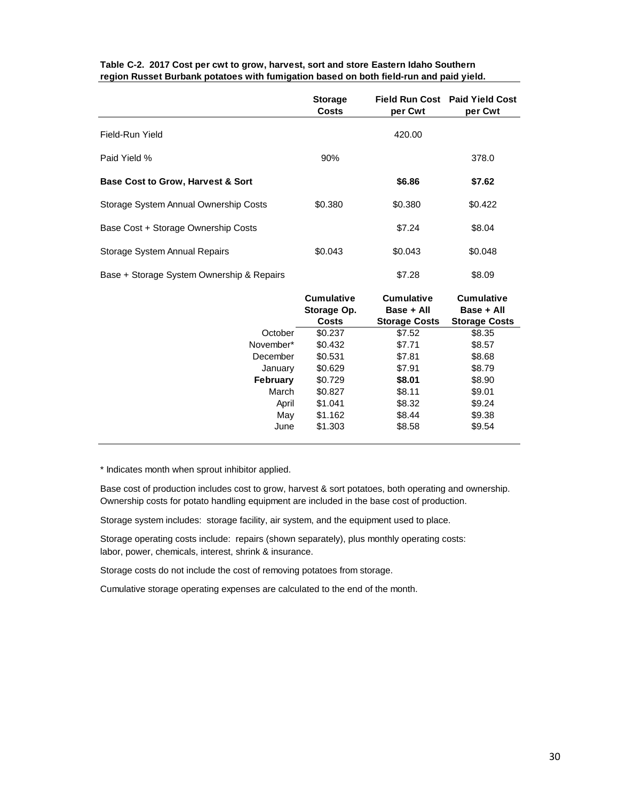|                                              | <b>Storage</b><br>Costs | per Cwt | Field Run Cost Paid Yield Cost<br>per Cwt |
|----------------------------------------------|-------------------------|---------|-------------------------------------------|
| Field-Run Yield                              |                         | 420.00  |                                           |
| Paid Yield %                                 | 90%                     |         | 378.0                                     |
| <b>Base Cost to Grow, Harvest &amp; Sort</b> |                         | \$6.86  | \$7.62                                    |
| Storage System Annual Ownership Costs        | \$0.380                 | \$0.380 | \$0.422                                   |
| Base Cost + Storage Ownership Costs          |                         | \$7.24  | \$8.04                                    |
| Storage System Annual Repairs                | \$0.043                 | \$0.043 | \$0.048                                   |
| Base + Storage System Ownership & Repairs    |                         | \$7.28  | \$8.09                                    |

#### **Table C-2. 2017 Cost per cwt to grow, harvest, sort and store Eastern Idaho Southern region Russet Burbank potatoes with fumigation based on both field-run and paid yield.**

|                 | <b>Cumulative</b><br>Storage Op.<br><b>Costs</b> | <b>Cumulative</b><br>Base + All<br><b>Storage Costs</b> | <b>Cumulative</b><br>Base + All<br><b>Storage Costs</b> |
|-----------------|--------------------------------------------------|---------------------------------------------------------|---------------------------------------------------------|
| October         | \$0.237                                          | \$7.52                                                  | \$8.35                                                  |
| November*       | \$0.432                                          | \$7.71                                                  | \$8.57                                                  |
| December        | \$0.531                                          | \$7.81                                                  | \$8.68                                                  |
| January         | \$0.629                                          | \$7.91                                                  | \$8.79                                                  |
| <b>February</b> | \$0.729                                          | \$8.01                                                  | \$8.90                                                  |
| March           | \$0.827                                          | \$8.11                                                  | \$9.01                                                  |
| April           | \$1.041                                          | \$8.32                                                  | \$9.24                                                  |
| May             | \$1.162                                          | \$8.44                                                  | \$9.38                                                  |
| June            | \$1,303                                          | \$8.58                                                  | \$9.54                                                  |

\* Indicates month when sprout inhibitor applied.

Base cost of production includes cost to grow, harvest & sort potatoes, both operating and ownership. Ownership costs for potato handling equipment are included in the base cost of production.

Storage system includes: storage facility, air system, and the equipment used to place.

Storage operating costs include: repairs (shown separately), plus monthly operating costs: labor, power, chemicals, interest, shrink & insurance.

Storage costs do not include the cost of removing potatoes from storage.

Cumulative storage operating expenses are calculated to the end of the month.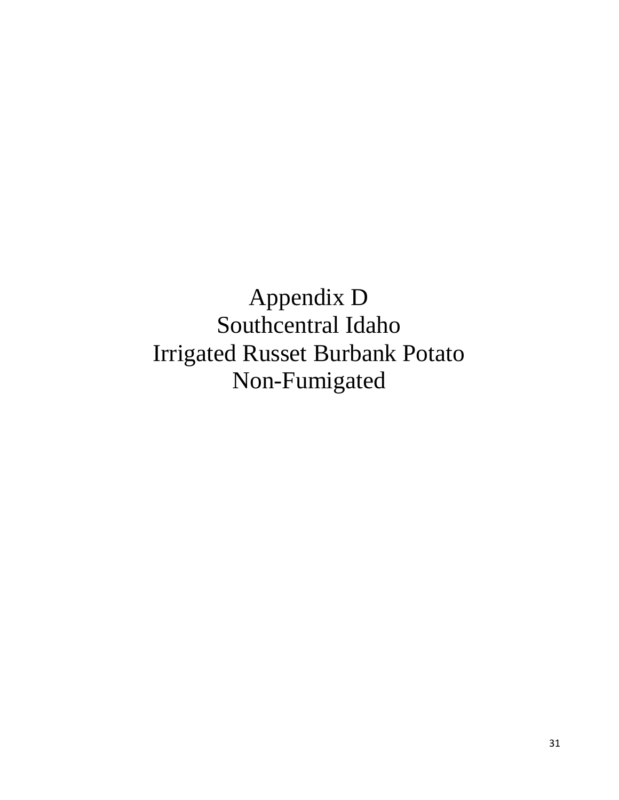Appendix D Southcentral Idaho Irrigated Russet Burbank Potato Non-Fumigated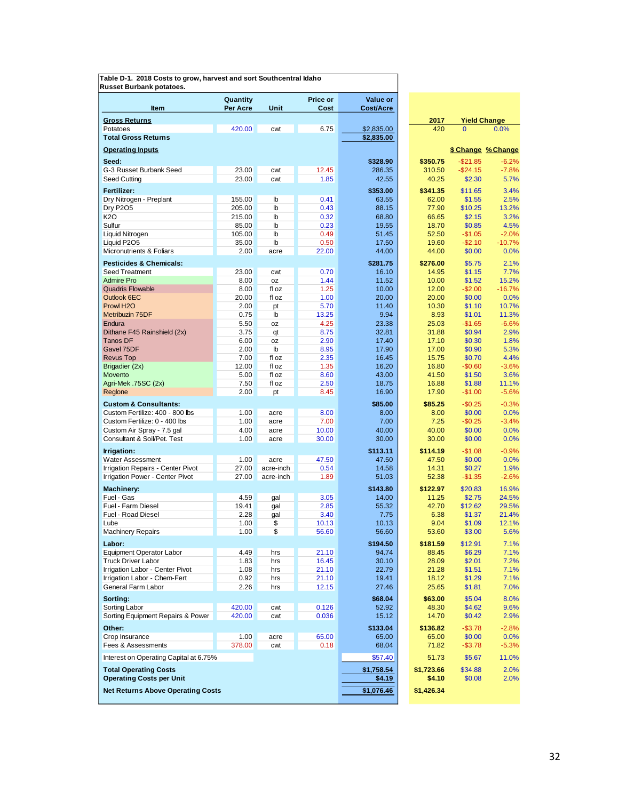**Table D-1. 2018 Costs to grow, harvest and sort Southcentral Idaho Russet Burbank potatoes.**

|                                                                     | Quantity      |                | Price or<br>Cost | Value or        |                 |                                       |                    |
|---------------------------------------------------------------------|---------------|----------------|------------------|-----------------|-----------------|---------------------------------------|--------------------|
| Item                                                                | Per Acre      | Unit           |                  | Cost/Acre       |                 |                                       |                    |
| <b>Gross Returns</b><br>Potatoes                                    | 420.00        | cwt            | 6.75             | \$2,835.00      | 2017<br>420     | <b>Yield Change</b><br>$\overline{0}$ | 0.0%               |
| <b>Total Gross Returns</b>                                          |               |                |                  | \$2,835.00      |                 |                                       |                    |
| <b>Operating Inputs</b>                                             |               |                |                  |                 |                 |                                       | \$ Change % Change |
| Seed:                                                               |               |                |                  | \$328.90        | \$350.75        | $-$21.85$                             | $-6.2%$            |
| G-3 Russet Burbank Seed                                             | 23.00         | cwt            | 12.45            | 286.35          | 310.50          | $-$24.15$                             | $-7.8%$            |
| Seed Cutting                                                        | 23.00         | cwt            | 1.85             | 42.55           | 40.25           | \$2.30                                | 5.7%               |
| Fertilizer:                                                         |               |                |                  | \$353.00        | \$341.35        | \$11.65                               | 3.4%               |
| Dry Nitrogen - Preplant                                             | 155.00        | $\mathbb{b}$   | 0.41             | 63.55           | 62.00           | \$1.55                                | 2.5%               |
| <b>Dry P2O5</b>                                                     | 205.00        | $\mathbf{I}$   | 0.43             | 88.15           | 77.90           | \$10.25                               | 13.2%              |
| K2O                                                                 | 215.00        | $\mathbf{I}$   | 0.32             | 68.80           | 66.65           | \$2.15                                | 3.2%               |
| Sulfur                                                              | 85.00         | $\mathbf{b}$   | 0.23             | 19.55           | 18.70           | \$0.85                                | 4.5%               |
| Liquid Nitrogen                                                     | 105.00        | $\mathbb{I}$   | 0.49             | 51.45           | 52.50           | $-$1.05$                              | $-2.0%$            |
| Liquid P2O5                                                         | 35.00         | $\mathbf b$    | 0.50             | 17.50           | 19.60           | $-$2.10$                              | $-10.7%$           |
| Micronutrients & Foliars                                            | 2.00          | acre           | 22.00            | 44.00           | 44.00           | \$0.00                                | 0.0%               |
| <b>Pesticides &amp; Chemicals:</b>                                  |               |                |                  | \$281.75        | \$276.00        | \$5.75                                | 2.1%               |
| Seed Treatment                                                      | 23.00         | cwt            | 0.70             | 16.10           | 14.95           | \$1.15                                | 7.7%               |
| <b>Admire Pro</b>                                                   | 8.00          | 0Z             | 1.44             | 11.52           | 10.00           | \$1.52                                | 15.2%              |
| <b>Quadris Flowable</b><br>Outlook 6EC                              | 8.00<br>20.00 | fl oz<br>fl oz | 1.25<br>1.00     | 10.00<br>20.00  | 12.00<br>20.00  | $-$2.00$<br>\$0.00                    | $-16.7%$<br>0.0%   |
| Prowl H <sub>2</sub> O                                              | 2.00          | pt             | 5.70             | 11.40           | 10.30           | \$1.10                                | 10.7%              |
| Metribuzin 75DF                                                     | 0.75          | lb             | 13.25            | 9.94            | 8.93            | \$1.01                                | 11.3%              |
| Endura                                                              | 5.50          | 0Z             | 4.25             | 23.38           | 25.03           | $-$1.65$                              | $-6.6%$            |
| Dithane F45 Rainshield (2x)                                         | 3.75          | qt             | 8.75             | 32.81           | 31.88           | \$0.94                                | 2.9%               |
| <b>Tanos DF</b>                                                     | 6.00          | 0Z             | 2.90             | 17.40           | 17.10           | \$0.30                                | 1.8%               |
| Gavel 75DF                                                          | 2.00          | lb             | 8.95             | 17.90           | 17.00           | \$0.90                                | 5.3%               |
| <b>Revus Top</b>                                                    | 7.00          | fl oz          | 2.35             | 16.45           | 15.75           | \$0.70                                | 4.4%               |
| Brigadier (2x)                                                      | 12.00         | fl oz          | 1.35             | 16.20           | 16.80           | $-$0.60$                              | $-3.6%$            |
| Movento<br>Agri-Mek .75SC (2x)                                      | 5.00<br>7.50  | fl oz<br>fl oz | 8.60<br>2.50     | 43.00<br>18.75  | 41.50<br>16.88  | \$1.50<br>\$1.88                      | 3.6%<br>11.1%      |
| Reglone                                                             | 2.00          | pt             | 8.45             | 16.90           | 17.90           | $-$1.00$                              | $-5.6%$            |
|                                                                     |               |                |                  |                 |                 |                                       |                    |
| <b>Custom &amp; Consultants:</b><br>Custom Fertilize: 400 - 800 lbs | 1.00          | acre           | 8.00             | \$85.00<br>8.00 | \$85.25<br>8.00 | $-$0.25$<br>\$0.00                    | $-0.3%$<br>0.0%    |
| Custom Fertilize: 0 - 400 lbs                                       | 1.00          | acre           | 7.00             | 7.00            | 7.25            | $-$0.25$                              | $-3.4%$            |
| Custom Air Spray - 7.5 gal                                          | 4.00          | acre           | 10.00            | 40.00           | 40.00           | \$0.00                                | 0.0%               |
| Consultant & Soil/Pet. Test                                         | 1.00          | acre           | 30.00            | 30.00           | 30.00           | \$0.00                                | 0.0%               |
| Irrigation:                                                         |               |                |                  | \$113.11        | \$114.19        | $-$1.08$                              | $-0.9%$            |
| Water Assessment                                                    | 1.00          | acre           | 47.50            | 47.50           | 47.50           | \$0.00                                | 0.0%               |
| Irrigation Repairs - Center Pivot                                   | 27.00         | acre-inch      | 0.54             | 14.58           | 14.31           | \$0.27                                | 1.9%               |
| Irrigation Power - Center Pivot                                     | 27.00         | acre-inch      | 1.89             | 51.03           | 52.38           | $-$1.35$                              | $-2.6%$            |
| <b>Machinery:</b>                                                   |               |                |                  | \$143.80        | \$122.97        | \$20.83                               | 16.9%              |
| Fuel - Gas                                                          | 4.59          | gal            | 3.05             | 14.00           | 11.25           | \$2.75                                | 24.5%              |
| Fuel - Farm Diesel                                                  | 19.41         | gal            | 2.85             | 55.32           | 42.70           | \$12.62                               | 29.5%              |
| Fuel - Road Diesel                                                  | 2.28          | gal            | 3.40             | 7.75            | 6.38            | \$1.37                                | 21.4%              |
| Lube                                                                | 1.00          | \$             | 10.13            | 10.13           | 9.04            | \$1.09                                | 12.1%              |
| <b>Machinery Repairs</b>                                            | 1.00          | \$             | 56.60            | 56.60           | 53.60           | \$3.00                                | 5.6%               |
| Labor:                                                              |               |                |                  | \$194.50        | \$181.59        | \$12.91                               | 7.1%               |
| <b>Equipment Operator Labor</b>                                     | 4.49          | hrs            | 21.10            | 94.74           | 88.45           | \$6.29                                | 7.1%               |
| <b>Truck Driver Labor</b>                                           | 1.83          | hrs            | 16.45            | 30.10           | 28.09           | \$2.01                                | 7.2%               |
| Irrigation Labor - Center Pivot                                     | 1.08          | hrs            | 21.10            | 22.79           | 21.28           | \$1.51                                | 7.1%               |
| Irrigation Labor - Chem-Fert                                        | 0.92          | hrs            | 21.10            | 19.41           | 18.12           | \$1.29                                | 7.1%               |
| General Farm Labor                                                  | 2.26          | hrs            | 12.15            | 27.46           | 25.65           | \$1.81                                | 7.0%               |
| Sorting:                                                            |               |                |                  | \$68.04         | \$63.00         | \$5.04                                | 8.0%               |
| Sorting Labor                                                       | 420.00        | cwt            | 0.126            | 52.92           | 48.30           | \$4.62                                | 9.6%               |
| Sorting Equipment Repairs & Power                                   | 420.00        | cwt            | 0.036            | 15.12           | 14.70           | \$0.42                                | 2.9%               |
| Other:                                                              |               |                |                  | \$133.04        | \$136.82        | $-$3.78$                              | $-2.8%$            |
| Crop Insurance                                                      | 1.00          | acre           | 65.00            | 65.00           | 65.00           | \$0.00                                | 0.0%               |
| Fees & Assessments                                                  | 378.00        | cwt            | 0.18             | 68.04           | 71.82           | $-$ \$3.78                            | $-5.3%$            |
| Interest on Operating Capital at 6.75%                              |               |                |                  | \$57.40         | 51.73           | \$5.67                                | 11.0%              |
| <b>Total Operating Costs</b>                                        |               |                |                  | \$1,758.54      | \$1,723.66      | \$34.88                               | 2.0%               |
| <b>Operating Costs per Unit</b>                                     |               |                |                  | <u>\$4.19</u>   | \$4.10          | \$0.08                                | 2.0%               |
| <b>Net Returns Above Operating Costs</b>                            |               |                |                  | \$1,076.46      | \$1,426.34      |                                       |                    |
|                                                                     |               |                |                  |                 |                 |                                       |                    |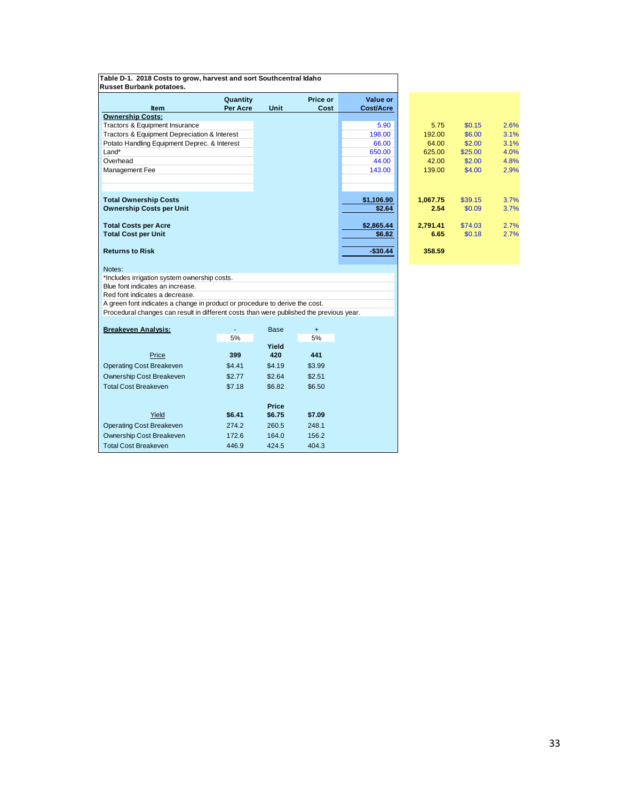| Russet Burbank potatoes.                                                                |          |              |           |                      |                  |         |  |
|-----------------------------------------------------------------------------------------|----------|--------------|-----------|----------------------|------------------|---------|--|
|                                                                                         | Quantity |              | Price or  | Value or             |                  |         |  |
| <b>Item</b><br><b>Ownership Costs:</b>                                                  | Per Acre | Unit         | Cost      | <b>Cost/Acre</b>     |                  |         |  |
| Tractors & Equipment Insurance                                                          |          |              |           | 5.90                 | 5.75             | \$0.15  |  |
| Tractors & Equipment Depreciation & Interest                                            |          |              |           | 198.00               | 192.00           | \$6.00  |  |
| Potato Handling Equipment Deprec. & Interest                                            |          |              |           | 66.00                | 64.00            | \$2.00  |  |
| Land*                                                                                   |          |              |           | 650.00               | 625.00           | \$25.00 |  |
| Overhead                                                                                |          |              |           | 44.00                | 42.00            | \$2.00  |  |
| Management Fee                                                                          |          |              |           | 143.00               | 139.00           | \$4.00  |  |
|                                                                                         |          |              |           |                      |                  |         |  |
|                                                                                         |          |              |           |                      |                  |         |  |
| <b>Total Ownership Costs</b><br><b>Ownership Costs per Unit</b>                         |          |              |           | \$1,106.90<br>\$2.64 | 1,067.75<br>2.54 | \$39.15 |  |
|                                                                                         |          |              |           |                      |                  | \$0.09  |  |
| <b>Total Costs per Acre</b>                                                             |          |              |           | \$2,865.44           | 2,791.41         | \$74.03 |  |
| <b>Total Cost per Unit</b>                                                              |          |              |           | \$6.82               | 6.65             | \$0.18  |  |
| <b>Returns to Risk</b>                                                                  |          |              |           | $-$30.44$            | 358.59           |         |  |
|                                                                                         |          |              |           |                      |                  |         |  |
| Notes:<br>*Includes irrigation system ownership costs.                                  |          |              |           |                      |                  |         |  |
| Blue font indicates an increase.                                                        |          |              |           |                      |                  |         |  |
| Red font indicates a decrease.                                                          |          |              |           |                      |                  |         |  |
| A green font indicates a change in product or procedure to derive the cost.             |          |              |           |                      |                  |         |  |
| Procedural changes can result in different costs than were published the previous year. |          |              |           |                      |                  |         |  |
| <b>Breakeven Analysis:</b>                                                              |          | <b>Base</b>  | $\ddot{}$ |                      |                  |         |  |
|                                                                                         | 5%       |              | 5%        |                      |                  |         |  |
|                                                                                         |          | Yield        |           |                      |                  |         |  |
| Price                                                                                   | 399      | 420          | 441       |                      |                  |         |  |
| <b>Operating Cost Breakeven</b>                                                         | \$4.41   | \$4.19       | \$3.99    |                      |                  |         |  |
| Ownership Cost Breakeven                                                                | \$2.77   | \$2.64       | \$2.51    |                      |                  |         |  |
| <b>Total Cost Breakeven</b>                                                             | \$7.18   | \$6.82       | \$6.50    |                      |                  |         |  |
|                                                                                         |          | <b>Price</b> |           |                      |                  |         |  |
| Yield                                                                                   | \$6.41   | \$6.75       | \$7.09    |                      |                  |         |  |
| <b>Operating Cost Breakeven</b>                                                         | 274.2    | 260.5        | 248.1     |                      |                  |         |  |
| Ownership Cost Breakeven                                                                | 172.6    | 164.0        | 156.2     |                      |                  |         |  |
| <b>Total Cost Breakeven</b>                                                             | 446.9    | 424.5        | 404.3     |                      |                  |         |  |

**Table D-1. 2018 Costs to grow, harvest and sort Southcentral Idaho**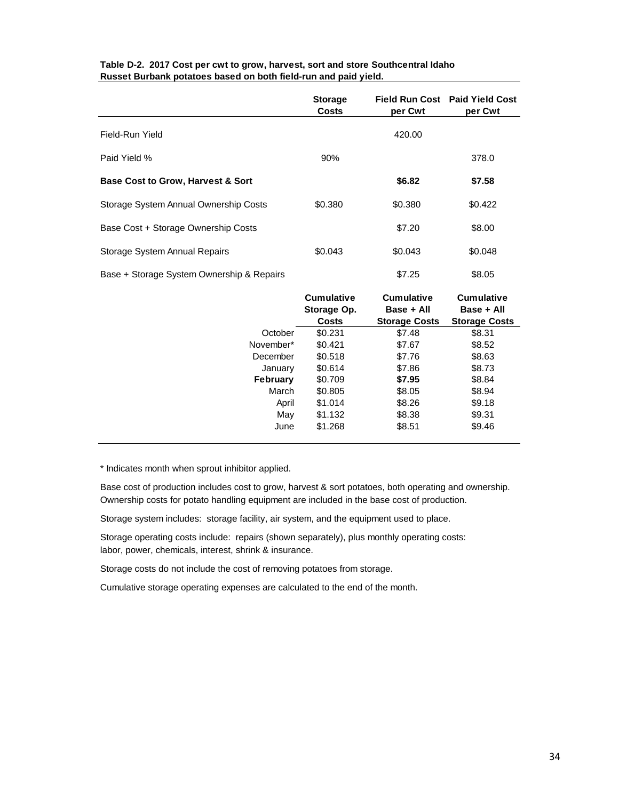|                                              | <b>Storage</b><br><b>Costs</b> | per Cwt | Field Run Cost Paid Yield Cost<br>per Cwt |
|----------------------------------------------|--------------------------------|---------|-------------------------------------------|
| Field-Run Yield                              |                                | 420.00  |                                           |
| Paid Yield %                                 | 90%                            |         | 378.0                                     |
| <b>Base Cost to Grow, Harvest &amp; Sort</b> |                                | \$6.82  | \$7.58                                    |
| Storage System Annual Ownership Costs        | \$0.380                        | \$0.380 | \$0.422                                   |
| Base Cost + Storage Ownership Costs          |                                | \$7.20  | \$8.00                                    |
| Storage System Annual Repairs                | \$0.043                        | \$0.043 | \$0.048                                   |
| Base + Storage System Ownership & Repairs    |                                | \$7.25  | \$8.05                                    |

## **Table D-2. 2017 Cost per cwt to grow, harvest, sort and store Southcentral Idaho Russet Burbank potatoes based on both field-run and paid yield.**

|                 | <b>Cumulative</b><br>Storage Op. | Cumulative<br>Base + All | <b>Cumulative</b><br>Base + All |
|-----------------|----------------------------------|--------------------------|---------------------------------|
|                 | <b>Costs</b>                     | <b>Storage Costs</b>     | <b>Storage Costs</b>            |
| October         | \$0.231                          | \$7.48                   | \$8.31                          |
| November*       | \$0.421                          | \$7.67                   | \$8.52                          |
| December        | \$0.518                          | \$7.76                   | \$8.63                          |
| January         | \$0.614                          | \$7.86                   | \$8.73                          |
| <b>February</b> | \$0.709                          | \$7.95                   | \$8.84                          |
| March           | \$0.805                          | \$8.05                   | \$8.94                          |
| April           | \$1.014                          | \$8.26                   | \$9.18                          |
| May             | \$1.132                          | \$8.38                   | \$9.31                          |
| June            | \$1.268                          | \$8.51                   | \$9.46                          |

\* Indicates month when sprout inhibitor applied.

Base cost of production includes cost to grow, harvest & sort potatoes, both operating and ownership. Ownership costs for potato handling equipment are included in the base cost of production.

Storage system includes: storage facility, air system, and the equipment used to place.

Storage operating costs include: repairs (shown separately), plus monthly operating costs: labor, power, chemicals, interest, shrink & insurance.

Storage costs do not include the cost of removing potatoes from storage.

Cumulative storage operating expenses are calculated to the end of the month.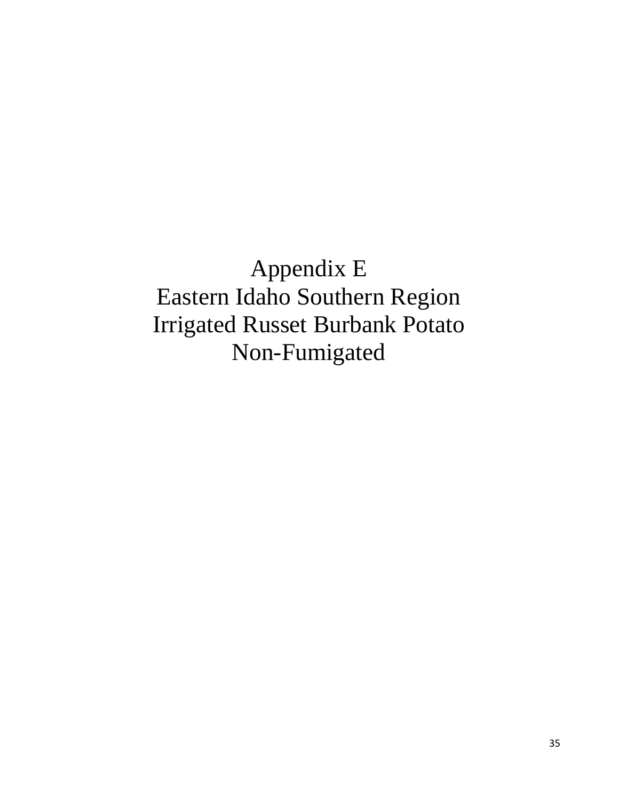Appendix E Eastern Idaho Southern Region Irrigated Russet Burbank Potato Non-Fumigated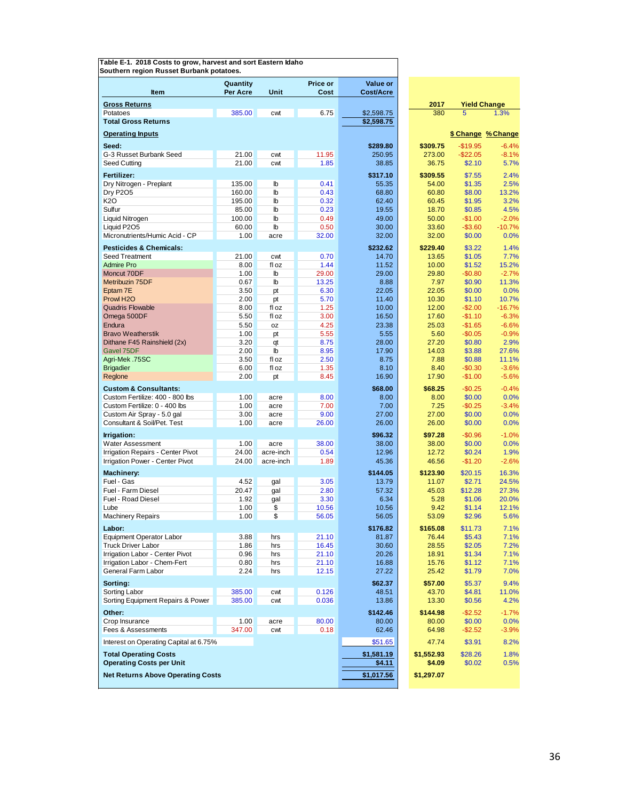|                                                         | Quantity      |              | Price or      | Value or          |                   |                     |                    |
|---------------------------------------------------------|---------------|--------------|---------------|-------------------|-------------------|---------------------|--------------------|
| Item                                                    | Per Acre      | Unit         | Cost          | <b>Cost/Acre</b>  |                   |                     |                    |
| <b>Gross Returns</b>                                    |               |              |               |                   | 2017              | <b>Yield Change</b> |                    |
| Potatoes                                                | 385.00        | cwt          | 6.75          | \$2,598.75        | 380               | 5                   | 1.3%               |
| <b>Total Gross Returns</b>                              |               |              |               | \$2,598.75        |                   |                     |                    |
| <b>Operating Inputs</b>                                 |               |              |               |                   |                   |                     | \$ Change % Change |
| Seed:                                                   |               |              |               | \$289.80          | \$309.75          | $-$19.95$           | $-6.4%$            |
| G-3 Russet Burbank Seed                                 | 21.00         | cwt          | 11.95         | 250.95            | 273.00            | $-$22.05$           | $-8.1%$            |
| Seed Cutting                                            | 21.00         | cwt          | 1.85          | 38.85             | 36.75             | \$2.10              | 5.7%               |
| Fertilizer:                                             |               |              |               | \$317.10          | \$309.55          | \$7.55              | 2.4%               |
| Dry Nitrogen - Preplant                                 | 135.00        | lb           | 0.41          | 55.35             | 54.00             | \$1.35              | 2.5%               |
| <b>Dry P2O5</b>                                         | 160.00        | lb           | 0.43          | 68.80             | 60.80             | \$8.00              | 13.2%              |
| K <sub>2</sub> O                                        | 195.00        | $\mathbb{b}$ | 0.32          | 62.40             | 60.45             | \$1.95              | 3.2%               |
| Sulfur                                                  | 85.00         | lb           | 0.23          | 19.55             | 18.70             | \$0.85              | 4.5%               |
| Liquid Nitrogen                                         | 100.00        | $\mathbb{I}$ | 0.49          | 49.00             | 50.00             | $-$1.00$            | $-2.0%$            |
| Liquid P2O5<br>Micronutrients/Humic Acid - CP           | 60.00<br>1.00 | $\mathbb{b}$ | 0.50<br>32.00 | 30.00             | 33.60             | $-$3.60$            | $-10.7%$           |
|                                                         |               | acre         |               | 32.00             | 32.00             | \$0.00              | 0.0%               |
| <b>Pesticides &amp; Chemicals:</b>                      |               |              |               | \$232.62          | \$229.40          | \$3.22              | 1.4%               |
| Seed Treatment                                          | 21.00<br>8.00 | cwt<br>fl oz | 0.70<br>1.44  | 14.70<br>11.52    | 13.65             | \$1.05              | 7.7%<br>15.2%      |
| Admire Pro<br>Moncut 70DF                               | 1.00          | lb           | 29.00         | 29.00             | 10.00<br>29.80    | \$1.52<br>$-$0.80$  | $-2.7%$            |
| Metribuzin 75DF                                         | 0.67          | lb           | 13.25         | 8.88              | 7.97              | \$0.90              | 11.3%              |
| Eptam 7E                                                | 3.50          | pt           | 6.30          | 22.05             | 22.05             | \$0.00              | 0.0%               |
| Prowl H <sub>2</sub> O                                  | 2.00          | pt           | 5.70          | 11.40             | 10.30             | \$1.10              | 10.7%              |
| <b>Quadris Flowable</b>                                 | 8.00          | fl oz        | 1.25          | 10.00             | 12.00             | $-$2.00$            | $-16.7%$           |
| Omega 500DF                                             | 5.50          | fl oz        | 3.00          | 16.50             | 17.60             | $-$1.10$            | $-6.3%$            |
| Endura                                                  | 5.50          | oz           | 4.25          | 23.38             | 25.03             | $-$1.65$            | $-6.6%$            |
| <b>Bravo Weatherstik</b><br>Dithane F45 Rainshield (2x) | 1.00<br>3.20  | pt<br>qt     | 5.55<br>8.75  | 5.55<br>28.00     | 5.60<br>27.20     | $-$0.05$<br>\$0.80  | $-0.9%$<br>2.9%    |
| Gavel 75DF                                              | 2.00          | lb           | 8.95          | 17.90             | 14.03             | \$3.88              | 27.6%              |
| 75SC. Agri-Mek                                          | 3.50          | fl oz        | 2.50          | 8.75              | 7.88              | \$0.88              | 11.1%              |
| <b>Brigadier</b>                                        | 6.00          | fl oz        | 1.35          | 8.10              | 8.40              | $-$0.30$            | $-3.6%$            |
| Reglone                                                 | 2.00          | pt           | 8.45          | 16.90             | 17.90             | $-$1.00$            | $-5.6%$            |
| <b>Custom &amp; Consultants:</b>                        |               |              |               | \$68.00           | \$68.25           | $-$0.25$            | $-0.4%$            |
| Custom Fertilize: 400 - 800 lbs                         | 1.00          | acre         | 8.00          | 8.00              | 8.00              | \$0.00              | 0.0%               |
| Custom Fertilize: 0 - 400 lbs                           | 1.00          | acre         | 7.00          | 7.00              | 7.25              | $-$0.25$            | $-3.4%$            |
| Custom Air Spray - 5.0 gal                              | 3.00          | acre         | 9.00          | 27.00             | 27.00             | \$0.00              | 0.0%               |
| Consultant & Soil/Pet. Test                             | 1.00          | acre         | 26.00         | 26.00             | 26.00             | \$0.00              | 0.0%               |
| Irrigation:                                             |               |              |               | \$96.32           | \$97.28           | $-$0.96$            | $-1.0%$            |
| Water Assessment                                        | 1.00          | acre         | 38.00         | 38.00             | 38.00             | \$0.00              | 0.0%               |
| Irrigation Repairs - Center Pivot                       | 24.00         | acre-inch    | 0.54          | 12.96             | 12.72             | \$0.24              | 1.9%               |
| Irrigation Power - Center Pivot                         | 24.00         | acre-inch    | 1.89          | 45.36             | 46.56             | $-$1.20$            | $-2.6%$            |
| <b>Machinery:</b>                                       |               |              |               | \$144.05          | \$123.90          | \$20.15             | 16.3%              |
| Fuel - Gas                                              | 4.52          | gal          | 3.05          | 13.79             | 11.07             | \$2.71              | 24.5%              |
| Fuel - Farm Diesel                                      | 20.47         | gal          | 2.80          | 57.32             | 45.03             | \$12.28             | 27.3%              |
| Fuel - Road Diesel<br>Lube                              | 1.92<br>1.00  | gal<br>\$    | 3.30<br>10.56 | 6.34<br>10.56     | 5.28<br>9.42      | \$1.06<br>\$1.14    | 20.0%<br>12.1%     |
| <b>Machinery Repairs</b>                                | 1.00          | \$           | 56.05         | 56.05             | 53.09             | \$2.96              | 5.6%               |
|                                                         |               |              |               |                   |                   |                     |                    |
| Labor:<br><b>Equipment Operator Labor</b>               | 3.88          | hrs          | 21.10         | \$176.82<br>81.87 | \$165.08<br>76.44 | \$11.73<br>\$5.43   | 7.1%<br>7.1%       |
| <b>Truck Driver Labor</b>                               | 1.86          | hrs          | 16.45         | 30.60             | 28.55             | \$2.05              | 7.2%               |
| Irrigation Labor - Center Pivot                         | 0.96          | hrs          | 21.10         | 20.26             | 18.91             | \$1.34              | 7.1%               |
| Irrigation Labor - Chem-Fert                            | 0.80          | hrs          | 21.10         | 16.88             | 15.76             | \$1.12              | 7.1%               |
| General Farm Labor                                      | 2.24          | hrs          | 12.15         | 27.22             | 25.42             | \$1.79              | 7.0%               |
| Sorting:                                                |               |              |               | \$62.37           | \$57.00           | \$5.37              | 9.4%               |
| Sorting Labor                                           | 385.00        | cwt          | 0.126         | 48.51             | 43.70             | \$4.81              | 11.0%              |
| Sorting Equipment Repairs & Power                       | 385.00        | cwt          | 0.036         | 13.86             | 13.30             | \$0.56              | 4.2%               |
| Other:                                                  |               |              |               | \$142.46          | \$144.98          | $-$2.52$            | $-1.7%$            |
| Crop Insurance                                          | 1.00          | acre         | 80.00         | 80.00             | 80.00             | \$0.00              | 0.0%               |
| Fees & Assessments                                      | 347.00        | cwt          | 0.18          | 62.46             | 64.98             | $-$2.52$            | $-3.9%$            |
| Interest on Operating Capital at 6.75%                  |               |              |               | \$51.65           | 47.74             | \$3.91              | 8.2%               |
| <b>Total Operating Costs</b>                            |               |              |               | \$1,581.19        | \$1,552.93        | \$28.26             | 1.8%               |
| <b>Operating Costs per Unit</b>                         |               |              |               | \$4.11            | \$4.09            | \$0.02              | 0.5%               |
| <b>Net Returns Above Operating Costs</b>                |               |              |               |                   | \$1,297.07        |                     |                    |
|                                                         |               |              |               | \$1,017.56        |                   |                     |                    |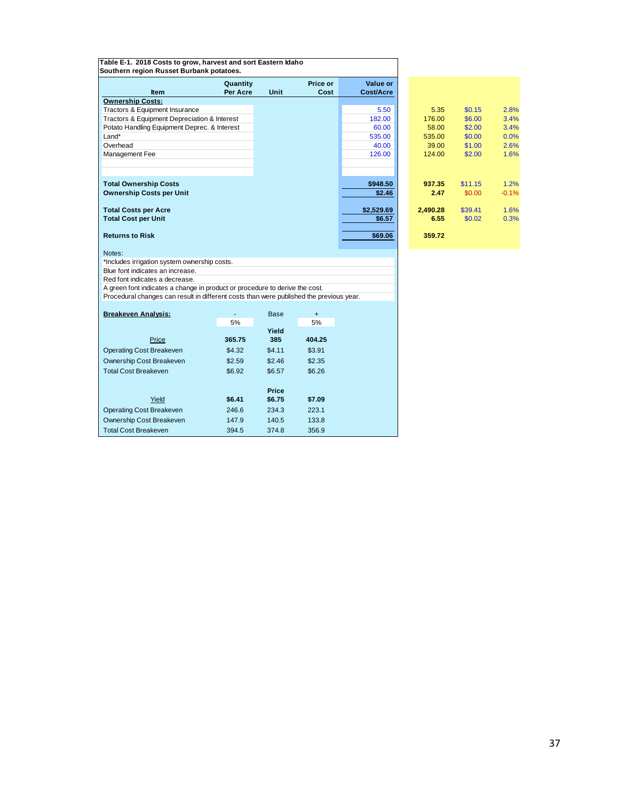| Price or<br>Value or<br>Quantity<br><b>Per Acre</b><br>Unit<br><b>Item</b><br>Cost<br><b>Cost/Acre</b><br><b>Ownership Costs:</b><br>Tractors & Equipment Insurance<br>5.50<br>5.35<br>\$0.15<br>2.8%<br>Tractors & Equipment Depreciation & Interest<br>182.00<br>176.00<br>\$6.00<br>3.4%<br>Potato Handling Equipment Deprec. & Interest<br>60.00<br>58.00<br>\$2.00<br>3.4%<br>\$0.00<br>Land*<br>535.00<br>535.00<br>0.0%<br>Overhead<br>\$1.00<br>2.6%<br>40.00<br>39.00<br>\$2.00<br>1.6%<br>126.00<br>124.00<br>Management Fee<br><b>Total Ownership Costs</b><br>1.2%<br>\$948.50<br>937.35<br>\$11.15<br><b>Ownership Costs per Unit</b><br>\$2.46<br>2.47<br>\$0.00<br>$-0.1%$<br>\$2,529.69<br>1.6%<br><b>Total Costs per Acre</b><br>2.490.28<br>\$39.41<br><b>Total Cost per Unit</b><br>\$6.57<br>6.55<br>\$0.02<br>0.3%<br><b>Returns to Risk</b><br>\$69.06<br>359.72<br>Notes:<br>*Includes irrigation system ownership costs.<br>Blue font indicates an increase.<br>Red font indicates a decrease.<br>A green font indicates a change in product or procedure to derive the cost.<br>Procedural changes can result in different costs than were published the previous year.<br><b>Breakeven Analysis:</b><br><b>Base</b><br>$\ddot{}$<br>5%<br>5%<br>Yield<br>365.75<br>385<br>404.25<br>Price | Table E-1. 2018 Costs to grow, harvest and sort Eastern Idaho<br>Southern region Russet Burbank potatoes. |  |  |  |  |
|---------------------------------------------------------------------------------------------------------------------------------------------------------------------------------------------------------------------------------------------------------------------------------------------------------------------------------------------------------------------------------------------------------------------------------------------------------------------------------------------------------------------------------------------------------------------------------------------------------------------------------------------------------------------------------------------------------------------------------------------------------------------------------------------------------------------------------------------------------------------------------------------------------------------------------------------------------------------------------------------------------------------------------------------------------------------------------------------------------------------------------------------------------------------------------------------------------------------------------------------------------------------------------------------------------------------|-----------------------------------------------------------------------------------------------------------|--|--|--|--|
|                                                                                                                                                                                                                                                                                                                                                                                                                                                                                                                                                                                                                                                                                                                                                                                                                                                                                                                                                                                                                                                                                                                                                                                                                                                                                                                     |                                                                                                           |  |  |  |  |
|                                                                                                                                                                                                                                                                                                                                                                                                                                                                                                                                                                                                                                                                                                                                                                                                                                                                                                                                                                                                                                                                                                                                                                                                                                                                                                                     |                                                                                                           |  |  |  |  |
|                                                                                                                                                                                                                                                                                                                                                                                                                                                                                                                                                                                                                                                                                                                                                                                                                                                                                                                                                                                                                                                                                                                                                                                                                                                                                                                     |                                                                                                           |  |  |  |  |
|                                                                                                                                                                                                                                                                                                                                                                                                                                                                                                                                                                                                                                                                                                                                                                                                                                                                                                                                                                                                                                                                                                                                                                                                                                                                                                                     |                                                                                                           |  |  |  |  |
|                                                                                                                                                                                                                                                                                                                                                                                                                                                                                                                                                                                                                                                                                                                                                                                                                                                                                                                                                                                                                                                                                                                                                                                                                                                                                                                     |                                                                                                           |  |  |  |  |
|                                                                                                                                                                                                                                                                                                                                                                                                                                                                                                                                                                                                                                                                                                                                                                                                                                                                                                                                                                                                                                                                                                                                                                                                                                                                                                                     |                                                                                                           |  |  |  |  |
|                                                                                                                                                                                                                                                                                                                                                                                                                                                                                                                                                                                                                                                                                                                                                                                                                                                                                                                                                                                                                                                                                                                                                                                                                                                                                                                     |                                                                                                           |  |  |  |  |
|                                                                                                                                                                                                                                                                                                                                                                                                                                                                                                                                                                                                                                                                                                                                                                                                                                                                                                                                                                                                                                                                                                                                                                                                                                                                                                                     |                                                                                                           |  |  |  |  |
|                                                                                                                                                                                                                                                                                                                                                                                                                                                                                                                                                                                                                                                                                                                                                                                                                                                                                                                                                                                                                                                                                                                                                                                                                                                                                                                     |                                                                                                           |  |  |  |  |
|                                                                                                                                                                                                                                                                                                                                                                                                                                                                                                                                                                                                                                                                                                                                                                                                                                                                                                                                                                                                                                                                                                                                                                                                                                                                                                                     |                                                                                                           |  |  |  |  |
|                                                                                                                                                                                                                                                                                                                                                                                                                                                                                                                                                                                                                                                                                                                                                                                                                                                                                                                                                                                                                                                                                                                                                                                                                                                                                                                     |                                                                                                           |  |  |  |  |
|                                                                                                                                                                                                                                                                                                                                                                                                                                                                                                                                                                                                                                                                                                                                                                                                                                                                                                                                                                                                                                                                                                                                                                                                                                                                                                                     |                                                                                                           |  |  |  |  |
|                                                                                                                                                                                                                                                                                                                                                                                                                                                                                                                                                                                                                                                                                                                                                                                                                                                                                                                                                                                                                                                                                                                                                                                                                                                                                                                     |                                                                                                           |  |  |  |  |
|                                                                                                                                                                                                                                                                                                                                                                                                                                                                                                                                                                                                                                                                                                                                                                                                                                                                                                                                                                                                                                                                                                                                                                                                                                                                                                                     |                                                                                                           |  |  |  |  |
|                                                                                                                                                                                                                                                                                                                                                                                                                                                                                                                                                                                                                                                                                                                                                                                                                                                                                                                                                                                                                                                                                                                                                                                                                                                                                                                     |                                                                                                           |  |  |  |  |
|                                                                                                                                                                                                                                                                                                                                                                                                                                                                                                                                                                                                                                                                                                                                                                                                                                                                                                                                                                                                                                                                                                                                                                                                                                                                                                                     |                                                                                                           |  |  |  |  |
|                                                                                                                                                                                                                                                                                                                                                                                                                                                                                                                                                                                                                                                                                                                                                                                                                                                                                                                                                                                                                                                                                                                                                                                                                                                                                                                     |                                                                                                           |  |  |  |  |
|                                                                                                                                                                                                                                                                                                                                                                                                                                                                                                                                                                                                                                                                                                                                                                                                                                                                                                                                                                                                                                                                                                                                                                                                                                                                                                                     |                                                                                                           |  |  |  |  |
|                                                                                                                                                                                                                                                                                                                                                                                                                                                                                                                                                                                                                                                                                                                                                                                                                                                                                                                                                                                                                                                                                                                                                                                                                                                                                                                     |                                                                                                           |  |  |  |  |
|                                                                                                                                                                                                                                                                                                                                                                                                                                                                                                                                                                                                                                                                                                                                                                                                                                                                                                                                                                                                                                                                                                                                                                                                                                                                                                                     |                                                                                                           |  |  |  |  |
|                                                                                                                                                                                                                                                                                                                                                                                                                                                                                                                                                                                                                                                                                                                                                                                                                                                                                                                                                                                                                                                                                                                                                                                                                                                                                                                     |                                                                                                           |  |  |  |  |
|                                                                                                                                                                                                                                                                                                                                                                                                                                                                                                                                                                                                                                                                                                                                                                                                                                                                                                                                                                                                                                                                                                                                                                                                                                                                                                                     |                                                                                                           |  |  |  |  |
|                                                                                                                                                                                                                                                                                                                                                                                                                                                                                                                                                                                                                                                                                                                                                                                                                                                                                                                                                                                                                                                                                                                                                                                                                                                                                                                     |                                                                                                           |  |  |  |  |
|                                                                                                                                                                                                                                                                                                                                                                                                                                                                                                                                                                                                                                                                                                                                                                                                                                                                                                                                                                                                                                                                                                                                                                                                                                                                                                                     |                                                                                                           |  |  |  |  |
|                                                                                                                                                                                                                                                                                                                                                                                                                                                                                                                                                                                                                                                                                                                                                                                                                                                                                                                                                                                                                                                                                                                                                                                                                                                                                                                     |                                                                                                           |  |  |  |  |
|                                                                                                                                                                                                                                                                                                                                                                                                                                                                                                                                                                                                                                                                                                                                                                                                                                                                                                                                                                                                                                                                                                                                                                                                                                                                                                                     |                                                                                                           |  |  |  |  |
|                                                                                                                                                                                                                                                                                                                                                                                                                                                                                                                                                                                                                                                                                                                                                                                                                                                                                                                                                                                                                                                                                                                                                                                                                                                                                                                     |                                                                                                           |  |  |  |  |
|                                                                                                                                                                                                                                                                                                                                                                                                                                                                                                                                                                                                                                                                                                                                                                                                                                                                                                                                                                                                                                                                                                                                                                                                                                                                                                                     |                                                                                                           |  |  |  |  |
| $\mathbf{A}$ $\mathbf{A}$<br>0.04<br>$A + 1$                                                                                                                                                                                                                                                                                                                                                                                                                                                                                                                                                                                                                                                                                                                                                                                                                                                                                                                                                                                                                                                                                                                                                                                                                                                                        |                                                                                                           |  |  |  |  |

| alue or<br>st/Acre |          |         |         |  |
|--------------------|----------|---------|---------|--|
|                    |          |         |         |  |
| 5.50               | 5.35     | \$0.15  | 2.8%    |  |
| 182.00             | 176.00   | \$6.00  | 3.4%    |  |
| 60.00              | 58.00    | \$2.00  | 3.4%    |  |
| 535.00             | 535.00   | \$0.00  | 0.0%    |  |
| 40.00              | 39.00    | \$1.00  | 2.6%    |  |
| 126.00             | 124.00   | \$2.00  | 1.6%    |  |
|                    |          |         |         |  |
|                    |          |         |         |  |
| \$948.50           | 937.35   | \$11.15 | 1.2%    |  |
| \$2.46             | 2.47     | \$0.00  | $-0.1%$ |  |
|                    |          |         |         |  |
| .529.69            | 2,490.28 | \$39.41 | 1.6%    |  |
| \$6.57             | 6.55     | \$0.02  | 0.3%    |  |
|                    |          |         |         |  |
| \$69.06            | 359.72   |         |         |  |
|                    |          |         |         |  |

| <b>Breakeven Analysis:</b>      | ۰      | <b>Base</b>  | $\div$ |
|---------------------------------|--------|--------------|--------|
|                                 | 5%     |              | 5%     |
|                                 |        | Yield        |        |
| Price                           | 365.75 | 385          | 404.25 |
| <b>Operating Cost Breakeven</b> | \$4.32 | \$4.11       | \$3.91 |
| Ownership Cost Breakeven        | \$2.59 | \$2.46       | \$2.35 |
| <b>Total Cost Breakeven</b>     | \$6.92 | \$6.57       | \$6.26 |
|                                 |        | <b>Price</b> |        |
| Yield                           | \$6.41 | \$6.75       | \$7.09 |
| <b>Operating Cost Breakeven</b> | 246.6  | 234.3        | 223.1  |
| Ownership Cost Breakeven        | 147.9  | 140.5        | 133.8  |
| <b>Total Cost Breakeven</b>     | 394.5  | 374.8        | 356.9  |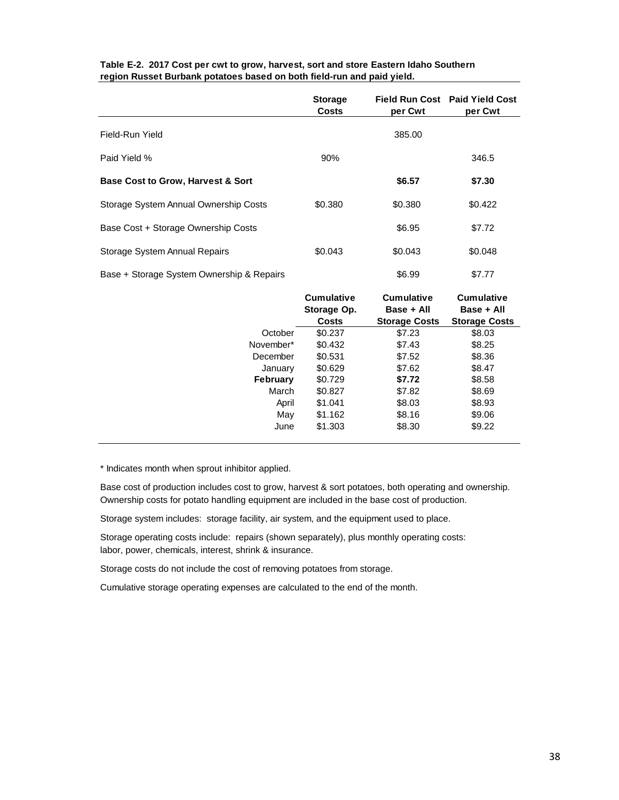|                                              | <b>Storage</b><br>Costs | per Cwt | Field Run Cost Paid Yield Cost<br>per Cwt |
|----------------------------------------------|-------------------------|---------|-------------------------------------------|
| Field-Run Yield                              |                         | 385.00  |                                           |
| Paid Yield %                                 | 90%                     |         | 346.5                                     |
| <b>Base Cost to Grow, Harvest &amp; Sort</b> |                         | \$6.57  | \$7.30                                    |
| Storage System Annual Ownership Costs        | \$0.380                 | \$0.380 | \$0.422                                   |
| Base Cost + Storage Ownership Costs          |                         | \$6.95  | \$7.72                                    |
| Storage System Annual Repairs                | \$0.043                 | \$0.043 | \$0.048                                   |
| Base + Storage System Ownership & Repairs    |                         | \$6.99  | \$7.77                                    |

## **Table E-2. 2017 Cost per cwt to grow, harvest, sort and store Eastern Idaho Southern region Russet Burbank potatoes based on both field-run and paid yield.**

|                 | <b>Cumulative</b><br>Storage Op. | <b>Cumulative</b><br>Base + All | <b>Cumulative</b><br>Base + All |
|-----------------|----------------------------------|---------------------------------|---------------------------------|
|                 | <b>Costs</b>                     | <b>Storage Costs</b>            | <b>Storage Costs</b>            |
| October         | \$0.237                          | \$7.23                          | \$8.03                          |
| November*       | \$0.432                          | \$7.43                          | \$8.25                          |
| December        | \$0.531                          | \$7.52                          | \$8.36                          |
| January         | \$0.629                          | \$7.62                          | \$8.47                          |
| <b>February</b> | \$0.729                          | \$7.72                          | \$8.58                          |
| March           | \$0.827                          | \$7.82                          | \$8.69                          |
| April           | \$1.041                          | \$8.03                          | \$8.93                          |
| May             | \$1.162                          | \$8.16                          | \$9.06                          |
| June            | \$1,303                          | \$8.30                          | \$9.22                          |

\* Indicates month when sprout inhibitor applied.

Base cost of production includes cost to grow, harvest & sort potatoes, both operating and ownership. Ownership costs for potato handling equipment are included in the base cost of production.

Storage system includes: storage facility, air system, and the equipment used to place.

Storage operating costs include: repairs (shown separately), plus monthly operating costs: labor, power, chemicals, interest, shrink & insurance.

Storage costs do not include the cost of removing potatoes from storage.

Cumulative storage operating expenses are calculated to the end of the month.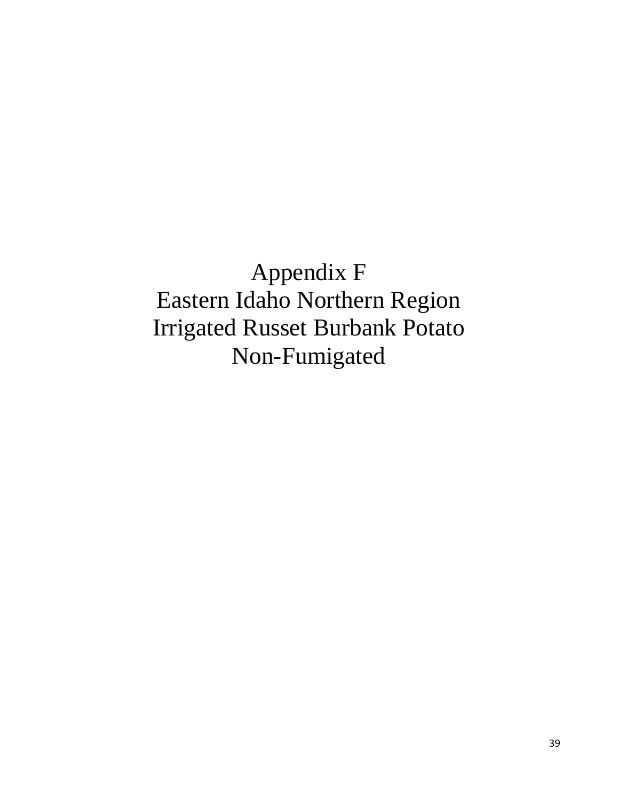Appendix F Eastern Idaho Northern Region Irrigated Russet Burbank Potato Non-Fumigated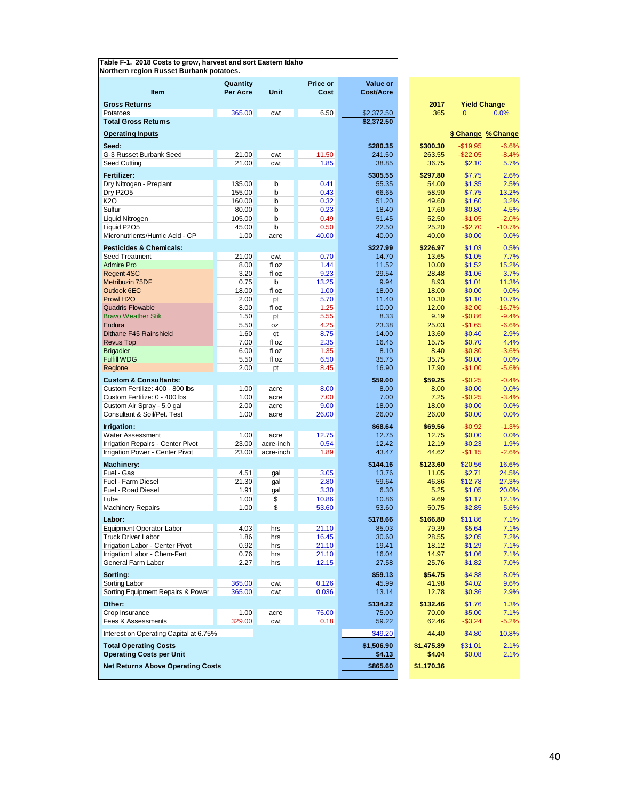| Northern region Russet Burbank potatoes. |                 |              |               |                  |                 |                     |                    |
|------------------------------------------|-----------------|--------------|---------------|------------------|-----------------|---------------------|--------------------|
|                                          | Quantity        |              | Price or      | <b>Value or</b>  |                 |                     |                    |
| Item                                     | Per Acre        | Unit         | Cost          | <b>Cost/Acre</b> |                 |                     |                    |
| <b>Gross Returns</b>                     |                 |              |               |                  | 2017            | <b>Yield Change</b> |                    |
| Potatoes                                 | 365.00          | cwt          | 6.50          | \$2,372.50       | 365             | $\overline{0}$      | 0.0%               |
| <b>Total Gross Returns</b>               |                 |              |               | \$2,372.50       |                 |                     |                    |
| <b>Operating Inputs</b>                  |                 |              |               |                  |                 |                     | \$ Change % Change |
|                                          |                 |              |               |                  |                 |                     |                    |
| Seed:                                    |                 |              |               | \$280.35         | \$300.30        | $-$19.95$           | $-6.6%$            |
| G-3 Russet Burbank Seed                  | 21.00<br>21.00  | cwt<br>cwt   | 11.50<br>1.85 | 241.50<br>38.85  | 263.55<br>36.75 | $-$22.05$           | $-8.4%$            |
| Seed Cutting                             |                 |              |               |                  |                 | \$2.10              | 5.7%               |
| Fertilizer:                              |                 |              |               | \$305.55         | \$297.80        | \$7.75              | 2.6%               |
| Dry Nitrogen - Preplant                  | 135.00          | lb           | 0.41          | 55.35            | 54.00           | \$1.35              | 2.5%               |
| <b>Dry P2O5</b>                          | 155.00          | lb           | 0.43          | 66.65            | 58.90           | \$7.75              | 13.2%              |
| <b>K2O</b><br>Sulfur                     | 160.00<br>80.00 | Ib<br>lb     | 0.32<br>0.23  | 51.20<br>18.40   | 49.60<br>17.60  | \$1.60<br>\$0.80    | 3.2%<br>4.5%       |
| Liquid Nitrogen                          | 105.00          | Ib           | 0.49          | 51.45            | 52.50           | $-$1.05$            | $-2.0%$            |
| Liquid P2O5                              | 45.00           | lb           | 0.50          | 22.50            | 25.20           | $-$2.70$            | $-10.7%$           |
| Micronutrients/Humic Acid - CP           | 1.00            | acre         | 40.00         | 40.00            | 40.00           | \$0.00              | 0.0%               |
|                                          |                 |              |               |                  |                 |                     |                    |
| <b>Pesticides &amp; Chemicals:</b>       |                 |              |               | \$227.99         | \$226.97        | \$1.03              | 0.5%               |
| Seed Treatment<br><b>Admire Pro</b>      | 21.00<br>8.00   | cwt<br>fl oz | 0.70<br>1.44  | 14.70<br>11.52   | 13.65<br>10.00  | \$1.05<br>\$1.52    | 7.7%<br>15.2%      |
| <b>Regent 4SC</b>                        | 3.20            | fl oz        | 9.23          | 29.54            | 28.48           | \$1.06              | 3.7%               |
| Metribuzin 75DF                          | 0.75            | lb           | 13.25         | 9.94             | 8.93            | \$1.01              | 11.3%              |
| Outlook 6EC                              | 18.00           | fl oz        | 1.00          | 18.00            | 18.00           | \$0.00              | 0.0%               |
| Prowl H <sub>2</sub> O                   | 2.00            | pt           | 5.70          | 11.40            | 10.30           | \$1.10              | 10.7%              |
| <b>Quadris Flowable</b>                  | 8.00            | fl oz        | 1.25          | 10.00            | 12.00           | $-$2.00$            | $-16.7%$           |
| <b>Bravo Weather Stik</b>                | 1.50            | pt           | 5.55          | 8.33             | 9.19            | $-$0.86$            | $-9.4%$            |
| Endura                                   | 5.50            | oz           | 4.25          | 23.38            | 25.03           | $-$1.65$            | $-6.6%$            |
| Dithane F45 Rainshield                   | 1.60            | qt           | 8.75          | 14.00            | 13.60           | \$0.40              | 2.9%               |
| <b>Revus Top</b>                         | 7.00            | fl oz        | 2.35          | 16.45            | 15.75           | \$0.70              | 4.4%               |
| <b>Brigadier</b>                         | 6.00            | fl oz        | 1.35          | 8.10             | 8.40            | $-$0.30$            | $-3.6%$            |
| <b>Fulfill WDG</b>                       | 5.50            | fl oz        | 6.50          | 35.75            | 35.75           | \$0.00              | 0.0%               |
| Reglone                                  | 2.00            | pt           | 8.45          | 16.90            | 17.90           | $-$1.00$            | $-5.6%$            |
| <b>Custom &amp; Consultants:</b>         |                 |              |               | \$59.00          | \$59.25         | $-$0.25$            | $-0.4%$            |
| Custom Fertilize: 400 - 800 lbs          | 1.00            | acre         | 8.00          | 8.00             | 8.00            | \$0.00              | 0.0%               |
| Custom Fertilize: 0 - 400 lbs            | 1.00            | acre         | 7.00          | 7.00             | 7.25            | $-$0.25$            | $-3.4%$            |
| Custom Air Spray - 5.0 gal               | 2.00            | acre         | 9.00          | 18.00            | 18.00           | \$0.00              | 0.0%               |
| Consultant & Soil/Pet. Test              | 1.00            | acre         | 26.00         | 26.00            | 26.00           | \$0.00              | 0.0%               |
| Irrigation:                              |                 |              |               | \$68.64          | \$69.56         | $-$0.92$            | $-1.3%$            |
| Water Assessment                         | 1.00            | acre         | 12.75         | 12.75            | 12.75           | \$0.00              | 0.0%               |
| Irrigation Repairs - Center Pivot        | 23.00           | acre-inch    | 0.54          | 12.42            | 12.19           | \$0.23              | 1.9%               |
| Irrigation Power - Center Pivot          | 23.00           | acre-inch    | 1.89          | 43.47            | 44.62           | $-$1.15$            | $-2.6%$            |
| <b>Machinery:</b>                        |                 |              |               | \$144.16         | \$123.60        | \$20.56             | 16.6%              |
| Fuel - Gas                               | 4.51            | gal          | 3.05          | 13.76            | 11.05           | \$2.71              | 24.5%              |
| Fuel - Farm Diesel                       | 21.30           | gal          | 2.80          | 59.64            | 46.86           | \$12.78             | 27.3%              |
| Fuel - Road Diesel                       | 1.91            | gal          | 3.30          | 6.30             | 5.25            | \$1.05              | 20.0%              |
| Lube                                     | 1.00            | \$           | 10.86         | 10.86            | 9.69            | \$1.17              | 12.1%              |
| <b>Machinery Repairs</b>                 | 1.00            | \$           | 53.60         | 53.60            | 50.75           | \$2.85              | 5.6%               |
| Labor:                                   |                 |              |               | \$178.66         | \$166.80        | \$11.86             | 7.1%               |
| Equipment Operator Labor                 | 4.03            | hrs          | 21.10         | 85.03            | 79.39           | \$5.64              | 7.1%               |
| <b>Truck Driver Labor</b>                | 1.86            | hrs          | 16.45         | 30.60            | 28.55           | \$2.05              | 7.2%               |
| Irrigation Labor - Center Pivot          | 0.92            | hrs          | 21.10         | 19.41            | 18.12           | \$1.29              | 7.1%               |
| Irrigation Labor - Chem-Fert             | 0.76            | hrs          | 21.10         | 16.04            | 14.97           | \$1.06              | 7.1%               |
| General Farm Labor                       | 2.27            | hrs          | 12.15         | 27.58            | 25.76           | \$1.82              | 7.0%               |
| Sorting:                                 |                 |              |               | \$59.13          | \$54.75         | \$4.38              | 8.0%               |
| Sorting Labor                            | 365.00          | cwt          | 0.126         | 45.99            | 41.98           | \$4.02              | 9.6%               |
| Sorting Equipment Repairs & Power        | 365.00          | cwt          | 0.036         | 13.14            | 12.78           | \$0.36              | 2.9%               |
| Other:                                   |                 |              |               | \$134.22         | \$132.46        | \$1.76              | 1.3%               |
| Crop Insurance                           | 1.00            | acre         | 75.00         | 75.00            | 70.00           | \$5.00              | 7.1%               |
| Fees & Assessments                       | 329.00          | cwt          | 0.18          | 59.22            | 62.46           | $-$ \$3.24          | $-5.2%$            |
| Interest on Operating Capital at 6.75%   |                 |              |               | \$49.20          | 44.40           | \$4.80              | 10.8%              |
| <b>Total Operating Costs</b>             |                 |              |               | \$1,506.90       | \$1,475.89      | \$31.01             | 2.1%               |
| <b>Operating Costs per Unit</b>          |                 |              |               | \$4.13           | \$4.04          | \$0.08              | 2.1%               |
|                                          |                 |              |               |                  |                 |                     |                    |
| <b>Net Returns Above Operating Costs</b> |                 |              |               | \$865.60         | \$1,170.36      |                     |                    |
|                                          |                 |              |               |                  |                 |                     |                    |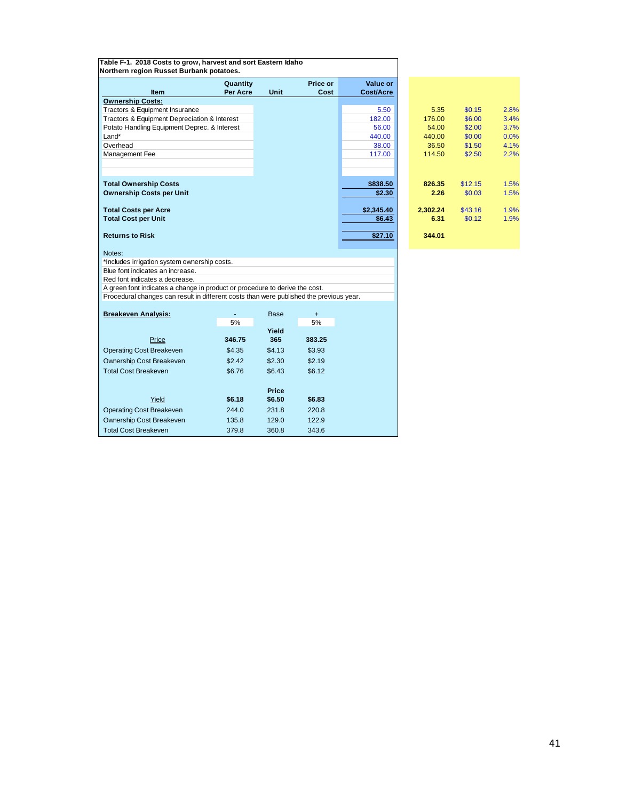| Table F-1. 2018 Costs to grow, harvest and sort Eastern Idaho<br>Northern region Russet Burbank potatoes. |                             |             |                  |                              |          |         |      |
|-----------------------------------------------------------------------------------------------------------|-----------------------------|-------------|------------------|------------------------------|----------|---------|------|
| <b>Item</b>                                                                                               | Quantity<br><b>Per Acre</b> | Unit        | Price or<br>Cost | Value or<br><b>Cost/Acre</b> |          |         |      |
| <b>Ownership Costs:</b>                                                                                   |                             |             |                  |                              |          |         |      |
| Tractors & Equipment Insurance                                                                            |                             |             |                  | 5.50                         | 5.35     | \$0.15  | 2.8% |
| Tractors & Equipment Depreciation & Interest                                                              |                             |             |                  | 182.00                       | 176.00   | \$6.00  | 3.4% |
| Potato Handling Equipment Deprec. & Interest                                                              |                             |             |                  | 56.00                        | 54.00    | \$2.00  | 3.7% |
| $Land*$                                                                                                   |                             |             |                  | 440.00                       | 440.00   | \$0.00  | 0.0% |
| Overhead                                                                                                  |                             |             |                  | 38.00                        | 36.50    | \$1.50  | 4.1% |
| <b>Management Fee</b>                                                                                     |                             |             |                  | 117.00                       | 114.50   | \$2.50  | 2.2% |
|                                                                                                           |                             |             |                  |                              |          |         |      |
|                                                                                                           |                             |             |                  |                              |          |         |      |
| <b>Total Ownership Costs</b>                                                                              |                             |             |                  | \$838.50                     | 826.35   | \$12.15 | 1.5% |
| <b>Ownership Costs per Unit</b>                                                                           |                             |             |                  | \$2.30                       | 2.26     | \$0.03  | 1.5% |
|                                                                                                           |                             |             |                  |                              |          |         |      |
| <b>Total Costs per Acre</b>                                                                               |                             |             |                  | \$2,345.40                   | 2.302.24 | \$43.16 | 1.9% |
| <b>Total Cost per Unit</b>                                                                                |                             |             |                  | \$6.43                       | 6.31     | \$0.12  | 1.9% |
|                                                                                                           |                             |             |                  |                              |          |         |      |
| <b>Returns to Risk</b>                                                                                    |                             |             |                  | \$27.10                      | 344.01   |         |      |
|                                                                                                           |                             |             |                  |                              |          |         |      |
| Notes:                                                                                                    |                             |             |                  |                              |          |         |      |
| *Includes irrigation system ownership costs.                                                              |                             |             |                  |                              |          |         |      |
| Blue font indicates an increase.                                                                          |                             |             |                  |                              |          |         |      |
| Red font indicates a decrease.                                                                            |                             |             |                  |                              |          |         |      |
| A green font indicates a change in product or procedure to derive the cost.                               |                             |             |                  |                              |          |         |      |
| Procedural changes can result in different costs than were published the previous year.                   |                             |             |                  |                              |          |         |      |
|                                                                                                           |                             |             |                  |                              |          |         |      |
| <b>Breakeven Analysis:</b>                                                                                |                             | <b>Base</b> | $+$              |                              |          |         |      |
|                                                                                                           | 5%                          | Yield       | 5%               |                              |          |         |      |
|                                                                                                           |                             |             |                  |                              |          |         |      |

| alue or<br>st/Acre |          |         |      |
|--------------------|----------|---------|------|
|                    |          |         |      |
| 5.50               | 5.35     | \$0.15  | 2.8% |
| 182.00             | 176.00   | \$6.00  | 3.4% |
| 56.00              | 54.00    | \$2.00  | 3.7% |
| 440.00             | 440.00   | \$0.00  | 0.0% |
| 38.00              | 36.50    | \$1.50  | 4.1% |
| 117.00             | 114.50   | \$2.50  | 2.2% |
|                    |          |         |      |
|                    |          |         |      |
| 838.50             | 826.35   | \$12.15 | 1.5% |
| \$2.30             | 2.26     | \$0.03  | 1.5% |
|                    |          |         |      |
| .345.40            | 2,302.24 | \$43.16 | 1.9% |
| \$6.43             | 6.31     | \$0.12  | 1.9% |
|                    |          |         |      |
| \$27.10            | 344.01   |         |      |
|                    |          |         |      |

| <b>Breakeven Analysis:</b>      | ۰      | <b>Base</b>  | $\ddot{}$ |
|---------------------------------|--------|--------------|-----------|
|                                 | 5%     |              | 5%        |
|                                 |        | Yield        |           |
| Price                           | 346.75 | 365          | 383.25    |
| <b>Operating Cost Breakeven</b> | \$4.35 | \$4.13       | \$3.93    |
| Ownership Cost Breakeven        | \$2.42 | \$2.30       | \$2.19    |
| <b>Total Cost Breakeven</b>     | \$6.76 | \$6.43       | \$6.12    |
|                                 |        | <b>Price</b> |           |
| Yield                           | \$6.18 | \$6.50       | \$6.83    |
| <b>Operating Cost Breakeven</b> | 244.0  | 231.8        | 220.8     |
| Ownership Cost Breakeven        | 135.8  | 129.0        | 122.9     |
| <b>Total Cost Breakeven</b>     | 379.8  | 360.8        | 343.6     |